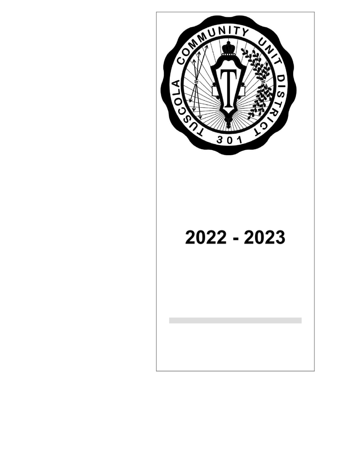

# 2022 - 2023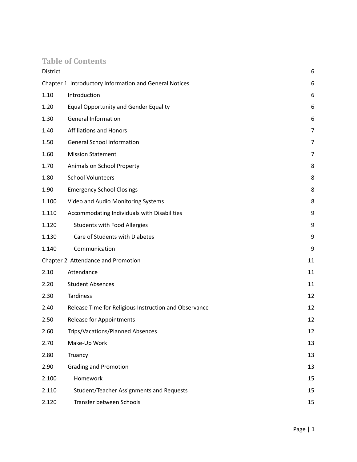# **Table of Contents**

| District |                                                        | 6              |
|----------|--------------------------------------------------------|----------------|
|          | Chapter 1 Introductory Information and General Notices | 6              |
| 1.10     | Introduction                                           | 6              |
| 1.20     | <b>Equal Opportunity and Gender Equality</b>           | 6              |
| 1.30     | <b>General Information</b>                             | 6              |
| 1.40     | <b>Affiliations and Honors</b>                         | $\overline{7}$ |
| 1.50     | <b>General School Information</b>                      | 7              |
| 1.60     | <b>Mission Statement</b>                               | 7              |
| 1.70     | Animals on School Property                             | 8              |
| 1.80     | <b>School Volunteers</b>                               | 8              |
| 1.90     | <b>Emergency School Closings</b>                       | 8              |
| 1.100    | Video and Audio Monitoring Systems                     | 8              |
| 1.110    | Accommodating Individuals with Disabilities            | 9              |
| 1.120    | <b>Students with Food Allergies</b>                    | 9              |
| 1.130    | Care of Students with Diabetes                         | 9              |
| 1.140    | Communication                                          | 9              |
|          | Chapter 2 Attendance and Promotion                     | 11             |
| 2.10     | Attendance                                             | 11             |
| 2.20     | <b>Student Absences</b>                                | 11             |
| 2.30     | <b>Tardiness</b>                                       | 12             |
| 2.40     | Release Time for Religious Instruction and Observance  | 12             |
| 2.50     | <b>Release for Appointments</b>                        | 12             |
| 2.60     | Trips/Vacations/Planned Absences                       | 12             |
| 2.70     | Make-Up Work                                           | 13             |
| 2.80     | Truancy                                                | 13             |
| 2.90     | <b>Grading and Promotion</b>                           | 13             |
| 2.100    | Homework                                               | 15             |
| 2.110    | Student/Teacher Assignments and Requests               | 15             |
| 2.120    | Transfer between Schools                               | 15             |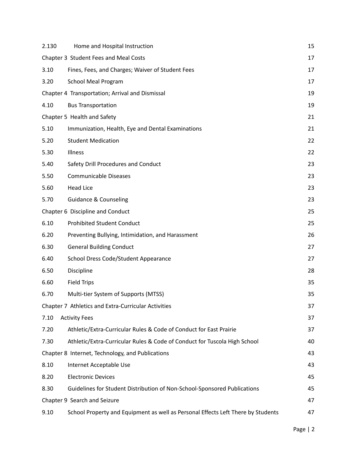| 2.130 | Home and Hospital Instruction                                                    | 15 |
|-------|----------------------------------------------------------------------------------|----|
|       | Chapter 3 Student Fees and Meal Costs                                            | 17 |
| 3.10  | Fines, Fees, and Charges; Waiver of Student Fees                                 | 17 |
| 3.20  | <b>School Meal Program</b>                                                       | 17 |
|       | Chapter 4 Transportation; Arrival and Dismissal                                  | 19 |
| 4.10  | <b>Bus Transportation</b>                                                        | 19 |
|       | Chapter 5 Health and Safety                                                      | 21 |
| 5.10  | Immunization, Health, Eye and Dental Examinations                                | 21 |
| 5.20  | <b>Student Medication</b>                                                        | 22 |
| 5.30  | Illness                                                                          | 22 |
| 5.40  | Safety Drill Procedures and Conduct                                              | 23 |
| 5.50  | <b>Communicable Diseases</b>                                                     | 23 |
| 5.60  | <b>Head Lice</b>                                                                 | 23 |
| 5.70  | <b>Guidance &amp; Counseling</b>                                                 | 23 |
|       | Chapter 6 Discipline and Conduct                                                 | 25 |
| 6.10  | <b>Prohibited Student Conduct</b>                                                | 25 |
| 6.20  | Preventing Bullying, Intimidation, and Harassment                                | 26 |
| 6.30  | <b>General Building Conduct</b>                                                  | 27 |
| 6.40  | School Dress Code/Student Appearance                                             | 27 |
| 6.50  | Discipline                                                                       | 28 |
| 6.60  | <b>Field Trips</b>                                                               | 35 |
| 6.70  | Multi-tier System of Supports (MTSS)                                             | 35 |
|       | Chapter 7 Athletics and Extra-Curricular Activities                              | 37 |
| 7.10  | <b>Activity Fees</b>                                                             | 37 |
| 7.20  | Athletic/Extra-Curricular Rules & Code of Conduct for East Prairie               | 37 |
| 7.30  | Athletic/Extra-Curricular Rules & Code of Conduct for Tuscola High School        | 40 |
|       | Chapter 8 Internet, Technology, and Publications                                 | 43 |
| 8.10  | Internet Acceptable Use                                                          | 43 |
| 8.20  | <b>Electronic Devices</b>                                                        | 45 |
| 8.30  | Guidelines for Student Distribution of Non-School-Sponsored Publications         | 45 |
|       | Chapter 9 Search and Seizure                                                     | 47 |
| 9.10  | School Property and Equipment as well as Personal Effects Left There by Students | 47 |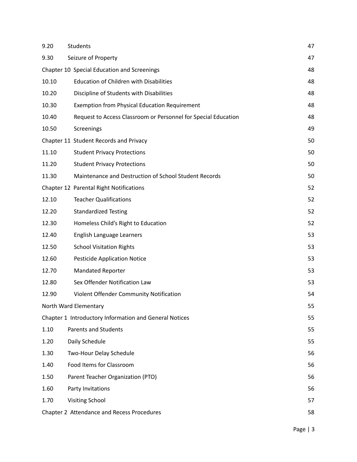| 9.20  | <b>Students</b>                                                | 47 |  |
|-------|----------------------------------------------------------------|----|--|
| 9.30  | Seizure of Property                                            | 47 |  |
|       | Chapter 10 Special Education and Screenings                    | 48 |  |
| 10.10 | <b>Education of Children with Disabilities</b>                 | 48 |  |
| 10.20 | Discipline of Students with Disabilities                       | 48 |  |
| 10.30 | <b>Exemption from Physical Education Requirement</b>           | 48 |  |
| 10.40 | Request to Access Classroom or Personnel for Special Education | 48 |  |
| 10.50 | Screenings                                                     | 49 |  |
|       | Chapter 11 Student Records and Privacy                         | 50 |  |
| 11.10 | <b>Student Privacy Protections</b>                             | 50 |  |
| 11.20 | <b>Student Privacy Protections</b>                             | 50 |  |
| 11.30 | Maintenance and Destruction of School Student Records          | 50 |  |
|       | Chapter 12 Parental Right Notifications                        | 52 |  |
| 12.10 | <b>Teacher Qualifications</b>                                  | 52 |  |
| 12.20 | <b>Standardized Testing</b>                                    | 52 |  |
| 12.30 | Homeless Child's Right to Education                            | 52 |  |
| 12.40 | English Language Learners                                      | 53 |  |
| 12.50 | <b>School Visitation Rights</b>                                | 53 |  |
| 12.60 | <b>Pesticide Application Notice</b>                            | 53 |  |
| 12.70 | <b>Mandated Reporter</b>                                       | 53 |  |
| 12.80 | Sex Offender Notification Law                                  | 53 |  |
| 12.90 | Violent Offender Community Notification                        | 54 |  |
|       | North Ward Elementary                                          | 55 |  |
|       | Chapter 1 Introductory Information and General Notices         | 55 |  |
| 1.10  | <b>Parents and Students</b>                                    | 55 |  |
| 1.20  | Daily Schedule                                                 | 55 |  |
| 1.30  | Two-Hour Delay Schedule                                        | 56 |  |
| 1.40  | Food Items for Classroom                                       | 56 |  |
| 1.50  | Parent Teacher Organization (PTO)                              | 56 |  |
| 1.60  | Party Invitations                                              | 56 |  |
| 1.70  | <b>Visiting School</b>                                         | 57 |  |
|       | Chapter 2 Attendance and Recess Procedures<br>58               |    |  |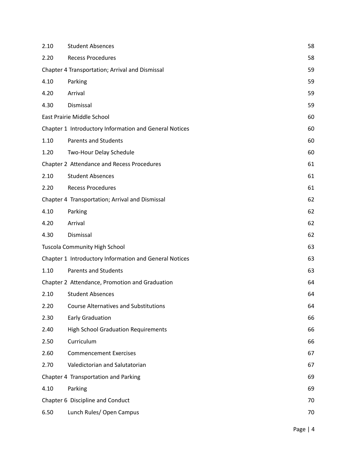| <b>Recess Procedures</b>                        |                                                                                                                                                                                                                                                                                                                                                                                                                                                                                                                                                                                                                                                                                                                                                                                                                                        |  |  |
|-------------------------------------------------|----------------------------------------------------------------------------------------------------------------------------------------------------------------------------------------------------------------------------------------------------------------------------------------------------------------------------------------------------------------------------------------------------------------------------------------------------------------------------------------------------------------------------------------------------------------------------------------------------------------------------------------------------------------------------------------------------------------------------------------------------------------------------------------------------------------------------------------|--|--|
|                                                 | 58                                                                                                                                                                                                                                                                                                                                                                                                                                                                                                                                                                                                                                                                                                                                                                                                                                     |  |  |
| Chapter 4 Transportation; Arrival and Dismissal |                                                                                                                                                                                                                                                                                                                                                                                                                                                                                                                                                                                                                                                                                                                                                                                                                                        |  |  |
|                                                 | 59                                                                                                                                                                                                                                                                                                                                                                                                                                                                                                                                                                                                                                                                                                                                                                                                                                     |  |  |
|                                                 | 59                                                                                                                                                                                                                                                                                                                                                                                                                                                                                                                                                                                                                                                                                                                                                                                                                                     |  |  |
|                                                 | 59                                                                                                                                                                                                                                                                                                                                                                                                                                                                                                                                                                                                                                                                                                                                                                                                                                     |  |  |
|                                                 | 60                                                                                                                                                                                                                                                                                                                                                                                                                                                                                                                                                                                                                                                                                                                                                                                                                                     |  |  |
|                                                 | 60                                                                                                                                                                                                                                                                                                                                                                                                                                                                                                                                                                                                                                                                                                                                                                                                                                     |  |  |
|                                                 | 60                                                                                                                                                                                                                                                                                                                                                                                                                                                                                                                                                                                                                                                                                                                                                                                                                                     |  |  |
|                                                 | 60                                                                                                                                                                                                                                                                                                                                                                                                                                                                                                                                                                                                                                                                                                                                                                                                                                     |  |  |
|                                                 | 61                                                                                                                                                                                                                                                                                                                                                                                                                                                                                                                                                                                                                                                                                                                                                                                                                                     |  |  |
|                                                 | 61                                                                                                                                                                                                                                                                                                                                                                                                                                                                                                                                                                                                                                                                                                                                                                                                                                     |  |  |
|                                                 | 61                                                                                                                                                                                                                                                                                                                                                                                                                                                                                                                                                                                                                                                                                                                                                                                                                                     |  |  |
|                                                 | 62                                                                                                                                                                                                                                                                                                                                                                                                                                                                                                                                                                                                                                                                                                                                                                                                                                     |  |  |
|                                                 | 62                                                                                                                                                                                                                                                                                                                                                                                                                                                                                                                                                                                                                                                                                                                                                                                                                                     |  |  |
|                                                 | 62                                                                                                                                                                                                                                                                                                                                                                                                                                                                                                                                                                                                                                                                                                                                                                                                                                     |  |  |
|                                                 | 62                                                                                                                                                                                                                                                                                                                                                                                                                                                                                                                                                                                                                                                                                                                                                                                                                                     |  |  |
|                                                 | 63                                                                                                                                                                                                                                                                                                                                                                                                                                                                                                                                                                                                                                                                                                                                                                                                                                     |  |  |
|                                                 | 63                                                                                                                                                                                                                                                                                                                                                                                                                                                                                                                                                                                                                                                                                                                                                                                                                                     |  |  |
|                                                 | 63                                                                                                                                                                                                                                                                                                                                                                                                                                                                                                                                                                                                                                                                                                                                                                                                                                     |  |  |
|                                                 | 64                                                                                                                                                                                                                                                                                                                                                                                                                                                                                                                                                                                                                                                                                                                                                                                                                                     |  |  |
|                                                 | 64                                                                                                                                                                                                                                                                                                                                                                                                                                                                                                                                                                                                                                                                                                                                                                                                                                     |  |  |
|                                                 | 64                                                                                                                                                                                                                                                                                                                                                                                                                                                                                                                                                                                                                                                                                                                                                                                                                                     |  |  |
|                                                 | 66                                                                                                                                                                                                                                                                                                                                                                                                                                                                                                                                                                                                                                                                                                                                                                                                                                     |  |  |
|                                                 | 66                                                                                                                                                                                                                                                                                                                                                                                                                                                                                                                                                                                                                                                                                                                                                                                                                                     |  |  |
|                                                 | 66                                                                                                                                                                                                                                                                                                                                                                                                                                                                                                                                                                                                                                                                                                                                                                                                                                     |  |  |
|                                                 | 67                                                                                                                                                                                                                                                                                                                                                                                                                                                                                                                                                                                                                                                                                                                                                                                                                                     |  |  |
|                                                 | 67                                                                                                                                                                                                                                                                                                                                                                                                                                                                                                                                                                                                                                                                                                                                                                                                                                     |  |  |
|                                                 | 69                                                                                                                                                                                                                                                                                                                                                                                                                                                                                                                                                                                                                                                                                                                                                                                                                                     |  |  |
|                                                 | 69                                                                                                                                                                                                                                                                                                                                                                                                                                                                                                                                                                                                                                                                                                                                                                                                                                     |  |  |
|                                                 | 70                                                                                                                                                                                                                                                                                                                                                                                                                                                                                                                                                                                                                                                                                                                                                                                                                                     |  |  |
|                                                 | 70                                                                                                                                                                                                                                                                                                                                                                                                                                                                                                                                                                                                                                                                                                                                                                                                                                     |  |  |
|                                                 | East Prairie Middle School<br>Chapter 1 Introductory Information and General Notices<br><b>Parents and Students</b><br>Two-Hour Delay Schedule<br>Chapter 2 Attendance and Recess Procedures<br><b>Student Absences</b><br><b>Recess Procedures</b><br>Chapter 4 Transportation; Arrival and Dismissal<br><b>Tuscola Community High School</b><br>Chapter 1 Introductory Information and General Notices<br><b>Parents and Students</b><br>Chapter 2 Attendance, Promotion and Graduation<br><b>Student Absences</b><br><b>Course Alternatives and Substitutions</b><br><b>Early Graduation</b><br><b>High School Graduation Requirements</b><br>Curriculum<br><b>Commencement Exercises</b><br>Valedictorian and Salutatorian<br>Chapter 4 Transportation and Parking<br>Chapter 6 Discipline and Conduct<br>Lunch Rules/ Open Campus |  |  |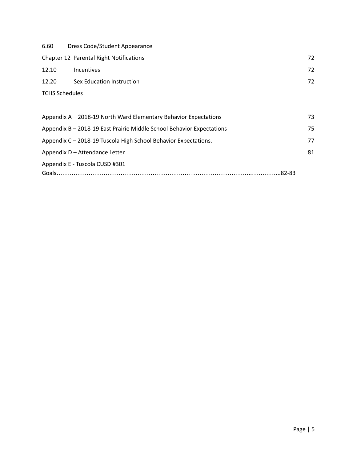| 6.60                  | Dress Code/Student Appearance           |    |
|-----------------------|-----------------------------------------|----|
|                       | Chapter 12 Parental Right Notifications | 72 |
| 12.10                 | <b>Incentives</b>                       | 72 |
| 12.20                 | Sex Education Instruction               | 72 |
| <b>TCHS Schedules</b> |                                         |    |
|                       |                                         |    |

| Appendix A - 2018-19 North Ward Elementary Behavior Expectations      | 73 |
|-----------------------------------------------------------------------|----|
| Appendix B - 2018-19 East Prairie Middle School Behavior Expectations | 75 |
| Appendix C - 2018-19 Tuscola High School Behavior Expectations.       | 77 |
| Appendix D - Attendance Letter                                        | 81 |
| Appendix E - Tuscola CUSD #301                                        |    |
|                                                                       |    |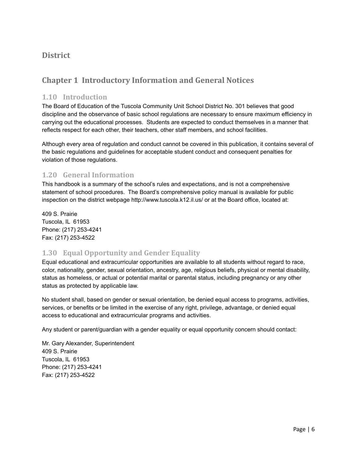# <span id="page-6-0"></span>**District**

# **Chapter 1 Introductory Information and General Notices**

#### <span id="page-6-1"></span>**1.10 Introduction**

The Board of Education of the Tuscola Community Unit School District No. 301 believes that good discipline and the observance of basic school regulations are necessary to ensure maximum efficiency in carrying out the educational processes. Students are expected to conduct themselves in a manner that reflects respect for each other, their teachers, other staff members, and school facilities.

Although every area of regulation and conduct cannot be covered in this publication, it contains several of the basic regulations and guidelines for acceptable student conduct and consequent penalties for violation of those regulations.

## **1.20 General Information**

This handbook is a summary of the school's rules and expectations, and is not a comprehensive statement of school procedures. The Board's comprehensive policy manual is available for public inspection on the district webpage http://www.tuscola.k12.il.us/ or at the Board office, located at:

409 S. Prairie Tuscola, IL 61953 Phone: (217) 253-4241 Fax: (217) 253-4522

## **1.30 Equal Opportunity and Gender Equality**

Equal educational and extracurricular opportunities are available to all students without regard to race, color, nationality, gender, sexual orientation, ancestry, age, religious beliefs, physical or mental disability, status as homeless, or actual or potential marital or parental status, including pregnancy or any other status as protected by applicable law.

No student shall, based on gender or sexual orientation, be denied equal access to programs, activities, services, or benefits or be limited in the exercise of any right, privilege, advantage, or denied equal access to educational and extracurricular programs and activities.

Any student or parent/guardian with a gender equality or equal opportunity concern should contact:

Mr. Gary Alexander, Superintendent 409 S. Prairie Tuscola, IL 61953 Phone: (217) 253-4241 Fax: (217) 253-4522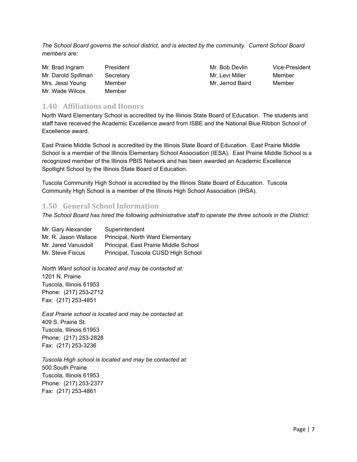*The School Board governs the school district, and is elected by the community. Current School Board members are:*

| Mr. Brad Ingram     | President |
|---------------------|-----------|
| Mr. Darold Spillman | Secretary |
| Mrs. Jessi Young    | Member    |
| Mr. Wade Wilcox     | Member    |

Mr. Levi Miller Member Mr. Jerrod Baird Member

Mr. Bob Devlin Vice-President

#### <span id="page-7-0"></span>**1.40 Affiliations and Honors**

North Ward Elementary School is accredited by the Illinois State Board of Education. The students and staff have received the Academic Excellence award from ISBE and the National Blue Ribbon School of Excellence award.

East Prairie Middle School is accredited by the Illinois State Board of Education. East Prairie Middle School is a member of the Illinois Elementary School Association (IESA). East Prairie Middle School is a recognized member of the Illinois PBIS Network and has been awarded an Academic Excellence Spotlight School by the Illinois State Board of Education.

Tuscola Community High School is accredited by the Illinois State Board of Education. Tuscola Community High School is a member of the Illinois High School Association (IHSA).

## <span id="page-7-1"></span>**1.50 General School Information**

The School Board has hired the following administrative staff to operate the three schools in the District:

| Mr. Gary Alexander   | Superintendent                        |
|----------------------|---------------------------------------|
| Mr. R. Jason Wallace | Principal, North Ward Elementary      |
| Mr. Jared Vanusdoll  | Principal, East Prairie Middle School |
| Mr. Steve Fiscus     | Principal, Tuscola CUSD High School   |

*North Ward school is located and may be contacted at:* 1201 N. Prairie Tuscola, Illinois 61953 Phone: (217) 253-2712 Fax: (217) 253-4851

*East Prairie school is located and may be contacted at:* 409 S. Prairie St. Tuscola, Illinois 61953 Phone: (217) 253-2828 Fax: (217) 253-3236

*Tuscola High school is located and may be contacted at:* 500 South Prairie Tuscola, Illinois 61953 Phone: (217) 253-2377 Fax: (217) 253-4861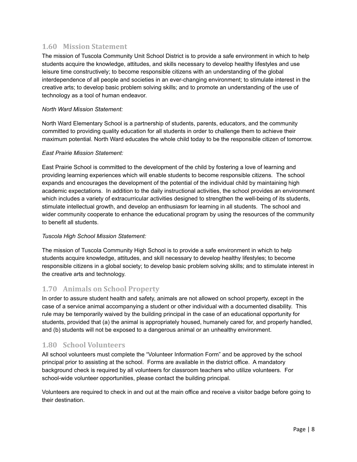## <span id="page-8-0"></span>**1.60 Mission Statement**

The mission of Tuscola Community Unit School District is to provide a safe environment in which to help students acquire the knowledge, attitudes, and skills necessary to develop healthy lifestyles and use leisure time constructively; to become responsible citizens with an understanding of the global interdependence of all people and societies in an ever-changing environment; to stimulate interest in the creative arts; to develop basic problem solving skills; and to promote an understanding of the use of technology as a tool of human endeavor.

#### *North Ward Mission Statement:*

North Ward Elementary School is a partnership of students, parents, educators, and the community committed to providing quality education for all students in order to challenge them to achieve their maximum potential. North Ward educates the whole child today to be the responsible citizen of tomorrow.

#### *East Prairie Mission Statement:*

East Prairie School is committed to the development of the child by fostering a love of learning and providing learning experiences which will enable students to become responsible citizens*.* The school expands and encourages the development of the potential of the individual child by maintaining high academic expectations. In addition to the daily instructional activities, the school provides an environment which includes a variety of extracurricular activities designed to strengthen the well-being of its students, stimulate intellectual growth, and develop an enthusiasm for learning in all students. The school and wider community cooperate to enhance the educational program by using the resources of the community to benefit all students.

#### *Tuscola High School Mission Statement:*

The mission of Tuscola Community High School is to provide a safe environment in which to help students acquire knowledge, attitudes, and skill necessary to develop healthy lifestyles; to become responsible citizens in a global society; to develop basic problem solving skills; and to stimulate interest in the creative arts and technology.

## <span id="page-8-1"></span>**1.70 Animals on School Property**

In order to assure student health and safety, animals are not allowed on school property, except in the case of a service animal accompanying a student or other individual with a documented disability. This rule may be temporarily waived by the building principal in the case of an educational opportunity for students, provided that (a) the animal is appropriately housed, humanely cared for, and properly handled, and (b) students will not be exposed to a dangerous animal or an unhealthy environment.

## <span id="page-8-2"></span>**1.80 School Volunteers**

All school volunteers must complete the "Volunteer Information Form" and be approved by the school principal prior to assisting at the school. Forms are available in the district office. A mandatory background check is required by all volunteers for classroom teachers who utilize volunteers. For school-wide volunteer opportunities, please contact the building principal.

Volunteers are required to check in and out at the main office and receive a visitor badge before going to their destination.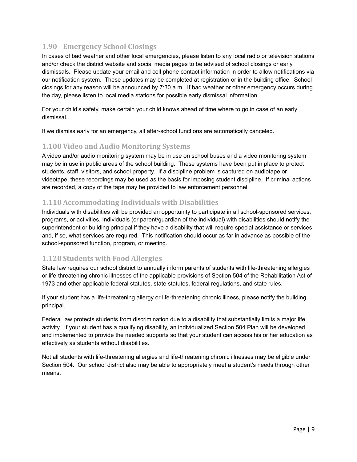# <span id="page-9-0"></span>**1.90 Emergency School Closings**

In cases of bad weather and other local emergencies, please listen to any local radio or television stations and/or check the district website and social media pages to be advised of school closings or early dismissals. Please update your email and cell phone contact information in order to allow notifications via our notification system. These updates may be completed at registration or in the building office. School closings for any reason will be announced by 7:30 a.m. If bad weather or other emergency occurs during the day, please listen to local media stations for possible early dismissal information.

For your child's safety, make certain your child knows ahead of time where to go in case of an early dismissal.

If we dismiss early for an emergency, all after-school functions are automatically canceled.

## <span id="page-9-1"></span>**1.100 Video and Audio Monitoring Systems**

A video and/or audio monitoring system may be in use on school buses and a video monitoring system may be in use in public areas of the school building. These systems have been put in place to protect students, staff, visitors, and school property. If a discipline problem is captured on audiotape or videotape, these recordings may be used as the basis for imposing student discipline. If criminal actions are recorded, a copy of the tape may be provided to law enforcement personnel.

#### <span id="page-9-2"></span>**1.110 Accommodating Individuals with Disabilities**

Individuals with disabilities will be provided an opportunity to participate in all school-sponsored services, programs, or activities. Individuals (or parent/guardian of the individual) with disabilities should notify the superintendent or building principal if they have a disability that will require special assistance or services and, if so, what services are required. This notification should occur as far in advance as possible of the school-sponsored function, program, or meeting.

## <span id="page-9-3"></span>**1.120 Students with Food Allergies**

State law requires our school district to annually inform parents of students with life-threatening allergies or life-threatening chronic illnesses of the applicable provisions of Section 504 of the Rehabilitation Act of 1973 and other applicable federal statutes, state statutes, federal regulations, and state rules.

If your student has a life-threatening allergy or life-threatening chronic illness, please notify the building principal.

Federal law protects students from discrimination due to a disability that substantially limits a major life activity. If your student has a qualifying disability, an individualized Section 504 Plan will be developed and implemented to provide the needed supports so that your student can access his or her education as effectively as students without disabilities.

Not all students with life-threatening allergies and life-threatening chronic illnesses may be eligible under Section 504. Our school district also may be able to appropriately meet a student's needs through other means.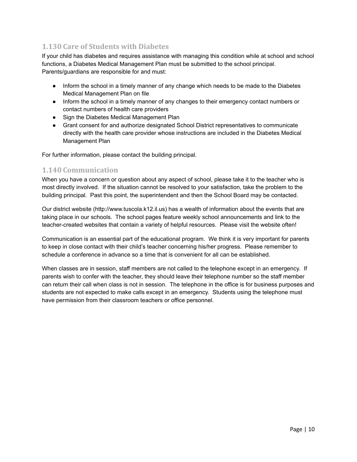# <span id="page-10-0"></span>**1.130 Care of Students with Diabetes**

If your child has diabetes and requires assistance with managing this condition while at school and school functions, a Diabetes Medical Management Plan must be submitted to the school principal. Parents/guardians are responsible for and must:

- Inform the school in a timely manner of any change which needs to be made to the Diabetes Medical Management Plan on file
- Inform the school in a timely manner of any changes to their emergency contact numbers or contact numbers of health care providers
- Sign the Diabetes Medical Management Plan
- Grant consent for and authorize designated School District representatives to communicate directly with the health care provider whose instructions are included in the Diabetes Medical Management Plan

For further information, please contact the building principal.

#### <span id="page-10-1"></span>**1.140 Communication**

When you have a concern or question about any aspect of school, please take it to the teacher who is most directly involved. If the situation cannot be resolved to your satisfaction, take the problem to the building principal. Past this point, the superintendent and then the School Board may be contacted.

Our district website (http://www.tuscola.k12.il.us) has a wealth of information about the events that are taking place in our schools. The school pages feature weekly school announcements and link to the teacher-created websites that contain a variety of helpful resources. Please visit the website often!

Communication is an essential part of the educational program. We think it is very important for parents to keep in close contact with their child's teacher concerning his/her progress. Please remember to schedule a conference in advance so a time that is convenient for all can be established.

When classes are in session, staff members are not called to the telephone except in an emergency. If parents wish to confer with the teacher, they should leave their telephone number so the staff member can return their call when class is not in session. The telephone in the office is for business purposes and students are not expected to make calls except in an emergency. Students using the telephone must have permission from their classroom teachers or office personnel.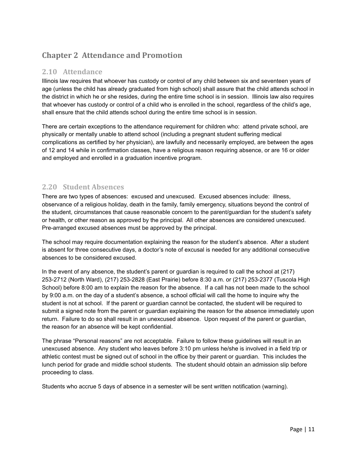# <span id="page-11-0"></span>**Chapter 2 Attendance and Promotion**

# <span id="page-11-1"></span>**2.10 Attendance**

Illinois law requires that whoever has custody or control of any child between six and seventeen years of age (unless the child has already graduated from high school) shall assure that the child attends school in the district in which he or she resides, during the entire time school is in session. Illinois law also requires that whoever has custody or control of a child who is enrolled in the school, regardless of the child's age, shall ensure that the child attends school during the entire time school is in session.

There are certain exceptions to the attendance requirement for children who: attend private school, are physically or mentally unable to attend school (including a pregnant student suffering medical complications as certified by her physician), are lawfully and necessarily employed, are between the ages of 12 and 14 while in confirmation classes, have a religious reason requiring absence, or are 16 or older and employed and enrolled in a graduation incentive program.

# <span id="page-11-2"></span>**2.20 Student Absences**

There are two types of absences: excused and unexcused. Excused absences include: illness, observance of a religious holiday, death in the family, family emergency, situations beyond the control of the student, circumstances that cause reasonable concern to the parent/guardian for the student's safety or health, or other reason as approved by the principal. All other absences are considered unexcused. Pre-arranged excused absences must be approved by the principal.

The school may require documentation explaining the reason for the student's absence. After a student is absent for three consecutive days, a doctor's note of excusal is needed for any additional consecutive absences to be considered excused.

In the event of any absence, the student's parent or guardian is required to call the school at (217) 253-2712 (North Ward), (217) 253-2828 (East Prairie) before 8:30 a.m. or (217) 253-2377 (Tuscola High School) before 8:00 am to explain the reason for the absence. If a call has not been made to the school by 9:00 a.m. on the day of a student's absence, a school official will call the home to inquire why the student is not at school. If the parent or guardian cannot be contacted, the student will be required to submit a signed note from the parent or guardian explaining the reason for the absence immediately upon return. Failure to do so shall result in an unexcused absence. Upon request of the parent or guardian, the reason for an absence will be kept confidential.

The phrase "Personal reasons" are not acceptable. Failure to follow these guidelines will result in an unexcused absence. Any student who leaves before 3:10 pm unless he/she is involved in a field trip or athletic contest must be signed out of school in the office by their parent or guardian. This includes the lunch period for grade and middle school students. The student should obtain an admission slip before proceeding to class.

Students who accrue 5 days of absence in a semester will be sent written notification (warning).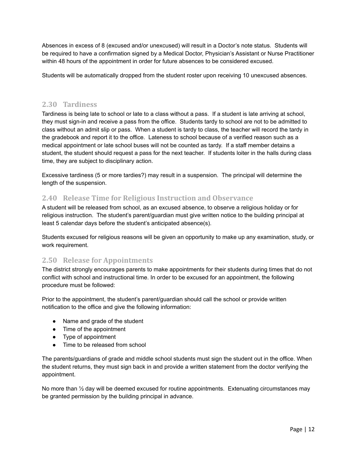Absences in excess of 8 (excused and/or unexcused) will result in a Doctor's note status. Students will be required to have a confirmation signed by a Medical Doctor, Physician's Assistant or Nurse Practitioner within 48 hours of the appointment in order for future absences to be considered excused.

Students will be automatically dropped from the student roster upon receiving 10 unexcused absences.

#### <span id="page-12-0"></span>**2.30 Tardiness**

Tardiness is being late to school or late to a class without a pass. If a student is late arriving at school, they must sign-in and receive a pass from the office. Students tardy to school are not to be admitted to class without an admit slip or pass. When a student is tardy to class, the teacher will record the tardy in the gradebook and report it to the office. Lateness to school because of a verified reason such as a medical appointment or late school buses will not be counted as tardy. If a staff member detains a student, the student should request a pass for the next teacher. If students loiter in the halls during class time, they are subject to disciplinary action.

Excessive tardiness (5 or more tardies?) may result in a suspension. The principal will determine the length of the suspension.

## <span id="page-12-1"></span>**2.40 Release Time for Religious Instruction and Observance**

A student will be released from school, as an excused absence, to observe a religious holiday or for religious instruction. The student's parent/guardian must give written notice to the building principal at least 5 calendar days before the student's anticipated absence(s).

Students excused for religious reasons will be given an opportunity to make up any examination, study, or work requirement.

#### <span id="page-12-2"></span>**2.50 Release for Appointments**

The district strongly encourages parents to make appointments for their students during times that do not conflict with school and instructional time. In order to be excused for an appointment, the following procedure must be followed:

Prior to the appointment, the student's parent/guardian should call the school or provide written notification to the office and give the following information:

- Name and grade of the student
- Time of the appointment
- Type of appointment
- Time to be released from school

The parents/guardians of grade and middle school students must sign the student out in the office. When the student returns, they must sign back in and provide a written statement from the doctor verifying the appointment.

No more than ½ day will be deemed excused for routine appointments. Extenuating circumstances may be granted permission by the building principal in advance.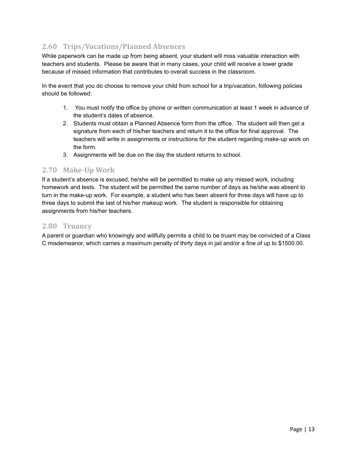# <span id="page-13-0"></span>**2.60 Trips/Vacations/Planned Absences**

While paperwork can be made up from being absent, your student will miss valuable interaction with teachers and students. Please be aware that in many cases, your child will receive a lower grade because of missed information that contributes to overall success in the classroom.

In the event that you do choose to remove your child from school for a trip/vacation, following policies should be followed:

- 1. You must notify the office by phone or written communication at least 1 week in advance of the student's dates of absence.
- 2. Students must obtain a Planned Absence form from the office. The student will then get a signature from each of his/her teachers and return it to the office for final approval. The teachers will write in assignments or instructions for the student regarding make-up work on the form.
- 3. Assignments will be due on the day the student returns to school.

## <span id="page-13-1"></span>**2.70 Make-Up Work**

If a student's absence is excused, he/she will be permitted to make up any missed work, including homework and tests. The student will be permitted the same number of days as he/she was absent to turn in the make-up work. For example, a student who has been absent for three days will have up to three days to submit the last of his/her makeup work. The student is responsible for obtaining assignments from his/her teachers.

#### <span id="page-13-2"></span>**2.80 Truancy**

A parent or guardian who knowingly and willfully permits a child to be truant may be convicted of a Class C misdemeanor, which carries a maximum penalty of thirty days in jail and/or a fine of up to \$1500.00.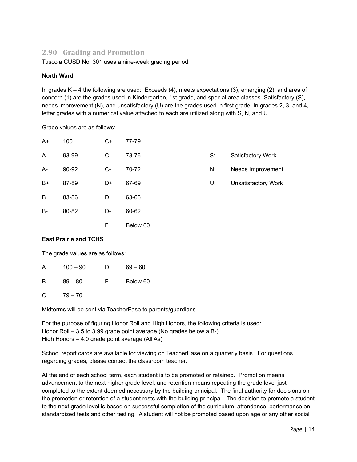# **2.90 Grading and Promotion**

Tuscola CUSD No. 301 uses a nine-week grading period.

#### **North Ward**

In grades K – 4 the following are used: Exceeds (4), meets expectations (3), emerging (2), and area of concern (1) are the grades used in Kindergarten, 1st grade, and special area classes. Satisfactory (S), needs improvement (N), and unsatisfactory (U) are the grades used in first grade. In grades 2, 3, and 4, letter grades with a numerical value attached to each are utilized along with S, N, and U.

Grade values are as follows:

| $A+$ | 100   | C+ | 77-79    |    |                            |
|------|-------|----|----------|----|----------------------------|
| A    | 93-99 | С  | 73-76    | S: | Satisfactory Work          |
| A-   | 90-92 | C- | 70-72    | N: | Needs Improvement          |
| $B+$ | 87-89 | D+ | 67-69    | U: | <b>Unsatisfactory Work</b> |
| B    | 83-86 | D  | 63-66    |    |                            |
| B-   | 80-82 | D- | 60-62    |    |                            |
|      |       | F  | Below 60 |    |                            |

#### **East Prairie and TCHS**

The grade values are as follows:

| A | $100 - 90$ | D  | $69 - 60$ |
|---|------------|----|-----------|
| B | $89 - 80$  | F. | Below 60  |

 $C = 79 - 70$ 

Midterms will be sent via TeacherEase to parents/guardians.

For the purpose of figuring Honor Roll and High Honors, the following criteria is used: Honor Roll – 3.5 to 3.99 grade point average (No grades below a B-) High Honors – 4.0 grade point average (All As)

School report cards are available for viewing on TeacherEase on a quarterly basis. For questions regarding grades, please contact the classroom teacher.

At the end of each school term, each student is to be promoted or retained. Promotion means advancement to the next higher grade level, and retention means repeating the grade level just completed to the extent deemed necessary by the building principal. The final authority for decisions on the promotion or retention of a student rests with the building principal. The decision to promote a student to the next grade level is based on successful completion of the curriculum, attendance, performance on standardized tests and other testing. A student will not be promoted based upon age or any other social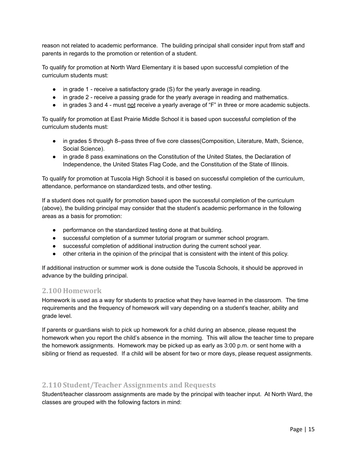reason not related to academic performance. The building principal shall consider input from staff and parents in regards to the promotion or retention of a student.

To qualify for promotion at North Ward Elementary it is based upon successful completion of the curriculum students must:

- in grade 1 receive a satisfactory grade (S) for the yearly average in reading.
- in grade 2 receive a passing grade for the yearly average in reading and mathematics.
- in grades 3 and 4 must not receive a yearly average of "F" in three or more academic subjects.

To qualify for promotion at East Prairie Middle School it is based upon successful completion of the curriculum students must:

- in grades 5 through 8–pass three of five core classes(Composition, Literature, Math, Science, Social Science).
- in grade 8 pass examinations on the Constitution of the United States, the Declaration of Independence, the United States Flag Code, and the Constitution of the State of Illinois.

To qualify for promotion at Tuscola High School it is based on successful completion of the curriculum, attendance, performance on standardized tests, and other testing.

If a student does not qualify for promotion based upon the successful completion of the curriculum (above), the building principal may consider that the student's academic performance in the following areas as a basis for promotion:

- performance on the standardized testing done at that building.
- successful completion of a summer tutorial program or summer school program.
- successful completion of additional instruction during the current school year.
- other criteria in the opinion of the principal that is consistent with the intent of this policy.

If additional instruction or summer work is done outside the Tuscola Schools, it should be approved in advance by the building principal.

#### <span id="page-15-0"></span>**2.100 Homework**

Homework is used as a way for students to practice what they have learned in the classroom. The time requirements and the frequency of homework will vary depending on a student's teacher, ability and grade level.

If parents or guardians wish to pick up homework for a child during an absence, please request the homework when you report the child's absence in the morning. This will allow the teacher time to prepare the homework assignments. Homework may be picked up as early as 3:00 p.m. or sent home with a sibling or friend as requested. If a child will be absent for two or more days, please request assignments.

#### <span id="page-15-1"></span>**2.110 Student/Teacher Assignments and Requests**

Student/teacher classroom assignments are made by the principal with teacher input. At North Ward, the classes are grouped with the following factors in mind: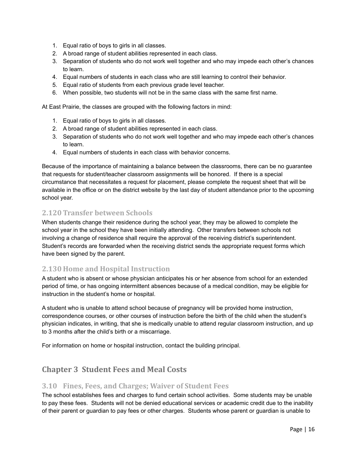- 1. Equal ratio of boys to girls in all classes.
- 2. A broad range of student abilities represented in each class.
- 3. Separation of students who do not work well together and who may impede each other's chances to learn.
- 4. Equal numbers of students in each class who are still learning to control their behavior.
- 5. Equal ratio of students from each previous grade level teacher.
- 6. When possible, two students will not be in the same class with the same first name.

At East Prairie, the classes are grouped with the following factors in mind:

- 1. Equal ratio of boys to girls in all classes.
- 2. A broad range of student abilities represented in each class.
- 3. Separation of students who do not work well together and who may impede each other's chances to learn.
- 4. Equal numbers of students in each class with behavior concerns.

Because of the importance of maintaining a balance between the classrooms, there can be no guarantee that requests for student/teacher classroom assignments will be honored. If there is a special circumstance that necessitates a request for placement, please complete the request sheet that will be available in the office or on the district website by the last day of student attendance prior to the upcoming school year.

## <span id="page-16-0"></span>**2.120 Transfer between Schools**

When students change their residence during the school year, they may be allowed to complete the school year in the school they have been initially attending. Other transfers between schools not involving a change of residence shall require the approval of the receiving district's superintendent. Student's records are forwarded when the receiving district sends the appropriate request forms which have been signed by the parent.

#### <span id="page-16-1"></span>**2.130 Home and Hospital Instruction**

A student who is absent or whose physician anticipates his or her absence from school for an extended period of time, or has ongoing intermittent absences because of a medical condition, may be eligible for instruction in the student's home or hospital.

A student who is unable to attend school because of pregnancy will be provided home instruction, correspondence courses, or other courses of instruction before the birth of the child when the student's physician indicates, in writing, that she is medically unable to attend regular classroom instruction, and up to 3 months after the child's birth or a miscarriage.

For information on home or hospital instruction, contact the building principal.

# <span id="page-16-2"></span>**Chapter 3 Student Fees and Meal Costs**

#### <span id="page-16-3"></span>**3.10 Fines, Fees, and Charges; Waiver of Student Fees**

The school establishes fees and charges to fund certain school activities. Some students may be unable to pay these fees. Students will not be denied educational services or academic credit due to the inability of their parent or guardian to pay fees or other charges. Students whose parent or guardian is unable to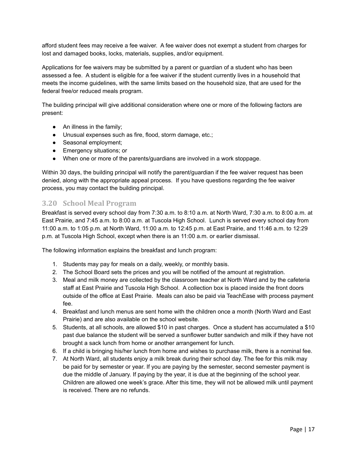afford student fees may receive a fee waiver. A fee waiver does not exempt a student from charges for lost and damaged books, locks, materials, supplies, and/or equipment.

Applications for fee waivers may be submitted by a parent or guardian of a student who has been assessed a fee. A student is eligible for a fee waiver if the student currently lives in a household that meets the income guidelines, with the same limits based on the household size, that are used for the federal free/or reduced meals program.

The building principal will give additional consideration where one or more of the following factors are present:

- An illness in the family;
- Unusual expenses such as fire, flood, storm damage, etc.;
- Seasonal employment;
- Emergency situations; or
- When one or more of the parents/guardians are involved in a work stoppage.

Within 30 days, the building principal will notify the parent/guardian if the fee waiver request has been denied, along with the appropriate appeal process. If you have questions regarding the fee waiver process, you may contact the building principal.

#### <span id="page-17-0"></span>**3.20 School Meal Program**

Breakfast is served every school day from 7:30 a.m. to 8:10 a.m. at North Ward, 7:30 a.m. to 8:00 a.m. at East Prairie, and 7:45 a.m. to 8:00 a.m. at Tuscola High School. Lunch is served every school day from 11:00 a.m. to 1:05 p.m. at North Ward, 11:00 a.m. to 12:45 p.m. at East Prairie, and 11:46 a.m. to 12:29 p.m. at Tuscola High School, except when there is an 11:00 a.m. or earlier dismissal.

The following information explains the breakfast and lunch program:

- 1. Students may pay for meals on a daily, weekly, or monthly basis.
- 2. The School Board sets the prices and you will be notified of the amount at registration.
- 3. Meal and milk money are collected by the classroom teacher at North Ward and by the cafeteria staff at East Prairie and Tuscola High School. A collection box is placed inside the front doors outside of the office at East Prairie. Meals can also be paid via TeachEase with process payment fee.
- 4. Breakfast and lunch menus are sent home with the children once a month (North Ward and East Prairie) and are also available on the school website.
- 5. Students, at all schools, are allowed \$10 in past charges. Once a student has accumulated a \$10 past due balance the student will be served a sunflower butter sandwich and milk if they have not brought a sack lunch from home or another arrangement for lunch.
- 6. If a child is bringing his/her lunch from home and wishes to purchase milk, there is a nominal fee.
- 7. At North Ward, all students enjoy a milk break during their school day. The fee for this milk may be paid for by semester or year. If you are paying by the semester, second semester payment is due the middle of January. If paying by the year, it is due at the beginning of the school year. Children are allowed one week's grace. After this time, they will not be allowed milk until payment is received. There are no refunds.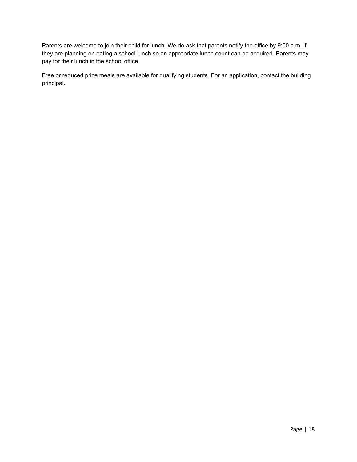Parents are welcome to join their child for lunch. We do ask that parents notify the office by 9:00 a.m. if they are planning on eating a school lunch so an appropriate lunch count can be acquired. Parents may pay for their lunch in the school office.

Free or reduced price meals are available for qualifying students. For an application, contact the building principal.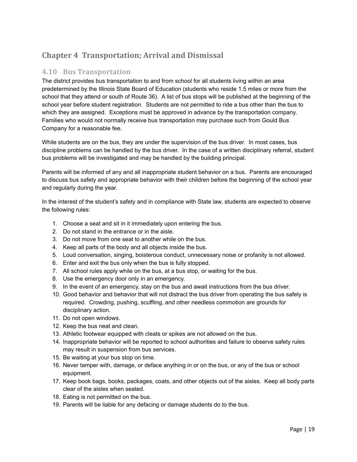# <span id="page-19-0"></span>**Chapter 4 Transportation; Arrival and Dismissal**

# <span id="page-19-1"></span>**4.10 Bus Transportation**

The district provides bus transportation to and from school for all students living within an area predetermined by the Illinois State Board of Education (students who reside 1.5 miles or more from the school that they attend or south of Route 36). A list of bus stops will be published at the beginning of the school year before student registration. Students are not permitted to ride a bus other than the bus to which they are assigned. Exceptions must be approved in advance by the transportation company. Families who would not normally receive bus transportation may purchase such from Gould Bus Company for a reasonable fee.

While students are on the bus, they are under the supervision of the bus driver. In most cases, bus discipline problems can be handled by the bus driver. In the case of a written disciplinary referral, student bus problems will be investigated and may be handled by the building principal.

Parents will be informed of any and all inappropriate student behavior on a bus. Parents are encouraged to discuss bus safety and appropriate behavior with their children before the beginning of the school year and regularly during the year.

In the interest of the student's safety and in compliance with State law, students are expected to observe the following rules:

- 1. Choose a seat and sit in it immediately upon entering the bus.
- 2. Do not stand in the entrance or in the aisle.
- 3. Do not move from one seat to another while on the bus.
- 4. Keep all parts of the body and all objects inside the bus.
- 5. Loud conversation, singing, boisterous conduct, unnecessary noise or profanity is not allowed.
- 6. Enter and exit the bus only when the bus is fully stopped.
- 7. All school rules apply while on the bus, at a bus stop, or waiting for the bus.
- 8. Use the emergency door only in an emergency.
- 9. In the event of an emergency, stay on the bus and await instructions from the bus driver.
- 10. Good behavior and behavior that will not distract the bus driver from operating the bus safely is required. Crowding, pushing, scuffling, and other needless commotion are grounds for disciplinary action.
- 11. Do not open windows.
- 12. Keep the bus neat and clean.
- 13. Athletic footwear equipped with cleats or spikes are not allowed on the bus.
- 14. Inappropriate behavior will be reported to school authorities and failure to observe safety rules may result in suspension from bus services.
- 15. Be waiting at your bus stop on time.
- 16. Never tamper with, damage, or deface anything in or on the bus, or any of the bus or school equipment.
- 17. Keep book bags, books, packages, coats, and other objects out of the aisles. Keep all body parts clear of the aisles when seated.
- 18. Eating is not permitted on the bus.
- 19. Parents will be liable for any defacing or damage students do to the bus.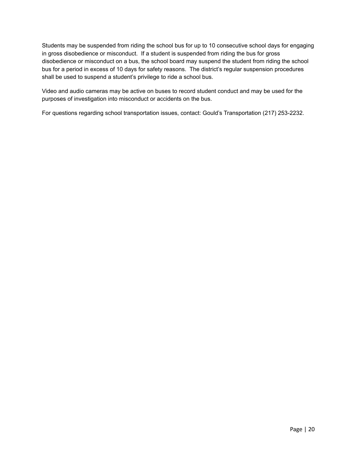Students may be suspended from riding the school bus for up to 10 consecutive school days for engaging in gross disobedience or misconduct. If a student is suspended from riding the bus for gross disobedience or misconduct on a bus, the school board may suspend the student from riding the school bus for a period in excess of 10 days for safety reasons. The district's regular suspension procedures shall be used to suspend a student's privilege to ride a school bus.

Video and audio cameras may be active on buses to record student conduct and may be used for the purposes of investigation into misconduct or accidents on the bus.

For questions regarding school transportation issues, contact: Gould's Transportation (217) 253-2232.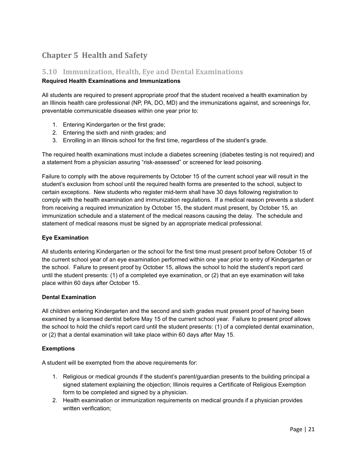# <span id="page-21-0"></span>**Chapter 5 Health and Safety**

# <span id="page-21-1"></span>**5.10 Immunization, Health, Eye and Dental Examinations**

#### **Required Health Examinations and Immunizations**

All students are required to present appropriate proof that the student received a health examination by an Illinois health care professional (NP, PA, DO, MD) and the immunizations against, and screenings for, preventable communicable diseases within one year prior to:

- 1. Entering Kindergarten or the first grade;
- 2. Entering the sixth and ninth grades; and
- 3. Enrolling in an Illinois school for the first time, regardless of the student's grade.

The required health examinations must include a diabetes screening (diabetes testing is not required) and a statement from a physician assuring "risk-assessed" or screened for lead poisoning.

Failure to comply with the above requirements by October 15 of the current school year will result in the student's exclusion from school until the required health forms are presented to the school, subject to certain exceptions. New students who register mid-term shall have 30 days following registration to comply with the health examination and immunization regulations. If a medical reason prevents a student from receiving a required immunization by October 15, the student must present, by October 15, an immunization schedule and a statement of the medical reasons causing the delay. The schedule and statement of medical reasons must be signed by an appropriate medical professional.

#### **Eye Examination**

All students entering Kindergarten or the school for the first time must present proof before October 15 of the current school year of an eye examination performed within one year prior to entry of Kindergarten or the school. Failure to present proof by October 15, allows the school to hold the student's report card until the student presents: (1) of a completed eye examination, or (2) that an eye examination will take place within 60 days after October 15.

#### **Dental Examination**

All children entering Kindergarten and the second and sixth grades must present proof of having been examined by a licensed dentist before May 15 of the current school year. Failure to present proof allows the school to hold the child's report card until the student presents: (1) of a completed dental examination, or (2) that a dental examination will take place within 60 days after May 15.

#### **Exemptions**

A student will be exempted from the above requirements for:

- 1. Religious or medical grounds if the student's parent/guardian presents to the building principal a signed statement explaining the objection; Illinois requires a Certificate of Religious Exemption form to be completed and signed by a physician.
- 2. Health examination or immunization requirements on medical grounds if a physician provides written verification;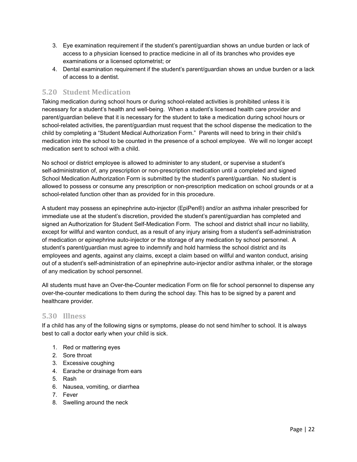- 3. Eye examination requirement if the student's parent/guardian shows an undue burden or lack of access to a physician licensed to practice medicine in all of its branches who provides eye examinations or a licensed optometrist; or
- 4. Dental examination requirement if the student's parent/guardian shows an undue burden or a lack of access to a dentist.

# <span id="page-22-0"></span>**5.20 Student Medication**

Taking medication during school hours or during school-related activities is prohibited unless it is necessary for a student's health and well-being. When a student's licensed health care provider and parent/guardian believe that it is necessary for the student to take a medication during school hours or school-related activities, the parent/guardian must request that the school dispense the medication to the child by completing a "Student Medical Authorization Form." Parents will need to bring in their child's medication into the school to be counted in the presence of a school employee. We will no longer accept medication sent to school with a child.

No school or district employee is allowed to administer to any student, or supervise a student's self-administration of, any prescription or non-prescription medication until a completed and signed School Medication Authorization Form is submitted by the student's parent/guardian. No student is allowed to possess or consume any prescription or non-prescription medication on school grounds or at a school-related function other than as provided for in this procedure.

A student may possess an epinephrine auto-injector (EpiPen®) and/or an asthma inhaler prescribed for immediate use at the student's discretion, provided the student's parent/guardian has completed and signed an Authorization for Student Self-Medication Form. The school and district shall incur no liability, except for willful and wanton conduct, as a result of any injury arising from a student's self-administration of medication or epinephrine auto-injector or the storage of any medication by school personnel. A student's parent/guardian must agree to indemnify and hold harmless the school district and its employees and agents, against any claims, except a claim based on willful and wanton conduct, arising out of a student's self-administration of an epinephrine auto-injector and/or asthma inhaler, or the storage of any medication by school personnel.

All students must have an Over-the-Counter medication Form on file for school personnel to dispense any over-the-counter medications to them during the school day. This has to be signed by a parent and healthcare provider.

#### <span id="page-22-1"></span>**5.30 Illness**

If a child has any of the following signs or symptoms, please do not send him/her to school. It is always best to call a doctor early when your child is sick.

- 1. Red or mattering eyes
- 2. Sore throat
- 3. Excessive coughing
- 4. Earache or drainage from ears
- 5. Rash
- 6. Nausea, vomiting, or diarrhea
- 7. Fever
- 8. Swelling around the neck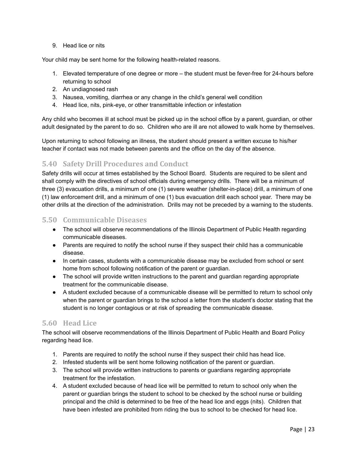9. Head lice or nits

Your child may be sent home for the following health-related reasons.

- 1. Elevated temperature of one degree or more the student must be fever-free for 24-hours before returning to school
- 2. An undiagnosed rash
- 3. Nausea, vomiting, diarrhea or any change in the child's general well condition
- 4. Head lice, nits, pink-eye, or other transmittable infection or infestation

Any child who becomes ill at school must be picked up in the school office by a parent, guardian, or other adult designated by the parent to do so. Children who are ill are not allowed to walk home by themselves.

Upon returning to school following an illness, the student should present a written excuse to his/her teacher if contact was not made between parents and the office on the day of the absence.

# <span id="page-23-0"></span>**5.40 Safety Drill Procedures and Conduct**

Safety drills will occur at times established by the School Board. Students are required to be silent and shall comply with the directives of school officials during emergency drills. There will be a minimum of three (3) evacuation drills, a minimum of one (1) severe weather (shelter-in-place) drill, a minimum of one (1) law enforcement drill, and a minimum of one (1) bus evacuation drill each school year. There may be other drills at the direction of the administration. Drills may not be preceded by a warning to the students.

#### <span id="page-23-1"></span>**5.50 Communicable Diseases**

- The school will observe recommendations of the Illinois Department of Public Health regarding communicable diseases.
- Parents are required to notify the school nurse if they suspect their child has a communicable disease.
- In certain cases, students with a communicable disease may be excluded from school or sent home from school following notification of the parent or guardian.
- The school will provide written instructions to the parent and guardian regarding appropriate treatment for the communicable disease.
- A student excluded because of a communicable disease will be permitted to return to school only when the parent or guardian brings to the school a letter from the student's doctor stating that the student is no longer contagious or at risk of spreading the communicable disease.

## <span id="page-23-2"></span>**5.60 Head Lice**

The school will observe recommendations of the Illinois Department of Public Health and Board Policy regarding head lice.

- 1. Parents are required to notify the school nurse if they suspect their child has head lice.
- 2. Infested students will be sent home following notification of the parent or guardian.
- 3. The school will provide written instructions to parents or guardians regarding appropriate treatment for the infestation.
- 4. A student excluded because of head lice will be permitted to return to school only when the parent or guardian brings the student to school to be checked by the school nurse or building principal and the child is determined to be free of the head lice and eggs (nits). Children that have been infested are prohibited from riding the bus to school to be checked for head lice.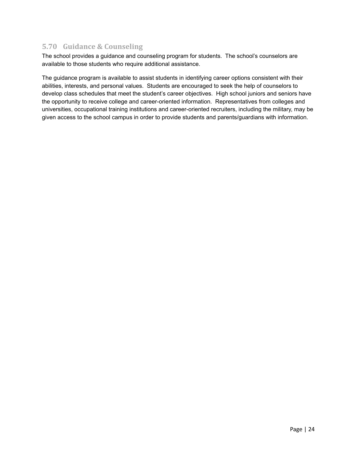# <span id="page-24-0"></span>**5.70 Guidance & Counseling**

The school provides a guidance and counseling program for students. The school's counselors are available to those students who require additional assistance.

The guidance program is available to assist students in identifying career options consistent with their abilities, interests, and personal values. Students are encouraged to seek the help of counselors to develop class schedules that meet the student's career objectives. High school juniors and seniors have the opportunity to receive college and career-oriented information. Representatives from colleges and universities, occupational training institutions and career-oriented recruiters, including the military, may be given access to the school campus in order to provide students and parents/guardians with information.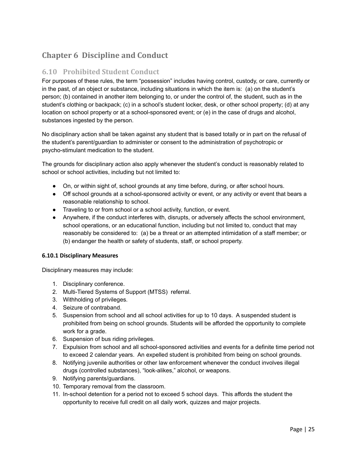# <span id="page-25-0"></span>**Chapter 6 Discipline and Conduct**

# <span id="page-25-1"></span>**6.10 Prohibited Student Conduct**

For purposes of these rules, the term "possession" includes having control, custody, or care, currently or in the past, of an object or substance, including situations in which the item is: (a) on the student's person; (b) contained in another item belonging to, or under the control of, the student, such as in the student's clothing or backpack; (c) in a school's student locker, desk, or other school property; (d) at any location on school property or at a school-sponsored event; or (e) in the case of drugs and alcohol, substances ingested by the person.

No disciplinary action shall be taken against any student that is based totally or in part on the refusal of the student's parent/guardian to administer or consent to the administration of psychotropic or psycho-stimulant medication to the student.

The grounds for disciplinary action also apply whenever the student's conduct is reasonably related to school or school activities, including but not limited to:

- On, or within sight of, school grounds at any time before, during, or after school hours.
- Off school grounds at a school-sponsored activity or event, or any activity or event that bears a reasonable relationship to school.
- Traveling to or from school or a school activity, function, or event.
- Anywhere, if the conduct interferes with, disrupts, or adversely affects the school environment, school operations, or an educational function, including but not limited to, conduct that may reasonably be considered to: (a) be a threat or an attempted intimidation of a staff member; or (b) endanger the health or safety of students, staff, or school property.

#### **6.10.1 Disciplinary Measures**

Disciplinary measures may include:

- 1. Disciplinary conference.
- 2. Multi-Tiered Systems of Support (MTSS) referral.
- 3. Withholding of privileges.
- 4. Seizure of contraband.
- 5. Suspension from school and all school activities for up to 10 days. A suspended student is prohibited from being on school grounds. Students will be afforded the opportunity to complete work for a grade.
- 6. Suspension of bus riding privileges.
- 7. Expulsion from school and all school-sponsored activities and events for a definite time period not to exceed 2 calendar years. An expelled student is prohibited from being on school grounds.
- 8. Notifying juvenile authorities or other law enforcement whenever the conduct involves illegal drugs (controlled substances), "look-alikes," alcohol, or weapons.
- 9. Notifying parents/guardians.
- 10. Temporary removal from the classroom.
- 11. In-school detention for a period not to exceed 5 school days. This affords the student the opportunity to receive full credit on all daily work, quizzes and major projects.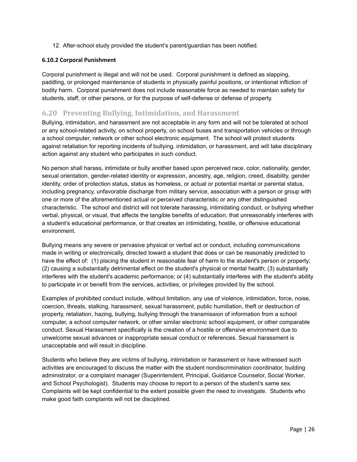12. After-school study provided the student's parent/guardian has been notified.

#### **6.10.2 Corporal Punishment**

Corporal punishment is illegal and will not be used. Corporal punishment is defined as slapping, paddling, or prolonged maintenance of students in physically painful positions, or intentional infliction of bodily harm. Corporal punishment does not include reasonable force as needed to maintain safety for students, staff, or other persons, or for the purpose of self-defense or defense of property.

## <span id="page-26-0"></span>**6.20 Preventing Bullying, Intimidation, and Harassment**

Bullying, intimidation, and harassment are not acceptable in any form and will not be tolerated at school or any school-related activity, on school property, on school buses and transportation vehicles or through a school computer, network or other school electronic equipment. The school will protect students against retaliation for reporting incidents of bullying, intimidation, or harassment, and will take disciplinary action against any student who participates in such conduct.

No person shall harass, intimidate or bully another based upon perceived race, color, nationality, gender, sexual orientation, gender-related identity or expression, ancestry, age, religion, creed, disability, gender identity, order of protection status, status as homeless, or actual or potential marital or parental status, including pregnancy, unfavorable discharge from military service, association with a person or group with one or more of the aforementioned actual or perceived characteristic or any other distinguished characteristic. The school and district will not tolerate harassing, intimidating conduct, or bullying whether verbal, physical, or visual, that affects the tangible benefits of education, that unreasonably interferes with a student's educational performance, or that creates an intimidating, hostile, or offensive educational environment.

Bullying means any severe or pervasive physical or verbal act or conduct, including communications made in writing or electronically, directed toward a student that does or can be reasonably predicted to have the effect of: (1) placing the student in reasonable fear of harm to the student's person or property; (2) causing a substantially detrimental effect on the student's physical or mental health; (3) substantially interferes with the student's academic performance; or (4) substantially interferes with the student's ability to participate in or benefit from the services, activities, or privileges provided by the school.

Examples of prohibited conduct include, without limitation, any use of violence, intimidation, force, noise, coercion, threats, stalking, harassment, sexual harassment, public humiliation, theft or destruction of property, retaliation, hazing, bullying, bullying through the transmission of information from a school computer, a school computer network, or other similar electronic school equipment, or other comparable conduct. Sexual Harassment specifically is the creation of a hostile or offensive environment due to unwelcome sexual advances or inappropriate sexual conduct or references. Sexual harassment is unacceptable and will result in discipline.

Students who believe they are victims of bullying, intimidation or harassment or have witnessed such activities are encouraged to discuss the matter with the student nondiscrimination coordinator, building administrator, or a complaint manager (Superintendent, Principal, Guidance Counselor, Social Worker, and School Psychologist). Students may choose to report to a person of the student's same sex. Complaints will be kept confidential to the extent possible given the need to investigate. Students who make good faith complaints will not be disciplined.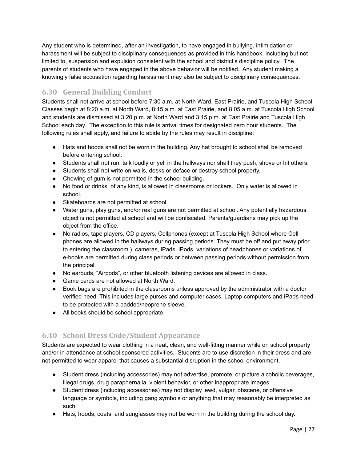Any student who is determined, after an investigation, to have engaged in bullying, intimidation or harassment will be subject to disciplinary consequences as provided in this handbook, including but not limited to, suspension and expulsion consistent with the school and district's discipline policy. The parents of students who have engaged in the above behavior will be notified. Any student making a knowingly false accusation regarding harassment may also be subject to disciplinary consequences.

# <span id="page-27-0"></span>**6.30 General Building Conduct**

Students shall not arrive at school before 7:30 a.m. at North Ward, East Prairie, and Tuscola High School. Classes begin at 8:20 a.m. at North Ward, 8:15 a.m. at East Prairie, and 8:05 a.m. at Tuscola High School and students are dismissed at 3:20 p.m. at North Ward and 3:15 p.m. at East Prairie and Tuscola High School each day. The exception to this rule is arrival times for designated zero hour students. The following rules shall apply, and failure to abide by the rules may result in discipline:

- Hats and hoods shall not be worn in the building. Any hat brought to school shall be removed before entering school.
- Students shall not run, talk loudly or yell in the hallways nor shall they push, shove or hit others.
- Students shall not write on walls, desks or deface or destroy school property.
- Chewing of gum is not permitted in the school building.
- No food or drinks, of any kind, is allowed in classrooms or lockers. Only water is allowed in school.
- Skateboards are not permitted at school.
- Water guns, play guns, and/or real guns are not permitted at school. Any potentially hazardous object is not permitted at school and will be confiscated. Parents/guardians may pick up the object from the office.
- No radios, tape players, CD players, Cellphones (except at Tuscola High School where Cell phones are allowed in the hallways during passing periods. They must be off and put away prior to entering the classroom.), cameras, iPads, iPods, variations of headphones or variations of e-books are permitted during class periods or between passing periods without permission from the principal.
- No earbuds, "Airpods", or other bluetooth listening devices are allowed in class.
- Game cards are not allowed at North Ward.
- Book bags are prohibited in the classrooms unless approved by the administrator with a doctor verified need. This includes large purses and computer cases. Laptop computers and iPads need to be protected with a padded/neoprene sleeve.
- All books should be school appropriate.

# <span id="page-27-1"></span>**6.40 School Dress Code/Student Appearance**

Students are expected to wear clothing in a neat, clean, and well-fitting manner while on school property and/or in attendance at school sponsored activities. Students are to use discretion in their dress and are not permitted to wear apparel that causes a substantial disruption in the school environment.

- Student dress (including accessories) may not advertise, promote, or picture alcoholic beverages, illegal drugs, drug paraphernalia, violent behavior, or other inappropriate images.
- Student dress (including accessories) may not display lewd, vulgar, obscene, or offensive language or symbols, including gang symbols or anything that may reasonably be interpreted as such.
- Hats, hoods, coats, and sunglasses may not be worn in the building during the school day.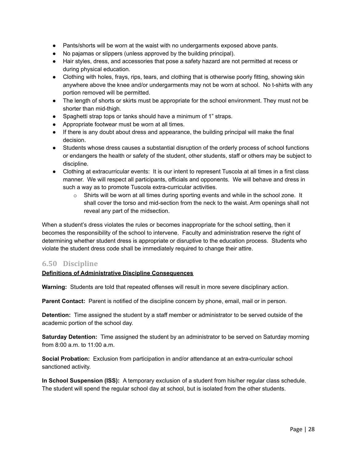- Pants/shorts will be worn at the waist with no undergarments exposed above pants.
- No pajamas or slippers (unless approved by the building principal).
- Hair styles, dress, and accessories that pose a safety hazard are not permitted at recess or during physical education.
- Clothing with holes, frays, rips, tears, and clothing that is otherwise poorly fitting, showing skin anywhere above the knee and/or undergarments may not be worn at school. No t-shirts with any portion removed will be permitted.
- The length of shorts or skirts must be appropriate for the school environment. They must not be shorter than mid-thigh.
- Spaghetti strap tops or tanks should have a minimum of 1" straps.
- Appropriate footwear must be worn at all times.
- If there is any doubt about dress and appearance, the building principal will make the final decision.
- Students whose dress causes a substantial disruption of the orderly process of school functions or endangers the health or safety of the student, other students, staff or others may be subject to discipline.
- Clothing at extracurricular events: It is our intent to represent Tuscola at all times in a first class manner. We will respect all participants, officials and opponents. We will behave and dress in such a way as to promote Tuscola extra-curricular activities.
	- $\circ$  Shirts will be worn at all times during sporting events and while in the school zone. It shall cover the torso and mid-section from the neck to the waist. Arm openings shall not reveal any part of the midsection.

When a student's dress violates the rules or becomes inappropriate for the school setting, then it becomes the responsibility of the school to intervene. Faculty and administration reserve the right of determining whether student dress is appropriate or disruptive to the education process. Students who violate the student dress code shall be immediately required to change their attire.

#### <span id="page-28-0"></span>**6.50 Discipline**

#### **Definitions of Administrative Discipline Consequences**

**Warning:** Students are told that repeated offenses will result in more severe disciplinary action.

**Parent Contact:** Parent is notified of the discipline concern by phone, email, mail or in person.

**Detention:** Time assigned the student by a staff member or administrator to be served outside of the academic portion of the school day.

**Saturday Detention:** Time assigned the student by an administrator to be served on Saturday morning from 8:00 a.m. to 11:00 a.m.

**Social Probation:** Exclusion from participation in and/or attendance at an extra-curricular school sanctioned activity.

**In School Suspension (ISS):** A temporary exclusion of a student from his/her regular class schedule. The student will spend the regular school day at school, but is isolated from the other students.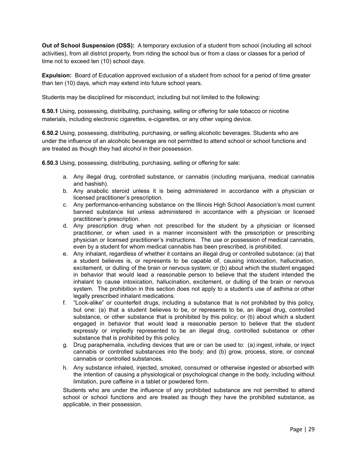**Out of School Suspension (OSS):** A temporary exclusion of a student from school (including all school activities), from all district property, from riding the school bus or from a class or classes for a period of time not to exceed ten (10) school days.

**Expulsion:** Board of Education approved exclusion of a student from school for a period of time greater than ten (10) days, which may extend into future school years.

Students may be disciplined for misconduct, including but not limited to the following:

**6.50.1** Using, possessing, distributing, purchasing, selling or offering for sale tobacco or nicotine materials, including electronic cigarettes, e-cigarettes, or any other vaping device.

**6.50.2** Using, possessing, distributing, purchasing, or selling alcoholic beverages. Students who are under the influence of an alcoholic beverage are not permitted to attend school or school functions and are treated as though they had alcohol in their possession.

**6.50.3** Using, possessing, distributing, purchasing, selling or offering for sale:

- a. Any illegal drug, controlled substance, or cannabis (including marijuana, medical cannabis and hashish).
- b. Any anabolic steroid unless it is being administered in accordance with a physician or licensed practitioner's prescription.
- c. Any performance-enhancing substance on the Illinois High School Association's most current banned substance list unless administered in accordance with a physician or licensed practitioner's prescription.
- d. Any prescription drug when not prescribed for the student by a physician or licensed practitioner, or when used in a manner inconsistent with the prescription or prescribing physician or licensed practitioner's instructions. The use or possession of medical cannabis, even by a student for whom medical cannabis has been prescribed, is prohibited.
- e. Any inhalant, regardless of whether it contains an illegal drug or controlled substance: (a) that a student believes is, or represents to be capable of, causing intoxication, hallucination, excitement, or dulling of the brain or nervous system; or (b) about which the student engaged in behavior that would lead a reasonable person to believe that the student intended the inhalant to cause intoxication, hallucination, excitement, or dulling of the brain or nervous system. The prohibition in this section does not apply to a student's use of asthma or other legally prescribed inhalant medications.
- f. "Look-alike" or counterfeit drugs, including a substance that is not prohibited by this policy, but one: (a) that a student believes to be, or represents to be, an illegal drug, controlled substance, or other substance that is prohibited by this policy; or (b) about which a student engaged in behavior that would lead a reasonable person to believe that the student expressly or impliedly represented to be an illegal drug, controlled substance or other substance that is prohibited by this policy.
- g. Drug paraphernalia, including devices that are or can be used to: (a) ingest, inhale, or inject cannabis or controlled substances into the body; and (b) grow, process, store, or conceal cannabis or controlled substances.
- h. Any substance inhaled, injected, smoked, consumed or otherwise ingested or absorbed with the intention of causing a physiological or psychological change in the body, including without limitation, pure caffeine in a tablet or powdered form.

Students who are under the influence of any prohibited substance are not permitted to attend school or school functions and are treated as though they have the prohibited substance, as applicable, in their possession.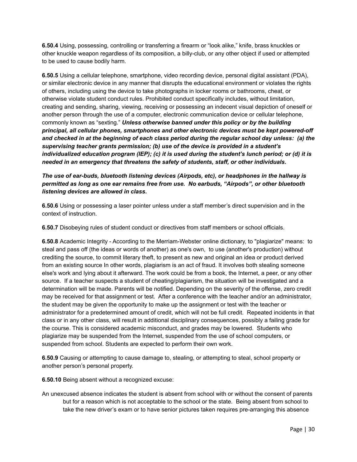**6.50.4** Using, possessing, controlling or transferring a firearm or "look alike," knife, brass knuckles or other knuckle weapon regardless of its composition, a billy-club, or any other object if used or attempted to be used to cause bodily harm.

**6.50.5** Using a cellular telephone, smartphone, video recording device, personal digital assistant (PDA), or similar electronic device in any manner that disrupts the educational environment or violates the rights of others, including using the device to take photographs in locker rooms or bathrooms, cheat, or otherwise violate student conduct rules. Prohibited conduct specifically includes, without limitation, creating and sending, sharing, viewing, receiving or possessing an indecent visual depiction of oneself or another person through the use of a computer, electronic communication device or cellular telephone, commonly known as "sexting." *Unless otherwise banned under this policy or by the building principal, all cellular phones, smartphones and other electronic devices must be kept powered-off and checked in at the beginning of each class period during the regular school day unless: (a) the supervising teacher grants permission; (b) use of the device is provided in a student's individualized education program (IEP); (c) it is used during the student's lunch period; or (d) it is needed in an emergency that threatens the safety of students, staff, or other individuals.*

#### *The use of ear-buds, bluetooth listening devices (Airpods, etc), or headphones in the hallway is permitted as long as one ear remains free from use. No earbuds, "Airpods", or other bluetooth listening devices are allowed in class.*

**6.50.6** Using or possessing a laser pointer unless under a staff member's direct supervision and in the context of instruction.

**6.50.7** Disobeying rules of student conduct or directives from staff members or school officials.

**6.50.8** Academic Integrity - According to the Merriam-Webster online dictionary, to "plagiarize" means: to steal and pass off (the ideas or words of another) as one's own, to use (another's production) without crediting the source, to commit literary theft, to present as new and original an idea or product derived from an existing source In other words, plagiarism is an act of fraud. It involves both stealing someone else's work and lying about it afterward. The work could be from a book, the Internet, a peer, or any other source. If a teacher suspects a student of cheating/plagiarism, the situation will be investigated and a determination will be made. Parents will be notified. Depending on the severity of the offense, zero credit may be received for that assignment or test. After a conference with the teacher and/or an administrator, the student may be given the opportunity to make up the assignment or test with the teacher or administrator for a predetermined amount of credit, which will not be full credit. Repeated incidents in that class or in any other class, will result in additional disciplinary consequences, possibly a failing grade for the course. This is considered academic misconduct, and grades may be lowered. Students who plagiarize may be suspended from the Internet, suspended from the use of school computers, or suspended from school. Students are expected to perform their own work.

**6.50.9** Causing or attempting to cause damage to, stealing, or attempting to steal, school property or another person's personal property.

**6.50.10** Being absent without a recognized excuse:

An unexcused absence indicates the student is absent from school with or without the consent of parents but for a reason which is not acceptable to the school or the state. Being absent from school to take the new driver's exam or to have senior pictures taken requires pre-arranging this absence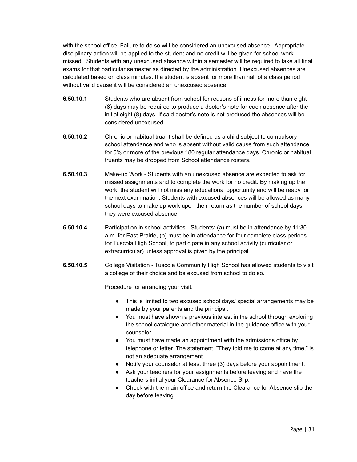with the school office. Failure to do so will be considered an unexcused absence. Appropriate disciplinary action will be applied to the student and no credit will be given for school work missed. Students with any unexcused absence within a semester will be required to take all final exams for that particular semester as directed by the administration. Unexcused absences are calculated based on class minutes. If a student is absent for more than half of a class period without valid cause it will be considered an unexcused absence.

- **6.50.10.1** Students who are absent from school for reasons of illness for more than eight (8) days may be required to produce a doctor's note for each absence after the initial eight (8) days. If said doctor's note is not produced the absences will be considered unexcused.
- **6.50.10.2** Chronic or habitual truant shall be defined as a child subject to compulsory school attendance and who is absent without valid cause from such attendance for 5% or more of the previous 180 regular attendance days. Chronic or habitual truants may be dropped from School attendance rosters.
- **6.50.10.3** Make-up Work Students with an unexcused absence are expected to ask for missed assignments and to complete the work for no credit. By making up the work, the student will not miss any educational opportunity and will be ready for the next examination. Students with excused absences will be allowed as many school days to make up work upon their return as the number of school days they were excused absence.
- **6.50.10.4** Participation in school activities Students: (a) must be in attendance by 11:30 a.m. for East Prairie, (b) must be in attendance for four complete class periods for Tuscola High School, to participate in any school activity (curricular or extracurricular) unless approval is given by the principal.
- **6.50.10.5** College Visitation Tuscola Community High School has allowed students to visit a college of their choice and be excused from school to do so.

Procedure for arranging your visit.

- This is limited to two excused school days/ special arrangements may be made by your parents and the principal.
- You must have shown a previous interest in the school through exploring the school catalogue and other material in the guidance office with your counselor.
- You must have made an appointment with the admissions office by telephone or letter. The statement, "They told me to come at any time," is not an adequate arrangement.
- Notify your counselor at least three (3) days before your appointment.
- Ask your teachers for your assignments before leaving and have the teachers initial your Clearance for Absence Slip.
- Check with the main office and return the Clearance for Absence slip the day before leaving.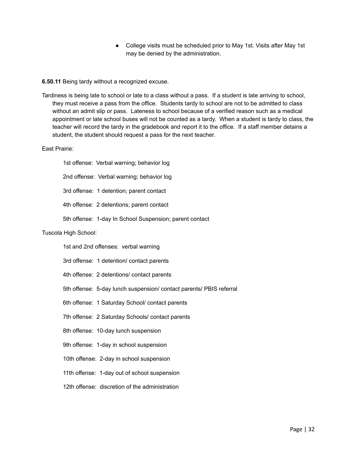● College visits must be scheduled prior to May 1st. Visits after May 1st may be denied by the administration.

**6.50.11** Being tardy without a recognized excuse.

Tardiness is being late to school or late to a class without a pass. If a student is late arriving to school, they must receive a pass from the office. Students tardy to school are not to be admitted to class without an admit slip or pass. Lateness to school because of a verified reason such as a medical appointment or late school buses will not be counted as a tardy. When a student is tardy to class, the teacher will record the tardy in the gradebook and report it to the office. If a staff member detains a student, the student should request a pass for the next teacher.

#### East Prairie:

1st offense: Verbal warning; behavior log 2nd offense: Verbal warning; behavior log 3rd offense: 1 detention; parent contact 4th offense: 2 detentions; parent contact 5th offense: 1-day In School Suspension; parent contact

## Tuscola High School:

1st and 2nd offenses: verbal warning

3rd offense: 1 detention/ contact parents

- 4th offense: 2 detentions/ contact parents
- 5th offense: 5-day lunch suspension/ contact parents/ PBIS referral
- 6th offense: 1 Saturday School/ contact parents
- 7th offense: 2 Saturday Schools/ contact parents
- 8th offense: 10-day lunch suspension
- 9th offense: 1-day in school suspension
- 10th offense: 2-day in school suspension
- 11th offense: 1-day out of school suspension
- 12th offense: discretion of the administration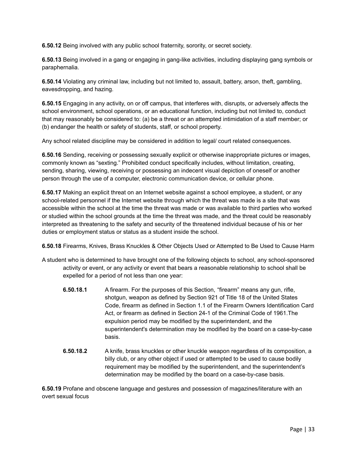**6.50.12** Being involved with any public school fraternity, sorority, or secret society.

**6.50.13** Being involved in a gang or engaging in gang-like activities, including displaying gang symbols or paraphernalia.

**6.50.14** Violating any criminal law, including but not limited to, assault, battery, arson, theft, gambling, eavesdropping, and hazing.

**6.50.15** Engaging in any activity, on or off campus, that interferes with, disrupts, or adversely affects the school environment, school operations, or an educational function, including but not limited to, conduct that may reasonably be considered to: (a) be a threat or an attempted intimidation of a staff member; or (b) endanger the health or safety of students, staff, or school property.

Any school related discipline may be considered in addition to legal/ court related consequences.

**6.50.16** Sending, receiving or possessing sexually explicit or otherwise inappropriate pictures or images, commonly known as "sexting." Prohibited conduct specifically includes, without limitation, creating, sending, sharing, viewing, receiving or possessing an indecent visual depiction of oneself or another person through the use of a computer, electronic communication device, or cellular phone.

**6.50.17** Making an explicit threat on an Internet website against a school employee, a student, or any school-related personnel if the Internet website through which the threat was made is a site that was accessible within the school at the time the threat was made or was available to third parties who worked or studied within the school grounds at the time the threat was made, and the threat could be reasonably interpreted as threatening to the safety and security of the threatened individual because of his or her duties or employment status or status as a student inside the school.

**6.50.18** Firearms, Knives, Brass Knuckles & Other Objects Used or Attempted to Be Used to Cause Harm

- A student who is determined to have brought one of the following objects to school, any school-sponsored activity or event, or any activity or event that bears a reasonable relationship to school shall be expelled for a period of not less than one year:
	- **6.50.18.1** A firearm. For the purposes of this Section, "firearm" means any gun, rifle, shotgun, weapon as defined by Section 921 of Title 18 of the United States Code, firearm as defined in Section 1.1 of the Firearm Owners Identification Card Act, or firearm as defined in Section 24-1 of the Criminal Code of 1961.The expulsion period may be modified by the superintendent, and the superintendent's determination may be modified by the board on a case-by-case basis.
	- **6.50.18.2** A knife, brass knuckles or other knuckle weapon regardless of its composition, a billy club, or any other object if used or attempted to be used to cause bodily requirement may be modified by the superintendent, and the superintendent's determination may be modified by the board on a case-by-case basis.

**6.50.19** Profane and obscene language and gestures and possession of magazines/literature with an overt sexual focus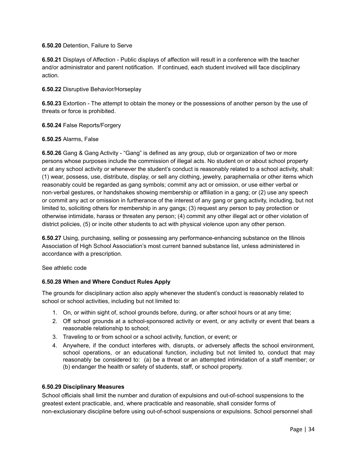#### **6.50.20** Detention, Failure to Serve

**6.50.21** Displays of Affection - Public displays of affection will result in a conference with the teacher and/or administrator and parent notification. If continued, each student involved will face disciplinary action.

#### **6.50.22** Disruptive Behavior/Horseplay

**6.50.23** Extortion - The attempt to obtain the money or the possessions of another person by the use of threats or force is prohibited.

**6.50.24** False Reports/Forgery

#### **6.50.25** Alarms, False

**6.50.26** Gang & Gang Activity - "Gang" is defined as any group, club or organization of two or more persons whose purposes include the commission of illegal acts. No student on or about school property or at any school activity or whenever the student's conduct is reasonably related to a school activity, shall: (1) wear, possess, use, distribute, display, or sell any clothing, jewelry, paraphernalia or other items which reasonably could be regarded as gang symbols; commit any act or omission, or use either verbal or non‐verbal gestures, or handshakes showing membership or affiliation in a gang; or (2) use any speech or commit any act or omission in furtherance of the interest of any gang or gang activity, including, but not limited to, soliciting others for membership in any gangs; (3) request any person to pay protection or otherwise intimidate, harass or threaten any person; (4) commit any other illegal act or other violation of district policies, (5) or incite other students to act with physical violence upon any other person.

**6.50.27** Using, purchasing, selling or possessing any performance-enhancing substance on the Illinois Association of High School Association's most current banned substance list, unless administered in accordance with a prescription.

See athletic code

#### **6.50.28 When and Where Conduct Rules Apply**

The grounds for disciplinary action also apply whenever the student's conduct is reasonably related to school or school activities, including but not limited to:

- 1. On, or within sight of, school grounds before, during, or after school hours or at any time;
- 2. Off school grounds at a school-sponsored activity or event, or any activity or event that bears a reasonable relationship to school;
- 3. Traveling to or from school or a school activity, function, or event; or
- 4. Anywhere, if the conduct interferes with, disrupts, or adversely affects the school environment, school operations, or an educational function, including but not limited to, conduct that may reasonably be considered to: (a) be a threat or an attempted intimidation of a staff member; or (b) endanger the health or safety of students, staff, or school property.

#### **6.50.29 Disciplinary Measures**

School officials shall limit the number and duration of expulsions and out-of-school suspensions to the greatest extent practicable, and, where practicable and reasonable, shall consider forms of non-exclusionary discipline before using out-of-school suspensions or expulsions. School personnel shall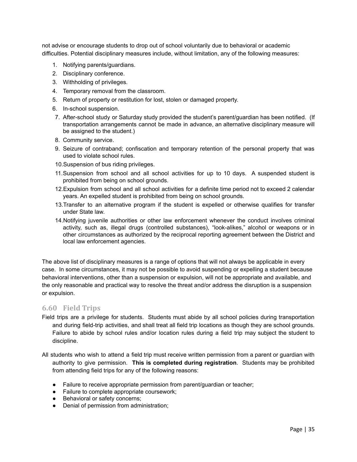not advise or encourage students to drop out of school voluntarily due to behavioral or academic difficulties. Potential disciplinary measures include, without limitation, any of the following measures:

- 1. Notifying parents/guardians.
- 2. Disciplinary conference.
- 3. Withholding of privileges.
- 4. Temporary removal from the classroom.
- 5. Return of property or restitution for lost, stolen or damaged property.
- 6. In-school suspension.
- 7. After-school study or Saturday study provided the student's parent/guardian has been notified. (If transportation arrangements cannot be made in advance, an alternative disciplinary measure will be assigned to the student.)
- 8. Community service.
- 9. Seizure of contraband; confiscation and temporary retention of the personal property that was used to violate school rules.
- 10.Suspension of bus riding privileges.
- 11.Suspension from school and all school activities for up to 10 days. A suspended student is prohibited from being on school grounds.
- 12.Expulsion from school and all school activities for a definite time period not to exceed 2 calendar years. An expelled student is prohibited from being on school grounds.
- 13.Transfer to an alternative program if the student is expelled or otherwise qualifies for transfer under State law.
- 14.Notifying juvenile authorities or other law enforcement whenever the conduct involves criminal activity, such as, illegal drugs (controlled substances), "look-alikes," alcohol or weapons or in other circumstances as authorized by the reciprocal reporting agreement between the District and local law enforcement agencies.

The above list of disciplinary measures is a range of options that will not always be applicable in every case. In some circumstances, it may not be possible to avoid suspending or expelling a student because behavioral interventions, other than a suspension or expulsion, will not be appropriate and available, and the only reasonable and practical way to resolve the threat and/or address the disruption is a suspension or expulsion.

#### <span id="page-35-0"></span>**6.60 Field Trips**

- Field trips are a privilege for students. Students must abide by all school policies during transportation and during field-trip activities, and shall treat all field trip locations as though they are school grounds. Failure to abide by school rules and/or location rules during a field trip may subject the student to discipline.
- All students who wish to attend a field trip must receive written permission from a parent or guardian with authority to give permission. **This is completed during registration**. Students may be prohibited from attending field trips for any of the following reasons:
	- Failure to receive appropriate permission from parent/guardian or teacher;
	- Failure to complete appropriate coursework;
	- Behavioral or safety concerns:
	- Denial of permission from administration;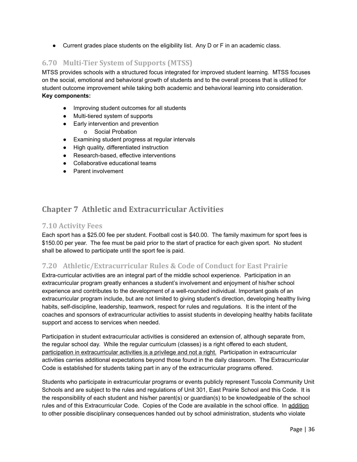● Current grades place students on the eligibility list. Any D or F in an academic class.

# **6.70 Multi-Tier System of Supports (MTSS)**

MTSS provides schools with a structured focus integrated for improved student learning. MTSS focuses on the social, emotional and behavioral growth of students and to the overall process that is utilized for student outcome improvement while taking both academic and behavioral learning into consideration. **Key components:**

- Improving student outcomes for all students
- Multi-tiered system of supports
- Early intervention and prevention
	- o Social Probation
- Examining student progress at regular intervals
- High quality, differentiated instruction
- Research-based, effective interventions
- Collaborative educational teams
- Parent involvement

# **Chapter 7 Athletic and Extracurricular Activities**

### **7.10 Activity Fees**

Each sport has a \$25.00 fee per student. Football cost is \$40.00. The family maximum for sport fees is \$150.00 per year. The fee must be paid prior to the start of practice for each given sport. No student shall be allowed to participate until the sport fee is paid.

## **7.20 Athletic/Extracurricular Rules & Code of Conduct for East Prairie**

Extra-curricular activities are an integral part of the middle school experience. Participation in an extracurricular program greatly enhances a student's involvement and enjoyment of his/her school experience and contributes to the development of a well-rounded individual. Important goals of an extracurricular program include, but are not limited to giving student's direction, developing healthy living habits, self-discipline, leadership, teamwork, respect for rules and regulations. It is the intent of the coaches and sponsors of extracurricular activities to assist students in developing healthy habits facilitate support and access to services when needed.

Participation in student extracurricular activities is considered an extension of, although separate from, the regular school day. While the regular curriculum (classes) is a right offered to each student, participation in extracurricular activities is a privilege and not a right. Participation in extracurricular activities carries additional expectations beyond those found in the daily classroom. The Extracurricular Code is established for students taking part in any of the extracurricular programs offered.

Students who participate in extracurricular programs or events publicly represent Tuscola Community Unit Schools and are subject to the rules and regulations of Unit 301, East Prairie School and this Code. It is the responsibility of each student and his/her parent(s) or guardian(s) to be knowledgeable of the school rules and of this Extracurricular Code. Copies of the Code are available in the school office. In addition to other possible disciplinary consequences handed out by school administration, students who violate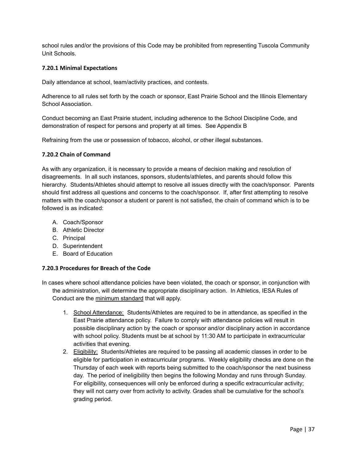school rules and/or the provisions of this Code may be prohibited from representing Tuscola Community Unit Schools.

#### **7.20.1 Minimal Expectations**

Daily attendance at school, team/activity practices, and contests.

Adherence to all rules set forth by the coach or sponsor, East Prairie School and the Illinois Elementary School Association.

Conduct becoming an East Prairie student, including adherence to the School Discipline Code, and demonstration of respect for persons and property at all times. See Appendix B

Refraining from the use or possession of tobacco, alcohol, or other illegal substances.

#### **7.20.2 Chain of Command**

As with any organization, it is necessary to provide a means of decision making and resolution of disagreements. In all such instances, sponsors, students/athletes, and parents should follow this hierarchy. Students/Athletes should attempt to resolve all issues directly with the coach/sponsor. Parents should first address all questions and concerns to the coach/sponsor. If, after first attempting to resolve matters with the coach/sponsor a student or parent is not satisfied, the chain of command which is to be followed is as indicated:

- A. Coach/Sponsor
- B. Athletic Director
- C. Principal
- D. Superintendent
- E. Board of Education

#### **7.20.3 Procedures for Breach of the Code**

- In cases where school attendance policies have been violated, the coach or sponsor, in conjunction with the administration, will determine the appropriate disciplinary action. In Athletics, IESA Rules of Conduct are the minimum standard that will apply.
	- 1. School Attendance: Students/Athletes are required to be in attendance, as specified in the East Prairie attendance policy. Failure to comply with attendance policies will result in possible disciplinary action by the coach or sponsor and/or disciplinary action in accordance with school policy. Students must be at school by 11:30 AM to participate in extracurricular activities that evening.
	- 2. Eligibility: Students/Athletes are required to be passing all academic classes in order to be eligible for participation in extracurricular programs. Weekly eligibility checks are done on the Thursday of each week with reports being submitted to the coach/sponsor the next business day. The period of ineligibility then begins the following Monday and runs through Sunday. For eligibility, consequences will only be enforced during a specific extracurricular activity; they will not carry over from activity to activity. Grades shall be cumulative for the school's grading period.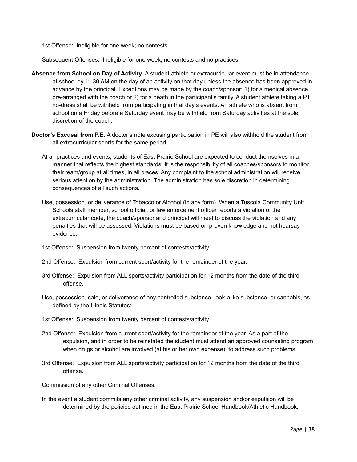1st Offense: Ineligible for one week; no contests

Subsequent Offenses: Ineligible for one week; no contests and no practices

- **Absence from School on Day of Activity.** A student athlete or extracurricular event must be in attendance at school by 11:30 AM on the day of an activity on that day unless the absence has been approved in advance by the principal. Exceptions may be made by the coach/sponsor: 1) for a medical absence pre-arranged with the coach or 2) for a death in the participant's family. A student athlete taking a P.E. no-dress shall be withheld from participating in that day's events. An athlete who is absent from school on a Friday before a Saturday event may be withheld from Saturday activities at the sole discretion of the coach.
- **Doctor's Excusal from P.E.** A doctor's note excusing participation in PE will also withhold the student from all extracurricular sports for the same period.
	- At all practices and events, students of East Prairie School are expected to conduct themselves in a manner that reflects the highest standards. It is the responsibility of all coaches/sponsors to monitor their team/group at all times, in all places. Any complaint to the school administration will receive serious attention by the administration. The administration has sole discretion in determining consequences of all such actions.
	- Use, possession, or deliverance of Tobacco or Alcohol (in any form). When a Tuscola Community Unit Schools staff member, school official, or law enforcement officer reports a violation of the extracurricular code, the coach/sponsor and principal will meet to discuss the violation and any penalties that will be assessed. Violations must be based on proven knowledge and not hearsay evidence.
	- 1st Offense: Suspension from twenty percent of contests/activity.
	- 2nd Offense: Expulsion from current sport/activity for the remainder of the year.
	- 3rd Offense: Expulsion from ALL sports/activity participation for 12 months from the date of the third offense.
	- Use, possession, sale, or deliverance of any controlled substance, look-alike substance, or cannabis, as defined by the Illinois Statutes:
	- 1st Offense: Suspension from twenty percent of contests/activity.
	- 2nd Offense: Expulsion from current sport/activity for the remainder of the year. As a part of the expulsion, and in order to be reinstated the student must attend an approved counseling program when drugs or alcohol are involved (at his or her own expense), to address such problems.
	- 3rd Offense: Expulsion from ALL sports/activity participation for 12 months from the date of the third offense.

Commission of any other Criminal Offenses:

In the event a student commits any other criminal activity, any suspension and/or expulsion will be determined by the policies outlined in the East Prairie School Handbook/Athletic Handbook.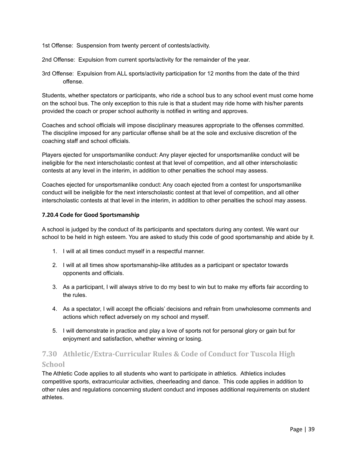1st Offense: Suspension from twenty percent of contests/activity.

2nd Offense: Expulsion from current sports/activity for the remainder of the year.

3rd Offense: Expulsion from ALL sports/activity participation for 12 months from the date of the third offense.

Students, whether spectators or participants, who ride a school bus to any school event must come home on the school bus. The only exception to this rule is that a student may ride home with his/her parents provided the coach or proper school authority is notified in writing and approves.

Coaches and school officials will impose disciplinary measures appropriate to the offenses committed. The discipline imposed for any particular offense shall be at the sole and exclusive discretion of the coaching staff and school officials.

Players ejected for unsportsmanlike conduct: Any player ejected for unsportsmanlike conduct will be ineligible for the next interscholastic contest at that level of competition, and all other interscholastic contests at any level in the interim, in addition to other penalties the school may assess.

Coaches ejected for unsportsmanlike conduct: Any coach ejected from a contest for unsportsmanlike conduct will be ineligible for the next interscholastic contest at that level of competition, and all other interscholastic contests at that level in the interim, in addition to other penalties the school may assess.

#### **7.20.4 Code for Good Sportsmanship**

A school is judged by the conduct of its participants and spectators during any contest. We want our school to be held in high esteem. You are asked to study this code of good sportsmanship and abide by it.

- 1. I will at all times conduct myself in a respectful manner.
- 2. I will at all times show sportsmanship-like attitudes as a participant or spectator towards opponents and officials.
- 3. As a participant, I will always strive to do my best to win but to make my efforts fair according to the rules.
- 4. As a spectator, I will accept the officials' decisions and refrain from unwholesome comments and actions which reflect adversely on my school and myself.
- 5. I will demonstrate in practice and play a love of sports not for personal glory or gain but for enjoyment and satisfaction, whether winning or losing.

# **7.30 Athletic/Extra-Curricular Rules & Code of Conduct for Tuscola High School**

The Athletic Code applies to all students who want to participate in athletics. Athletics includes competitive sports, extracurricular activities, cheerleading and dance. This code applies in addition to other rules and regulations concerning student conduct and imposes additional requirements on student athletes.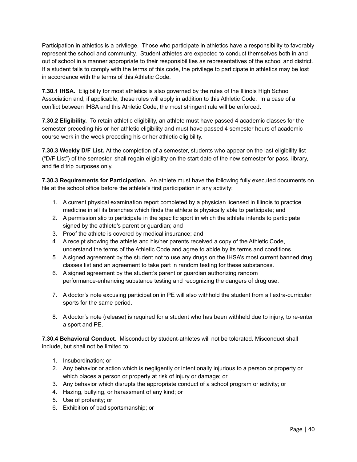Participation in athletics is a privilege. Those who participate in athletics have a responsibility to favorably represent the school and community. Student athletes are expected to conduct themselves both in and out of school in a manner appropriate to their responsibilities as representatives of the school and district. If a student fails to comply with the terms of this code, the privilege to participate in athletics may be lost in accordance with the terms of this Athletic Code.

**7.30.1 IHSA.** Eligibility for most athletics is also governed by the rules of the Illinois High School Association and, if applicable, these rules will apply in addition to this Athletic Code. In a case of a conflict between IHSA and this Athletic Code, the most stringent rule will be enforced.

**7.30.2 Eligibility.** To retain athletic eligibility, an athlete must have passed 4 academic classes for the semester preceding his or her athletic eligibility and must have passed 4 semester hours of academic course work in the week preceding his or her athletic eligibility.

**7.30.3 Weekly D/F List.** At the completion of a semester, students who appear on the last eligibility list ("D/F List") of the semester, shall regain eligibility on the start date of the new semester for pass, library, and field trip purposes only.

**7.30.3 Requirements for Participation.** An athlete must have the following fully executed documents on file at the school office before the athlete's first participation in any activity:

- 1. A current physical examination report completed by a physician licensed in Illinois to practice medicine in all its branches which finds the athlete is physically able to participate; and
- 2. A permission slip to participate in the specific sport in which the athlete intends to participate signed by the athlete's parent or guardian; and
- 3. Proof the athlete is covered by medical insurance; and
- 4. A receipt showing the athlete and his/her parents received a copy of the Athletic Code, understand the terms of the Athletic Code and agree to abide by its terms and conditions.
- 5. A signed agreement by the student not to use any drugs on the IHSA's most current banned drug classes list and an agreement to take part in random testing for these substances.
- 6. A signed agreement by the student's parent or guardian authorizing random performance-enhancing substance testing and recognizing the dangers of drug use.
- 7. A doctor's note excusing participation in PE will also withhold the student from all extra-curricular sports for the same period.
- 8. A doctor's note (release) is required for a student who has been withheld due to injury, to re-enter a sport and PE.

**7.30.4 Behavioral Conduct.** Misconduct by student-athletes will not be tolerated. Misconduct shall include, but shall not be limited to:

- 1. Insubordination; or
- 2. Any behavior or action which is negligently or intentionally injurious to a person or property or which places a person or property at risk of injury or damage; or
- 3. Any behavior which disrupts the appropriate conduct of a school program or activity; or
- 4. Hazing, bullying, or harassment of any kind; or
- 5. Use of profanity; or
- 6. Exhibition of bad sportsmanship; or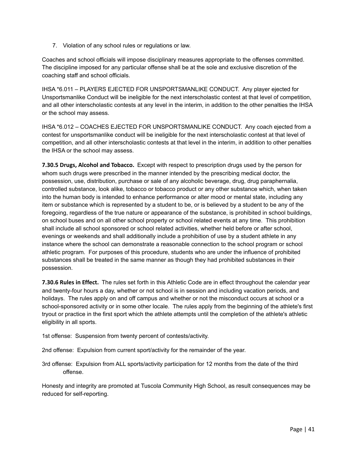7. Violation of any school rules or regulations or law.

Coaches and school officials will impose disciplinary measures appropriate to the offenses committed. The discipline imposed for any particular offense shall be at the sole and exclusive discretion of the coaching staff and school officials.

IHSA \*6.011 – PLAYERS EJECTED FOR UNSPORTSMANLIKE CONDUCT. Any player ejected for Unsportsmanlike Conduct will be ineligible for the next interscholastic contest at that level of competition, and all other interscholastic contests at any level in the interim, in addition to the other penalties the IHSA or the school may assess.

IHSA \*6.012 – COACHES EJECTED FOR UNSPORTSMANLIKE CONDUCT. Any coach ejected from a contest for unsportsmanlike conduct will be ineligible for the next interscholastic contest at that level of competition, and all other interscholastic contests at that level in the interim, in addition to other penalties the IHSA or the school may assess.

**7.30.5 Drugs, Alcohol and Tobacco.** Except with respect to prescription drugs used by the person for whom such drugs were prescribed in the manner intended by the prescribing medical doctor, the possession, use, distribution, purchase or sale of any alcoholic beverage, drug, drug paraphernalia, controlled substance, look alike, tobacco or tobacco product or any other substance which, when taken into the human body is intended to enhance performance or alter mood or mental state, including any item or substance which is represented by a student to be, or is believed by a student to be any of the foregoing, regardless of the true nature or appearance of the substance, is prohibited in school buildings, on school buses and on all other school property or school related events at any time. This prohibition shall include all school sponsored or school related activities, whether held before or after school, evenings or weekends and shall additionally include a prohibition of use by a student athlete in any instance where the school can demonstrate a reasonable connection to the school program or school athletic program. For purposes of this procedure, students who are under the influence of prohibited substances shall be treated in the same manner as though they had prohibited substances in their possession.

**7.30.6 Rules in Effect.** The rules set forth in this Athletic Code are in effect throughout the calendar year and twenty-four hours a day, whether or not school is in session and including vacation periods, and holidays. The rules apply on and off campus and whether or not the misconduct occurs at school or a school-sponsored activity or in some other locale. The rules apply from the beginning of the athlete's first tryout or practice in the first sport which the athlete attempts until the completion of the athlete's athletic eligibility in all sports.

1st offense: Suspension from twenty percent of contests/activity.

2nd offense: Expulsion from current sport/activity for the remainder of the year.

3rd offense: Expulsion from ALL sports/activity participation for 12 months from the date of the third offense.

Honesty and integrity are promoted at Tuscola Community High School, as result consequences may be reduced for self-reporting.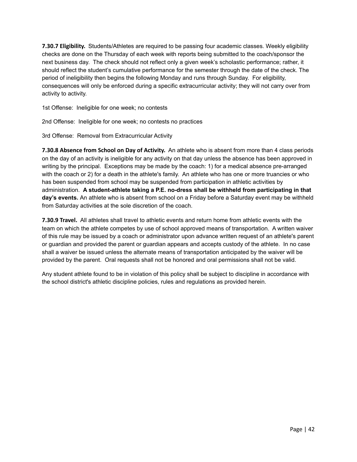**7.30.7 Eligibility.** Students/Athletes are required to be passing four academic classes. Weekly eligibility checks are done on the Thursday of each week with reports being submitted to the coach/sponsor the next business day. The check should not reflect only a given week's scholastic performance; rather, it should reflect the student's cumulative performance for the semester through the date of the check. The period of ineligibility then begins the following Monday and runs through Sunday. For eligibility, consequences will only be enforced during a specific extracurricular activity; they will not carry over from activity to activity.

1st Offense: Ineligible for one week; no contests

2nd Offense: Ineligible for one week; no contests no practices

3rd Offense: Removal from Extracurricular Activity

**7.30.8 Absence from School on Day of Activity.** An athlete who is absent from more than 4 class periods on the day of an activity is ineligible for any activity on that day unless the absence has been approved in writing by the principal. Exceptions may be made by the coach: 1) for a medical absence pre-arranged with the coach or 2) for a death in the athlete's family. An athlete who has one or more truancies or who has been suspended from school may be suspended from participation in athletic activities by administration. **A student-athlete taking a P.E. no-dress shall be withheld from participating in that day's events.** An athlete who is absent from school on a Friday before a Saturday event may be withheld from Saturday activities at the sole discretion of the coach.

**7.30.9 Travel.** All athletes shall travel to athletic events and return home from athletic events with the team on which the athlete competes by use of school approved means of transportation. A written waiver of this rule may be issued by a coach or administrator upon advance written request of an athlete's parent or guardian and provided the parent or guardian appears and accepts custody of the athlete. In no case shall a waiver be issued unless the alternate means of transportation anticipated by the waiver will be provided by the parent. Oral requests shall not be honored and oral permissions shall not be valid.

Any student athlete found to be in violation of this policy shall be subject to discipline in accordance with the school district's athletic discipline policies, rules and regulations as provided herein.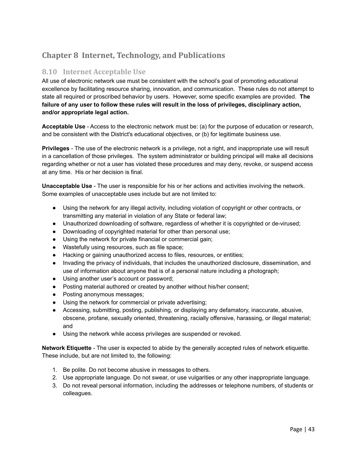# **Chapter 8 Internet, Technology, and Publications**

## **8.10 Internet Acceptable Use**

All use of electronic network use must be consistent with the school's goal of promoting educational excellence by facilitating resource sharing, innovation, and communication. These rules do not attempt to state all required or proscribed behavior by users. However, some specific examples are provided. **The failure of any user to follow these rules will result in the loss of privileges, disciplinary action, and/or appropriate legal action.**

**Acceptable Use** - Access to the electronic network must be: (a) for the purpose of education or research, and be consistent with the District's educational objectives, or (b) for legitimate business use.

**Privileges** - The use of the electronic network is a privilege, not a right, and inappropriate use will result in a cancellation of those privileges. The system administrator or building principal will make all decisions regarding whether or not a user has violated these procedures and may deny, revoke, or suspend access at any time. His or her decision is final.

**Unacceptable Use** - The user is responsible for his or her actions and activities involving the network. Some examples of unacceptable uses include but are not limited to:

- Using the network for any illegal activity, including violation of copyright or other contracts, or transmitting any material in violation of any State or federal law;
- Unauthorized downloading of software, regardless of whether it is copyrighted or de-virused;
- Downloading of copyrighted material for other than personal use;
- Using the network for private financial or commercial gain;
- Wastefully using resources, such as file space;
- Hacking or gaining unauthorized access to files, resources, or entities;
- Invading the privacy of individuals, that includes the unauthorized disclosure, dissemination, and use of information about anyone that is of a personal nature including a photograph;
- Using another user's account or password;
- Posting material authored or created by another without his/her consent;
- Posting anonymous messages;
- Using the network for commercial or private advertising;
- Accessing, submitting, posting, publishing, or displaying any defamatory, inaccurate, abusive, obscene, profane, sexually oriented, threatening, racially offensive, harassing, or illegal material; and
- Using the network while access privileges are suspended or revoked.

**Network Etiquette** - The user is expected to abide by the generally accepted rules of network etiquette. These include, but are not limited to, the following:

- 1. Be polite. Do not become abusive in messages to others.
- 2. Use appropriate language. Do not swear, or use vulgarities or any other inappropriate language.
- 3. Do not reveal personal information, including the addresses or telephone numbers, of students or colleagues.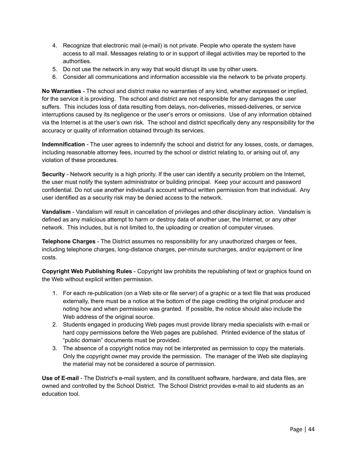- 4. Recognize that electronic mail (e-mail) is not private. People who operate the system have access to all mail. Messages relating to or in support of illegal activities may be reported to the authorities.
- 5. Do not use the network in any way that would disrupt its use by other users.
- 6. Consider all communications and information accessible via the network to be private property.

**No Warranties** - The school and district make no warranties of any kind, whether expressed or implied, for the service it is providing. The school and district are not responsible for any damages the user suffers. This includes loss of data resulting from delays, non-deliveries, missed-deliveries, or service interruptions caused by its negligence or the user's errors or omissions. Use of any information obtained via the Internet is at the user's own risk. The school and district specifically deny any responsibility for the accuracy or quality of information obtained through its services.

**Indemnification** - The user agrees to indemnify the school and district for any losses, costs, or damages, including reasonable attorney fees, incurred by the school or district relating to, or arising out of, any violation of these procedures.

**Security** - Network security is a high priority. If the user can identify a security problem on the Internet, the user must notify the system administrator or building principal. Keep your account and password confidential. Do not use another individual's account without written permission from that individual. Any user identified as a security risk may be denied access to the network.

**Vandalism** - Vandalism will result in cancellation of privileges and other disciplinary action. Vandalism is defined as any malicious attempt to harm or destroy data of another user, the Internet, or any other network. This includes, but is not limited to, the uploading or creation of computer viruses.

**Telephone Charges** - The District assumes no responsibility for any unauthorized charges or fees, including telephone charges, long-distance charges, per-minute surcharges, and/or equipment or line costs.

**Copyright Web Publishing Rules** - Copyright law prohibits the republishing of text or graphics found on the Web without explicit written permission.

- 1. For each re-publication (on a Web site or file server) of a graphic or a text file that was produced externally, there must be a notice at the bottom of the page crediting the original producer and noting how and when permission was granted. If possible, the notice should also include the Web address of the original source.
- 2. Students engaged in producing Web pages must provide library media specialists with e-mail or hard copy permissions before the Web pages are published. Printed evidence of the status of "public domain" documents must be provided.
- 3. The absence of a copyright notice may not be interpreted as permission to copy the materials. Only the copyright owner may provide the permission. The manager of the Web site displaying the material may not be considered a source of permission.

**Use of E-mail** - The District's e-mail system, and its constituent software, hardware, and data files, are owned and controlled by the School District. The School District provides e-mail to aid students as an education tool.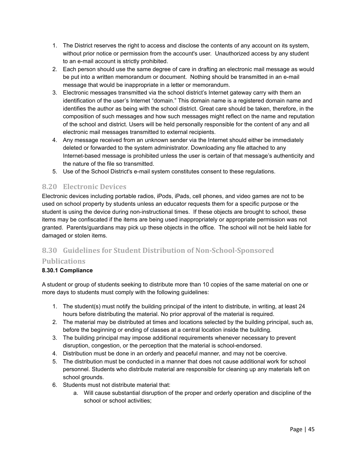- 1. The District reserves the right to access and disclose the contents of any account on its system, without prior notice or permission from the account's user. Unauthorized access by any student to an e-mail account is strictly prohibited.
- 2. Each person should use the same degree of care in drafting an electronic mail message as would be put into a written memorandum or document. Nothing should be transmitted in an e-mail message that would be inappropriate in a letter or memorandum.
- 3. Electronic messages transmitted via the school district's Internet gateway carry with them an identification of the user's Internet "domain." This domain name is a registered domain name and identifies the author as being with the school district. Great care should be taken, therefore, in the composition of such messages and how such messages might reflect on the name and reputation of the school and district. Users will be held personally responsible for the content of any and all electronic mail messages transmitted to external recipients.
- 4. Any message received from an unknown sender via the Internet should either be immediately deleted or forwarded to the system administrator. Downloading any file attached to any Internet-based message is prohibited unless the user is certain of that message's authenticity and the nature of the file so transmitted.
- 5. Use of the School District's e-mail system constitutes consent to these regulations.

## **8.20 Electronic Devices**

Electronic devices including portable radios, iPods, iPads, cell phones, and video games are not to be used on school property by students unless an educator requests them for a specific purpose or the student is using the device during non-instructional times. If these objects are brought to school, these items may be confiscated if the items are being used inappropriately or appropriate permission was not granted. Parents/guardians may pick up these objects in the office. The school will not be held liable for damaged or stolen items.

# **8.30 Guidelines for Student Distribution of Non-School-Sponsored**

## **Publications**

#### **8.30.1 Compliance**

A student or group of students seeking to distribute more than 10 copies of the same material on one or more days to students must comply with the following guidelines:

- 1. The student(s) must notify the building principal of the intent to distribute, in writing, at least 24 hours before distributing the material. No prior approval of the material is required.
- 2. The material may be distributed at times and locations selected by the building principal, such as, before the beginning or ending of classes at a central location inside the building.
- 3. The building principal may impose additional requirements whenever necessary to prevent disruption, congestion, or the perception that the material is school-endorsed.
- 4. Distribution must be done in an orderly and peaceful manner, and may not be coercive.
- 5. The distribution must be conducted in a manner that does not cause additional work for school personnel. Students who distribute material are responsible for cleaning up any materials left on school grounds.
- 6. Students must not distribute material that:
	- a. Will cause substantial disruption of the proper and orderly operation and discipline of the school or school activities;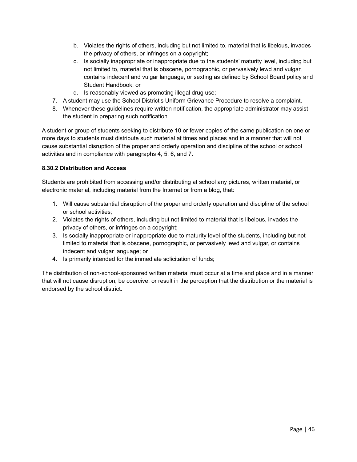- b. Violates the rights of others, including but not limited to, material that is libelous, invades the privacy of others, or infringes on a copyright;
- c. Is socially inappropriate or inappropriate due to the students' maturity level, including but not limited to, material that is obscene, pornographic, or pervasively lewd and vulgar, contains indecent and vulgar language, or sexting as defined by School Board policy and Student Handbook; or
- d. Is reasonably viewed as promoting illegal drug use;
- 7. A student may use the School District's Uniform Grievance Procedure to resolve a complaint.
- 8. Whenever these guidelines require written notification, the appropriate administrator may assist the student in preparing such notification.

A student or group of students seeking to distribute 10 or fewer copies of the same publication on one or more days to students must distribute such material at times and places and in a manner that will not cause substantial disruption of the proper and orderly operation and discipline of the school or school activities and in compliance with paragraphs 4, 5, 6, and 7.

#### **8.30.2 Distribution and Access**

Students are prohibited from accessing and/or distributing at school any pictures, written material, or electronic material, including material from the Internet or from a blog, that:

- 1. Will cause substantial disruption of the proper and orderly operation and discipline of the school or school activities;
- 2. Violates the rights of others, including but not limited to material that is libelous, invades the privacy of others, or infringes on a copyright;
- 3. Is socially inappropriate or inappropriate due to maturity level of the students, including but not limited to material that is obscene, pornographic, or pervasively lewd and vulgar, or contains indecent and vulgar language; or
- 4. Is primarily intended for the immediate solicitation of funds;

The distribution of non-school-sponsored written material must occur at a time and place and in a manner that will not cause disruption, be coercive, or result in the perception that the distribution or the material is endorsed by the school district.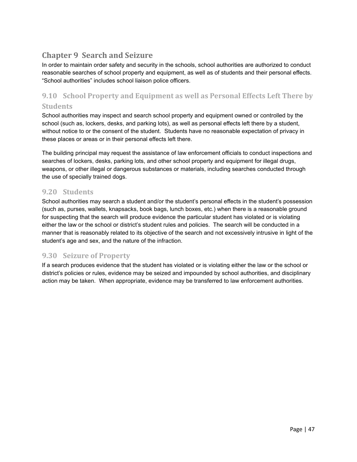# **Chapter 9 Search and Seizure**

In order to maintain order safety and security in the schools, school authorities are authorized to conduct reasonable searches of school property and equipment, as well as of students and their personal effects. "School authorities" includes school liaison police officers.

# **9.10 School Property and Equipment as well as Personal Effects Left There by Students**

School authorities may inspect and search school property and equipment owned or controlled by the school (such as, lockers, desks, and parking lots), as well as personal effects left there by a student, without notice to or the consent of the student. Students have no reasonable expectation of privacy in these places or areas or in their personal effects left there.

The building principal may request the assistance of law enforcement officials to conduct inspections and searches of lockers, desks, parking lots, and other school property and equipment for illegal drugs, weapons, or other illegal or dangerous substances or materials, including searches conducted through the use of specially trained dogs.

## **9.20 Students**

School authorities may search a student and/or the student's personal effects in the student's possession (such as, purses, wallets, knapsacks, book bags, lunch boxes, etc.) when there is a reasonable ground for suspecting that the search will produce evidence the particular student has violated or is violating either the law or the school or district's student rules and policies. The search will be conducted in a manner that is reasonably related to its objective of the search and not excessively intrusive in light of the student's age and sex, and the nature of the infraction.

# **9.30 Seizure of Property**

If a search produces evidence that the student has violated or is violating either the law or the school or district's policies or rules, evidence may be seized and impounded by school authorities, and disciplinary action may be taken. When appropriate, evidence may be transferred to law enforcement authorities.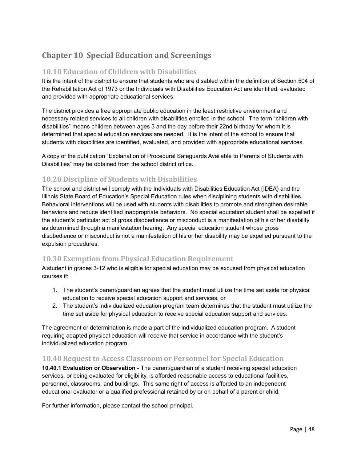# **Chapter 10 Special Education and Screenings**

## **10.10 Education of Children with Disabilities**

It is the intent of the district to ensure that students who are disabled within the definition of Section 504 of the Rehabilitation Act of 1973 or the Individuals with Disabilities Education Act are identified, evaluated and provided with appropriate educational services.

The district provides a free appropriate public education in the least restrictive environment and necessary related services to all children with disabilities enrolled in the school. The term "children with disabilities" means children between ages 3 and the day before their 22nd birthday for whom it is determined that special education services are needed. It is the intent of the school to ensure that students with disabilities are identified, evaluated, and provided with appropriate educational services.

A copy of the publication "Explanation of Procedural Safeguards Available to Parents of Students with Disabilities" may be obtained from the school district office.

## **10.20 Discipline of Students with Disabilities**

The school and district will comply with the Individuals with Disabilities Education Act (IDEA) and the Illinois State Board of Education's Special Education rules when disciplining students with disabilities. Behavioral interventions will be used with students with disabilities to promote and strengthen desirable behaviors and reduce identified inappropriate behaviors. No special education student shall be expelled if the student's particular act of gross disobedience or misconduct is a manifestation of his or her disability as determined through a manifestation hearing. Any special education student whose gross disobedience or misconduct is not a manifestation of his or her disability may be expelled pursuant to the expulsion procedures.

## **10.30 Exemption from Physical Education Requirement**

A student in grades 3-12 who is eligible for special education may be excused from physical education courses if:

- 1. The student's parent/guardian agrees that the student must utilize the time set aside for physical education to receive special education support and services, or
- 2. The student's individualized education program team determines that the student must utilize the time set aside for physical education to receive special education support and services.

The agreement or determination is made a part of the individualized education program. A student requiring adapted physical education will receive that service in accordance with the student's individualized education program.

### **10.40 Request to Access Classroom or Personnel for Special Education**

**10.40.1 Evaluation or Observation** - The parent/guardian of a student receiving special education services, or being evaluated for eligibility, is afforded reasonable access to educational facilities, personnel, classrooms, and buildings. This same right of access is afforded to an independent educational evaluator or a qualified professional retained by or on behalf of a parent or child.

For further information, please contact the school principal.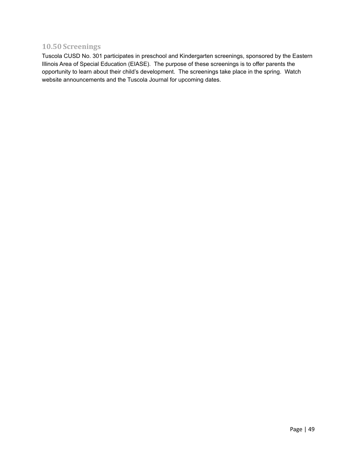# **10.50 Screenings**

Tuscola CUSD No. 301 participates in preschool and Kindergarten screenings, sponsored by the Eastern Illinois Area of Special Education (EIASE). The purpose of these screenings is to offer parents the opportunity to learn about their child's development. The screenings take place in the spring. Watch website announcements and the Tuscola Journal for upcoming dates.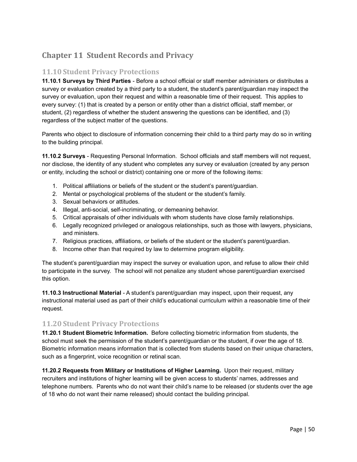# **Chapter 11 Student Records and Privacy**

## **11.10 Student Privacy Protections**

**11.10.1 Surveys by Third Parties** - Before a school official or staff member administers or distributes a survey or evaluation created by a third party to a student, the student's parent/guardian may inspect the survey or evaluation, upon their request and within a reasonable time of their request. This applies to every survey: (1) that is created by a person or entity other than a district official, staff member, or student, (2) regardless of whether the student answering the questions can be identified, and (3) regardless of the subject matter of the questions.

Parents who object to disclosure of information concerning their child to a third party may do so in writing to the building principal.

**11.10.2 Surveys** - Requesting Personal Information. School officials and staff members will not request, nor disclose, the identity of any student who completes any survey or evaluation (created by any person or entity, including the school or district) containing one or more of the following items:

- 1. Political affiliations or beliefs of the student or the student's parent/guardian.
- 2. Mental or psychological problems of the student or the student's family.
- 3. Sexual behaviors or attitudes.
- 4. Illegal, anti-social, self-incriminating, or demeaning behavior.
- 5. Critical appraisals of other individuals with whom students have close family relationships.
- 6. Legally recognized privileged or analogous relationships, such as those with lawyers, physicians, and ministers.
- 7. Religious practices, affiliations, or beliefs of the student or the student's parent/guardian.
- 8. Income other than that required by law to determine program eligibility.

The student's parent/guardian may inspect the survey or evaluation upon, and refuse to allow their child to participate in the survey. The school will not penalize any student whose parent/guardian exercised this option.

**11.10.3 Instructional Material** - A student's parent/guardian may inspect, upon their request, any instructional material used as part of their child's educational curriculum within a reasonable time of their request.

## **11.20 Student Privacy Protections**

**11.20.1 Student Biometric Information.** Before collecting biometric information from students, the school must seek the permission of the student's parent/guardian or the student, if over the age of 18. Biometric information means information that is collected from students based on their unique characters, such as a fingerprint, voice recognition or retinal scan.

**11.20.2 Requests from Military or Institutions of Higher Learning.** Upon their request, military recruiters and institutions of higher learning will be given access to students' names, addresses and telephone numbers. Parents who do not want their child's name to be released (or students over the age of 18 who do not want their name released) should contact the building principal.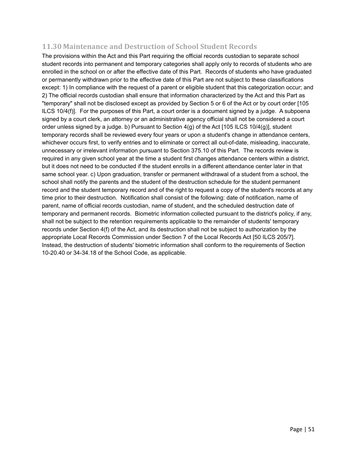## **11.30 Maintenance and Destruction of School Student Records**

The provisions within the Act and this Part requiring the official records custodian to separate school student records into permanent and temporary categories shall apply only to records of students who are enrolled in the school on or after the effective date of this Part. Records of students who have graduated or permanently withdrawn prior to the effective date of this Part are not subject to these classifications except: 1) In compliance with the request of a parent or eligible student that this categorization occur; and 2) The official records custodian shall ensure that information characterized by the Act and this Part as "temporary" shall not be disclosed except as provided by Section 5 or 6 of the Act or by court order [105 ILCS 10/4(f)]. For the purposes of this Part, a court order is a document signed by a judge. A subpoena signed by a court clerk, an attorney or an administrative agency official shall not be considered a court order unless signed by a judge. b) Pursuant to Section  $4(q)$  of the Act [105 ILCS 10/4(g)], student temporary records shall be reviewed every four years or upon a student's change in attendance centers, whichever occurs first, to verify entries and to eliminate or correct all out-of-date, misleading, inaccurate, unnecessary or irrelevant information pursuant to Section 375.10 of this Part. The records review is required in any given school year at the time a student first changes attendance centers within a district, but it does not need to be conducted if the student enrolls in a different attendance center later in that same school year. c) Upon graduation, transfer or permanent withdrawal of a student from a school, the school shall notify the parents and the student of the destruction schedule for the student permanent record and the student temporary record and of the right to request a copy of the student's records at any time prior to their destruction. Notification shall consist of the following: date of notification, name of parent, name of official records custodian, name of student, and the scheduled destruction date of temporary and permanent records. Biometric information collected pursuant to the district's policy, if any, shall not be subject to the retention requirements applicable to the remainder of students' temporary records under Section 4(f) of the Act, and its destruction shall not be subject to authorization by the appropriate Local Records Commission under Section 7 of the Local Records Act [50 ILCS 205/7]. Instead, the destruction of students' biometric information shall conform to the requirements of Section 10-20.40 or 34-34.18 of the School Code, as applicable.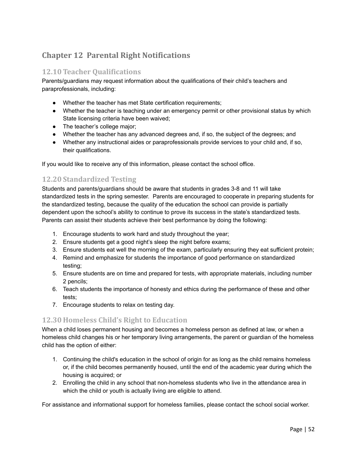# **Chapter 12 Parental Right Notifications**

## **12.10 Teacher Qualifications**

Parents/guardians may request information about the qualifications of their child's teachers and paraprofessionals, including:

- Whether the teacher has met State certification requirements;
- Whether the teacher is teaching under an emergency permit or other provisional status by which State licensing criteria have been waived;
- The teacher's college major;
- Whether the teacher has any advanced degrees and, if so, the subject of the degrees; and
- Whether any instructional aides or paraprofessionals provide services to your child and, if so, their qualifications.

If you would like to receive any of this information, please contact the school office.

# **12.20 Standardized Testing**

Students and parents/guardians should be aware that students in grades 3-8 and 11 will take standardized tests in the spring semester. Parents are encouraged to cooperate in preparing students for the standardized testing, because the quality of the education the school can provide is partially dependent upon the school's ability to continue to prove its success in the state's standardized tests. Parents can assist their students achieve their best performance by doing the following:

- 1. Encourage students to work hard and study throughout the year;
- 2. Ensure students get a good night's sleep the night before exams;
- 3. Ensure students eat well the morning of the exam, particularly ensuring they eat sufficient protein;
- 4. Remind and emphasize for students the importance of good performance on standardized testing;
- 5. Ensure students are on time and prepared for tests, with appropriate materials, including number 2 pencils;
- 6. Teach students the importance of honesty and ethics during the performance of these and other tests;
- 7. Encourage students to relax on testing day.

## **12.30 Homeless Child's Right to Education**

When a child loses permanent housing and becomes a homeless person as defined at law, or when a homeless child changes his or her temporary living arrangements, the parent or guardian of the homeless child has the option of either:

- 1. Continuing the child's education in the school of origin for as long as the child remains homeless or, if the child becomes permanently housed, until the end of the academic year during which the housing is acquired; or
- 2. Enrolling the child in any school that non-homeless students who live in the attendance area in which the child or youth is actually living are eligible to attend.

For assistance and informational support for homeless families, please contact the school social worker.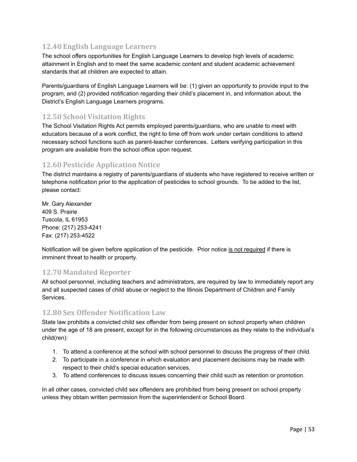# **12.40 English Language Learners**

The school offers opportunities for English Language Learners to develop high levels of academic attainment in English and to meet the same academic content and student academic achievement standards that all children are expected to attain.

Parents/guardians of English Language Learners will be: (1) given an opportunity to provide input to the program, and (2) provided notification regarding their child's placement in, and information about, the District's English Language Learners programs.

## **12.50 School Visitation Rights**

The School Visitation Rights Act permits employed parents/guardians, who are unable to meet with educators because of a work conflict, the right to time off from work under certain conditions to attend necessary school functions such as parent-teacher conferences. Letters verifying participation in this program are available from the school office upon request.

## **12.60 Pesticide Application Notice**

The district maintains a registry of parents/guardians of students who have registered to receive written or telephone notification prior to the application of pesticides to school grounds. To be added to the list, please contact:

Mr. Gary Alexander 409 S. Prairie Tuscola, IL 61953 Phone: (217) 253-4241 Fax: (217) 253-4522

Notification will be given before application of the pesticide. Prior notice is not required if there is imminent threat to health or property.

## **12.70 Mandated Reporter**

All school personnel, including teachers and administrators, are required by law to immediately report any and all suspected cases of child abuse or neglect to the Illinois Department of Children and Family Services.

## **12.80 Sex Offender Notification Law**

State law prohibits a convicted child sex offender from being present on school property when children under the age of 18 are present, except for in the following circumstances as they relate to the individual's child(ren):

- 1. To attend a conference at the school with school personnel to discuss the progress of their child.
- 2. To participate in a conference in which evaluation and placement decisions may be made with respect to their child's special education services.
- 3. To attend conferences to discuss issues concerning their child such as retention or promotion.

In all other cases, convicted child sex offenders are prohibited from being present on school property unless they obtain written permission from the superintendent or School Board.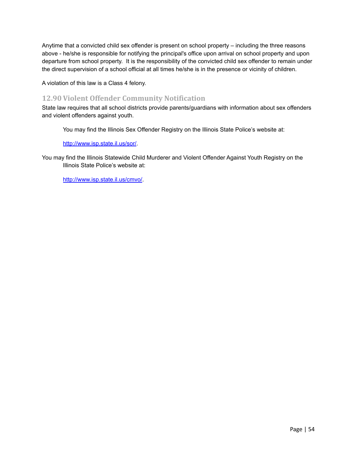Anytime that a convicted child sex offender is present on school property – including the three reasons above - he/she is responsible for notifying the principal's office upon arrival on school property and upon departure from school property. It is the responsibility of the convicted child sex offender to remain under the direct supervision of a school official at all times he/she is in the presence or vicinity of children.

A violation of this law is a Class 4 felony.

## **12.90 Violent Offender Community Notification**

State law requires that all school districts provide parents/guardians with information about sex offenders and violent offenders against youth.

You may find the Illinois Sex Offender Registry on the Illinois State Police's website at:

#### <http://www.isp.state.il.us/sor/>.

You may find the Illinois Statewide Child Murderer and Violent Offender Against Youth Registry on the Illinois State Police's website at:

<http://www.isp.state.il.us/cmvo/>.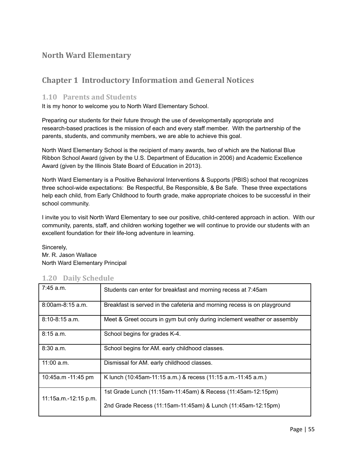# **North Ward Elementary**

# **Chapter 1 Introductory Information and General Notices**

#### **1.10 Parents and Students**

It is my honor to welcome you to North Ward Elementary School.

Preparing our students for their future through the use of developmentally appropriate and research-based practices is the mission of each and every staff member. With the partnership of the parents, students, and community members, we are able to achieve this goal.

North Ward Elementary School is the recipient of many awards, two of which are the National Blue Ribbon School Award (given by the U.S. Department of Education in 2006) and Academic Excellence Award (given by the Illinois State Board of Education in 2013).

North Ward Elementary is a Positive Behavioral Interventions & Supports (PBIS) school that recognizes three school-wide expectations: Be Respectful, Be Responsible, & Be Safe. These three expectations help each child, from Early Childhood to fourth grade, make appropriate choices to be successful in their school community.

I invite you to visit North Ward Elementary to see our positive, child-centered approach in action. With our community, parents, staff, and children working together we will continue to provide our students with an excellent foundation for their life-long adventure in learning.

Sincerely, Mr. R. Jason Wallace North Ward Elementary Principal

#### **1.20 Daily Schedule**

| 7:45 a.m.            | Students can enter for breakfast and morning recess at 7:45am            |  |
|----------------------|--------------------------------------------------------------------------|--|
| $8:00$ am-8:15 a.m.  | Breakfast is served in the cafeteria and morning recess is on playground |  |
| $8:10-8:15$ a.m.     | Meet & Greet occurs in gym but only during inclement weather or assembly |  |
| 8:15 a.m.            | School begins for grades K-4.                                            |  |
| 8:30 a.m.            | School begins for AM. early childhood classes.                           |  |
| $11:00$ a.m.         | Dismissal for AM. early childhood classes.                               |  |
| 10:45a.m -11:45 pm   | K lunch (10:45am-11:15 a.m.) & recess (11:15 a.m.-11:45 a.m.)            |  |
| 11:15a.m.-12:15 p.m. | 1st Grade Lunch (11:15am-11:45am) & Recess (11:45am-12:15pm)             |  |
|                      | 2nd Grade Recess (11:15am-11:45am) & Lunch (11:45am-12:15pm)             |  |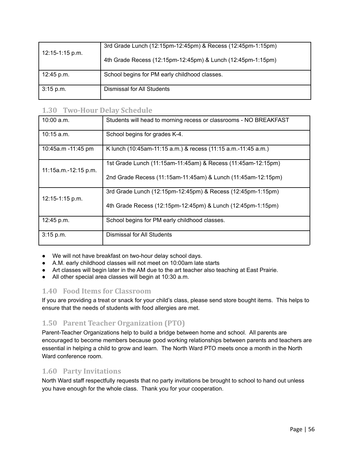| $12:15-1:15$ p.m. | 3rd Grade Lunch (12:15pm-12:45pm) & Recess (12:45pm-1:15pm) |
|-------------------|-------------------------------------------------------------|
|                   | 4th Grade Recess (12:15pm-12:45pm) & Lunch (12:45pm-1:15pm) |
| 12:45 p.m.        | School begins for PM early childhood classes.               |
| $3:15$ p.m.       | Dismissal for All Students                                  |

## **1.30 Two-Hour Delay Schedule**

| $10:00$ a.m.         | Students will head to morning recess or classrooms - NO BREAKFAST |  |
|----------------------|-------------------------------------------------------------------|--|
| $10:15$ a.m.         | School begins for grades K-4.                                     |  |
| 10:45a.m -11:45 pm   | K lunch (10:45am-11:15 a.m.) & recess (11:15 a.m.-11:45 a.m.)     |  |
| 11:15a.m.-12:15 p.m. | 1st Grade Lunch (11:15am-11:45am) & Recess (11:45am-12:15pm)      |  |
|                      | 2nd Grade Recess (11:15am-11:45am) & Lunch (11:45am-12:15pm)      |  |
| 12:15-1:15 p.m.      | 3rd Grade Lunch (12:15pm-12:45pm) & Recess (12:45pm-1:15pm)       |  |
|                      | 4th Grade Recess (12:15pm-12:45pm) & Lunch (12:45pm-1:15pm)       |  |
| 12:45 p.m.           | School begins for PM early childhood classes.                     |  |
| 3:15 p.m.            | Dismissal for All Students                                        |  |

- We will not have breakfast on two-hour delay school days.
- A.M. early childhood classes will not meet on 10:00am late starts
- Art classes will begin later in the AM due to the art teacher also teaching at East Prairie.
- All other special area classes will begin at 10:30 a.m.

## **1.40 Food Items for Classroom**

If you are providing a treat or snack for your child's class, please send store bought items. This helps to ensure that the needs of students with food allergies are met.

# **1.50 Parent Teacher Organization (PTO)**

Parent-Teacher Organizations help to build a bridge between home and school. All parents are encouraged to become members because good working relationships between parents and teachers are essential in helping a child to grow and learn. The North Ward PTO meets once a month in the North Ward conference room.

# **1.60 Party Invitations**

North Ward staff respectfully requests that no party invitations be brought to school to hand out unless you have enough for the whole class. Thank you for your cooperation.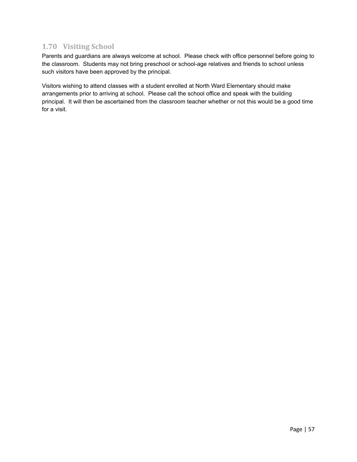# **1.70 Visiting School**

Parents and guardians are always welcome at school. Please check with office personnel before going to the classroom. Students may not bring preschool or school-age relatives and friends to school unless such visitors have been approved by the principal.

Visitors wishing to attend classes with a student enrolled at North Ward Elementary should make arrangements prior to arriving at school. Please call the school office and speak with the building principal. It will then be ascertained from the classroom teacher whether or not this would be a good time for a visit.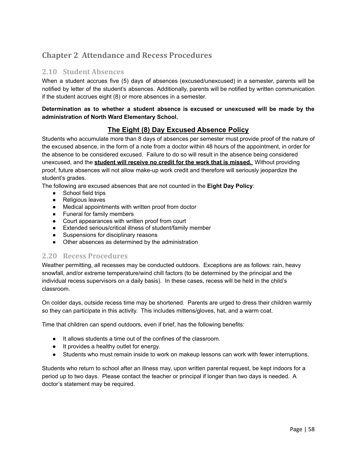# **Chapter 2 Attendance and Recess Procedures**

### **2.10 Student Absences**

When a student accrues five (5) days of absences (excused/unexcused) in a semester, parents will be notified by letter of the student's absences. Additionally, parents will be notified by written communication if the student accrues eight (8) or more absences in a semester.

#### **Determination as to whether a student absence is excused or unexcused will be made by the administration of North Ward Elementary School.**

## **The Eight (8) Day Excused Absence Policy**

Students who accumulate more than 8 days of absences per semester must provide proof of the nature of the excused absence, in the form of a note from a doctor within 48 hours of the appointment, in order for the absence to be considered excused. Failure to do so will result in the absence being considered unexcused, and the **student will receive no credit for the work that is missed.** Without providing proof, future absences will not allow make-up work credit and therefore will seriously jeopardize the student's grades.

The following are excused absences that are not counted in the **Eight Day Policy**:

- School field trips
- Religious leaves
- Medical appointments with written proof from doctor
- Funeral for family members
- Court appearances with written proof from court
- Extended serious/critical illness of student/family member
- Suspensions for disciplinary reasons
- Other absences as determined by the administration

### **2.20 Recess Procedures**

Weather permitting, all recesses may be conducted outdoors. Exceptions are as follows: rain, heavy snowfall, and/or extreme temperature/wind chill factors (to be determined by the principal and the individual recess supervisors on a daily basis). In these cases, recess will be held in the child's classroom.

On colder days, outside recess time may be shortened. Parents are urged to dress their children warmly so they can participate in this activity. This includes mittens/gloves, hat, and a warm coat.

Time that children can spend outdoors, even if brief, has the following benefits:

- It allows students a time out of the confines of the classroom.
- It provides a healthy outlet for energy.
- Students who must remain inside to work on makeup lessons can work with fewer interruptions.

Students who return to school after an illness may, upon written parental request, be kept indoors for a period up to two days. Please contact the teacher or principal if longer than two days is needed. A doctor's statement may be required.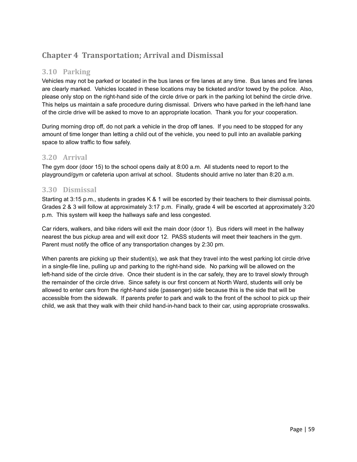# **Chapter 4 Transportation; Arrival and Dismissal**

## **3.10 Parking**

Vehicles may not be parked or located in the bus lanes or fire lanes at any time. Bus lanes and fire lanes are clearly marked. Vehicles located in these locations may be ticketed and/or towed by the police. Also, please only stop on the right-hand side of the circle drive or park in the parking lot behind the circle drive. This helps us maintain a safe procedure during dismissal. Drivers who have parked in the left-hand lane of the circle drive will be asked to move to an appropriate location. Thank you for your cooperation.

During morning drop off, do not park a vehicle in the drop off lanes. If you need to be stopped for any amount of time longer than letting a child out of the vehicle, you need to pull into an available parking space to allow traffic to flow safely.

## **3.20 Arrival**

The gym door (door 15) to the school opens daily at 8:00 a.m. All students need to report to the playground/gym or cafeteria upon arrival at school. Students should arrive no later than 8:20 a.m.

## **3.30 Dismissal**

Starting at 3:15 p.m., students in grades K & 1 will be escorted by their teachers to their dismissal points. Grades 2 & 3 will follow at approximately 3:17 p.m. Finally, grade 4 will be escorted at approximately 3:20 p.m. This system will keep the hallways safe and less congested.

Car riders, walkers, and bike riders will exit the main door (door 1). Bus riders will meet in the hallway nearest the bus pickup area and will exit door 12. PASS students will meet their teachers in the gym. Parent must notify the office of any transportation changes by 2:30 pm.

When parents are picking up their student(s), we ask that they travel into the west parking lot circle drive in a single-file line, pulling up and parking to the right-hand side. No parking will be allowed on the left-hand side of the circle drive. Once their student is in the car safely, they are to travel slowly through the remainder of the circle drive. Since safety is our first concern at North Ward, students will only be allowed to enter cars from the right-hand side (passenger) side because this is the side that will be accessible from the sidewalk. If parents prefer to park and walk to the front of the school to pick up their child, we ask that they walk with their child hand-in-hand back to their car, using appropriate crosswalks.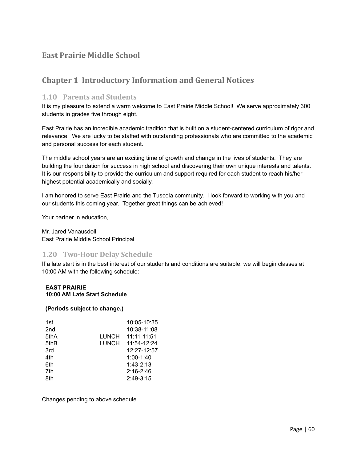# **East Prairie Middle School**

# **Chapter 1 Introductory Information and General Notices**

### **1.10 Parents and Students**

It is my pleasure to extend a warm welcome to East Prairie Middle School! We serve approximately 300 students in grades five through eight.

East Prairie has an incredible academic tradition that is built on a student-centered curriculum of rigor and relevance. We are lucky to be staffed with outstanding professionals who are committed to the academic and personal success for each student.

The middle school years are an exciting time of growth and change in the lives of students. They are building the foundation for success in high school and discovering their own unique interests and talents. It is our responsibility to provide the curriculum and support required for each student to reach his/her highest potential academically and socially.

I am honored to serve East Prairie and the Tuscola community. I look forward to working with you and our students this coming year. Together great things can be achieved!

Your partner in education,

Mr. Jared Vanausdoll East Prairie Middle School Principal

### **1.20 Two-Hour Delay Schedule**

If a late start is in the best interest of our students and conditions are suitable, we will begin classes at 10:00 AM with the following schedule:

#### **EAST PRAIRIE 10:00 AM Late Start Schedule**

#### **(Periods subject to change.)**

| 1st              |       | 10:05-10:35     |
|------------------|-------|-----------------|
| 2nd              |       | 10:38-11:08     |
| 5thA             | LUNCH | $11:11 - 11:51$ |
| 5th <sub>B</sub> | LUNCH | 11:54-12:24     |
| 3rd              |       | 12:27-12:57     |
| 4th              |       | $1:00-1:40$     |
| 6th              |       | $1:43-2:13$     |
| 7th              |       | $2:16 - 2:46$   |
| 8th              |       | $2:49-3:15$     |
|                  |       |                 |

Changes pending to above schedule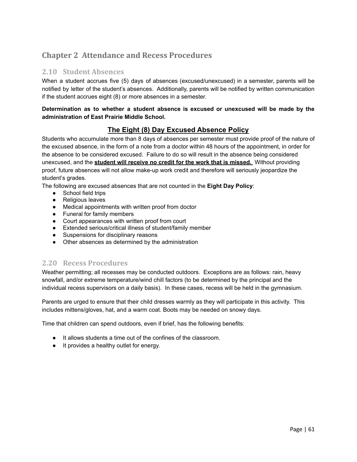# **Chapter 2 Attendance and Recess Procedures**

### **2.10 Student Absences**

When a student accrues five (5) days of absences (excused/unexcused) in a semester, parents will be notified by letter of the student's absences. Additionally, parents will be notified by written communication if the student accrues eight (8) or more absences in a semester.

#### **Determination as to whether a student absence is excused or unexcused will be made by the administration of East Prairie Middle School.**

## **The Eight (8) Day Excused Absence Policy**

Students who accumulate more than 8 days of absences per semester must provide proof of the nature of the excused absence, in the form of a note from a doctor within 48 hours of the appointment, in order for the absence to be considered excused. Failure to do so will result in the absence being considered unexcused, and the **student will receive no credit for the work that is missed.** Without providing proof, future absences will not allow make-up work credit and therefore will seriously jeopardize the student's grades.

The following are excused absences that are not counted in the **Eight Day Policy**:

- School field trips
- Religious leaves
- Medical appointments with written proof from doctor
- Funeral for family members
- Court appearances with written proof from court
- Extended serious/critical illness of student/family member
- Suspensions for disciplinary reasons
- Other absences as determined by the administration

### **2.20 Recess Procedures**

Weather permitting; all recesses may be conducted outdoors. Exceptions are as follows: rain, heavy snowfall, and/or extreme temperature/wind chill factors (to be determined by the principal and the individual recess supervisors on a daily basis). In these cases, recess will be held in the gymnasium.

Parents are urged to ensure that their child dresses warmly as they will participate in this activity. This includes mittens/gloves, hat, and a warm coat. Boots may be needed on snowy days.

Time that children can spend outdoors, even if brief, has the following benefits:

- It allows students a time out of the confines of the classroom.
- It provides a healthy outlet for energy.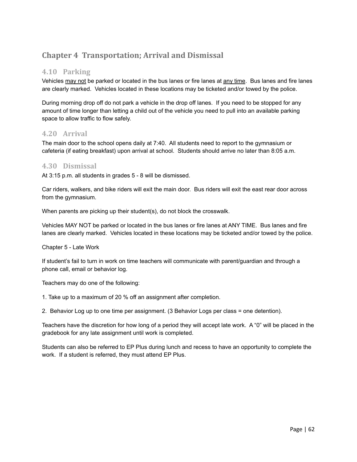# **Chapter 4 Transportation; Arrival and Dismissal**

## **4.10 Parking**

Vehicles may not be parked or located in the bus lanes or fire lanes at any time. Bus lanes and fire lanes are clearly marked. Vehicles located in these locations may be ticketed and/or towed by the police.

During morning drop off do not park a vehicle in the drop off lanes. If you need to be stopped for any amount of time longer than letting a child out of the vehicle you need to pull into an available parking space to allow traffic to flow safely.

## **4.20 Arrival**

The main door to the school opens daily at 7:40. All students need to report to the gymnasium or cafeteria (if eating breakfast) upon arrival at school. Students should arrive no later than 8:05 a.m.

### **4.30 Dismissal**

At 3:15 p.m. all students in grades 5 - 8 will be dismissed.

Car riders, walkers, and bike riders will exit the main door. Bus riders will exit the east rear door across from the gymnasium.

When parents are picking up their student(s), do not block the crosswalk.

Vehicles MAY NOT be parked or located in the bus lanes or fire lanes at ANY TIME. Bus lanes and fire lanes are clearly marked. Vehicles located in these locations may be ticketed and/or towed by the police.

Chapter 5 - Late Work

If student's fail to turn in work on time teachers will communicate with parent/guardian and through a phone call, email or behavior log.

Teachers may do one of the following:

1. Take up to a maximum of 20 % off an assignment after completion.

2. Behavior Log up to one time per assignment. (3 Behavior Logs per class = one detention).

Teachers have the discretion for how long of a period they will accept late work. A "0" will be placed in the gradebook for any late assignment until work is completed.

Students can also be referred to EP Plus during lunch and recess to have an opportunity to complete the work. If a student is referred, they must attend EP Plus.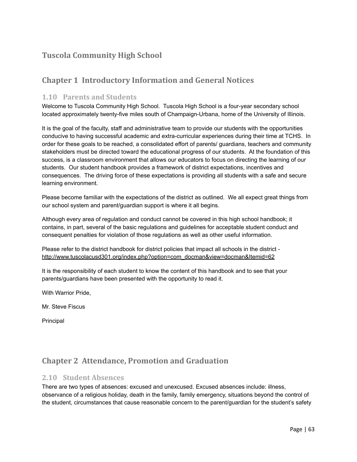# **Tuscola Community High School**

# **Chapter 1 Introductory Information and General Notices**

### **1.10 Parents and Students**

Welcome to Tuscola Community High School. Tuscola High School is a four-year secondary school located approximately twenty-five miles south of Champaign-Urbana, home of the University of Illinois.

It is the goal of the faculty, staff and administrative team to provide our students with the opportunities conducive to having successful academic and extra-curricular experiences during their time at TCHS. In order for these goals to be reached, a consolidated effort of parents/ guardians, teachers and community stakeholders must be directed toward the educational progress of our students. At the foundation of this success, is a classroom environment that allows our educators to focus on directing the learning of our students. Our student handbook provides a framework of district expectations, incentives and consequences. The driving force of these expectations is providing all students with a safe and secure learning environment.

Please become familiar with the expectations of the district as outlined. We all expect great things from our school system and parent/guardian support is where it all begins.

Although every area of regulation and conduct cannot be covered in this high school handbook; it contains, in part, several of the basic regulations and guidelines for acceptable student conduct and consequent penalties for violation of those regulations as well as other useful information.

Please refer to the district handbook for district policies that impact all schools in the district [http://www.tuscolacusd301.org/index.php?option=com\\_docman&view=docman&Itemid=62](http://www.tuscolacusd301.org/index.php?option=com_docman&view=docman&Itemid=62)

It is the responsibility of each student to know the content of this handbook and to see that your parents/guardians have been presented with the opportunity to read it.

With Warrior Pride,

Mr. Steve Fiscus

Principal

# **Chapter 2 Attendance, Promotion and Graduation**

#### **2.10 Student Absences**

There are two types of absences: excused and unexcused. Excused absences include: illness, observance of a religious holiday, death in the family, family emergency, situations beyond the control of the student, circumstances that cause reasonable concern to the parent/guardian for the student's safety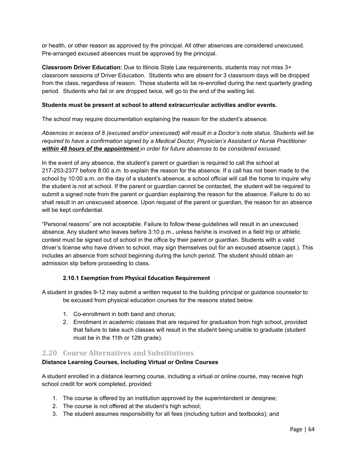or health, or other reason as approved by the principal. All other absences are considered unexcused. Pre-arranged excused absences must be approved by the principal.

**Classroom Driver Education:** Due to Illinois State Law requirements, students may not miss 3+ classroom sessions of Driver Education. Students who are absent for 3 classroom days will be dropped from the class, regardless of reason. Those students will be re-enrolled during the next quarterly grading period. Students who fail or are dropped twice, will go to the end of the waiting list.

#### **Students must be present at school to attend extracurricular activities and/or events.**

The school may require documentation explaining the reason for the student's absence.

Absences in excess of 8 (excused and/or unexcused) will result in a Doctor's note status. Students will be *required to have a confirmation signed by a Medical Doctor, Physician's Assistant or Nurse Practitioner within 48 hours of the appointment in order for future absences to be considered excused.*

In the event of any absence, the student's parent or guardian is required to call the school at 217-253-2377 before 8:00 a.m. to explain the reason for the absence. If a call has not been made to the school by 10:00 a.m. on the day of a student's absence, a school official will call the home to inquire why the student is not at school. If the parent or guardian cannot be contacted, the student will be required to submit a signed note from the parent or guardian explaining the reason for the absence. Failure to do so shall result in an unexcused absence. Upon request of the parent or guardian, the reason for an absence will be kept confidential.

"Personal reasons" are not acceptable. Failure to follow these guidelines will result in an unexcused absence. Any student who leaves before 3:10 p.m., unless he/she is involved in a field trip or athletic contest must be signed out of school in the office by their parent or guardian. Students with a valid driver's license who have driven to school, may sign themselves out for an excused absence (appt.). This includes an absence from school beginning during the lunch period. The student should obtain an admission slip before proceeding to class.

#### **2.10.1 Exemption from Physical Education Requirement**

A student in grades 9-12 may submit a written request to the building principal or guidance counselor to be excused from physical education courses for the reasons stated below.

- 1. Co-enrollment in both band and chorus;
- 2. Enrollment in academic classes that are required for graduation from high school, provided that failure to take such classes will result in the student being unable to graduate (student must be in the 11th or 12th grade).

### **2.20 Course Alternatives and Substitutions**

#### **Distance Learning Courses, Including Virtual or Online Courses**

A student enrolled in a distance learning course, including a virtual or online course, may receive high school credit for work completed, provided:

- 1. The course is offered by an institution approved by the superintendent or designee;
- 2. The course is not offered at the student's high school;
- 3. The student assumes responsibility for all fees (including tuition and textbooks); and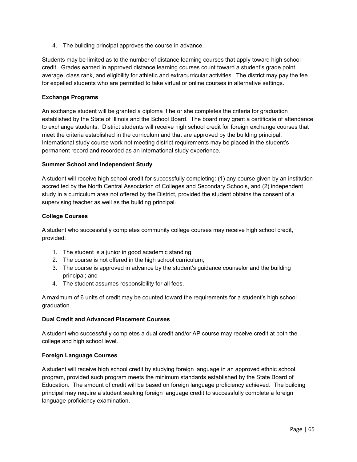4. The building principal approves the course in advance.

Students may be limited as to the number of distance learning courses that apply toward high school credit. Grades earned in approved distance learning courses count toward a student's grade point average, class rank, and eligibility for athletic and extracurricular activities. The district may pay the fee for expelled students who are permitted to take virtual or online courses in alternative settings.

#### **Exchange Programs**

An exchange student will be granted a diploma if he or she completes the criteria for graduation established by the State of Illinois and the School Board. The board may grant a certificate of attendance to exchange students. District students will receive high school credit for foreign exchange courses that meet the criteria established in the curriculum and that are approved by the building principal. International study course work not meeting district requirements may be placed in the student's permanent record and recorded as an international study experience.

#### **Summer School and Independent Study**

A student will receive high school credit for successfully completing: (1) any course given by an institution accredited by the North Central Association of Colleges and Secondary Schools, and (2) independent study in a curriculum area not offered by the District, provided the student obtains the consent of a supervising teacher as well as the building principal.

#### **College Courses**

A student who successfully completes community college courses may receive high school credit, provided:

- 1. The student is a junior in good academic standing;
- 2. The course is not offered in the high school curriculum;
- 3. The course is approved in advance by the student's guidance counselor and the building principal; and
- 4. The student assumes responsibility for all fees.

A maximum of 6 units of credit may be counted toward the requirements for a student's high school graduation.

#### **Dual Credit and Advanced Placement Courses**

A student who successfully completes a dual credit and/or AP course may receive credit at both the college and high school level.

#### **Foreign Language Courses**

A student will receive high school credit by studying foreign language in an approved ethnic school program, provided such program meets the minimum standards established by the State Board of Education. The amount of credit will be based on foreign language proficiency achieved. The building principal may require a student seeking foreign language credit to successfully complete a foreign language proficiency examination.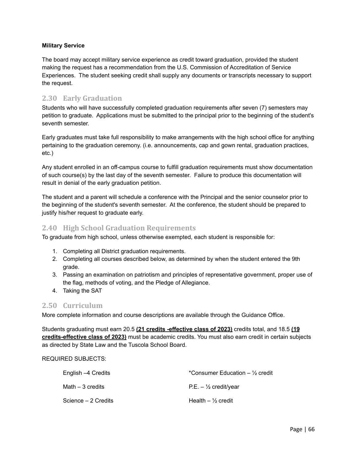#### **Military Service**

The board may accept military service experience as credit toward graduation, provided the student making the request has a recommendation from the U.S. Commission of Accreditation of Service Experiences. The student seeking credit shall supply any documents or transcripts necessary to support the request.

### **2.30 Early Graduation**

Students who will have successfully completed graduation requirements after seven (7) semesters may petition to graduate. Applications must be submitted to the principal prior to the beginning of the student's seventh semester.

Early graduates must take full responsibility to make arrangements with the high school office for anything pertaining to the graduation ceremony. (i.e. announcements, cap and gown rental, graduation practices, etc.)

Any student enrolled in an off-campus course to fulfill graduation requirements must show documentation of such course(s) by the last day of the seventh semester. Failure to produce this documentation will result in denial of the early graduation petition.

The student and a parent will schedule a conference with the Principal and the senior counselor prior to the beginning of the student's seventh semester. At the conference, the student should be prepared to justify his/her request to graduate early.

### **2.40 High School Graduation Requirements**

To graduate from high school, unless otherwise exempted, each student is responsible for:

- 1. Completing all District graduation requirements.
- 2. Completing all courses described below, as determined by when the student entered the 9th grade.
- 3. Passing an examination on patriotism and principles of representative government, proper use of the flag, methods of voting, and the Pledge of Allegiance.
- 4. Taking the SAT

### **2.50 Curriculum**

More complete information and course descriptions are available through the Guidance Office.

Students graduating must earn 20.5 **(21 credits -effective class of 2023)** credits total, and 18.5 **(19 credits-effective class of 2023)** must be academic credits. You must also earn credit in certain subjects as directed by State Law and the Tuscola School Board.

#### REQUIRED SUBJECTS:

| English –4 Credits  | *Consumer Education $-$ 1/ <sub>2</sub> credit |
|---------------------|------------------------------------------------|
| Math – 3 credits    | $P.E. - \frac{1}{2}$ credit/year               |
| Science – 2 Credits | Health $-$ 1/ <sub>2</sub> credit              |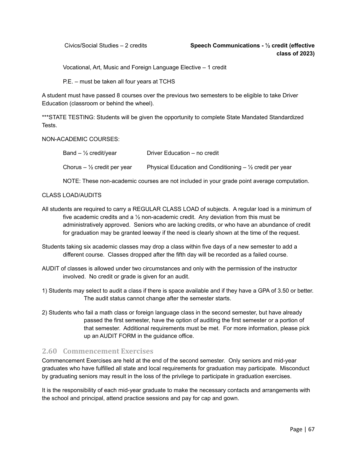Vocational, Art, Music and Foreign Language Elective – 1 credit

P.E. – must be taken all four years at TCHS

A student must have passed 8 courses over the previous two semesters to be eligible to take Driver Education (classroom or behind the wheel).

\*\*\*STATE TESTING: Students will be given the opportunity to complete State Mandated Standardized Tests.

#### NON-ACADEMIC COURSES:

| Band – $\frac{1}{2}$ credit/year | Driver Education – no credit                                |
|----------------------------------|-------------------------------------------------------------|
| Chorus $-$ 1/2 credit per year   | Physical Education and Conditioning $-$ 1/2 credit per year |

NOTE: These non-academic courses are not included in your grade point average computation.

#### CLASS LOAD/AUDITS

- All students are required to carry a REGULAR CLASS LOAD of subjects. A regular load is a minimum of five academic credits and a  $\frac{1}{2}$  non-academic credit. Any deviation from this must be administratively approved. Seniors who are lacking credits, or who have an abundance of credit for graduation may be granted leeway if the need is clearly shown at the time of the request.
- Students taking six academic classes may drop a class within five days of a new semester to add a different course. Classes dropped after the fifth day will be recorded as a failed course.
- AUDIT of classes is allowed under two circumstances and only with the permission of the instructor involved. No credit or grade is given for an audit.
- 1) Students may select to audit a class if there is space available and if they have a GPA of 3.50 or better. The audit status cannot change after the semester starts.
- 2) Students who fail a math class or foreign language class in the second semester, but have already passed the first semester, have the option of auditing the first semester or a portion of that semester. Additional requirements must be met. For more information, please pick up an AUDIT FORM in the guidance office.

### **2.60 Commencement Exercises**

Commencement Exercises are held at the end of the second semester. Only seniors and mid-year graduates who have fulfilled all state and local requirements for graduation may participate. Misconduct by graduating seniors may result in the loss of the privilege to participate in graduation exercises.

It is the responsibility of each mid-year graduate to make the necessary contacts and arrangements with the school and principal, attend practice sessions and pay for cap and gown.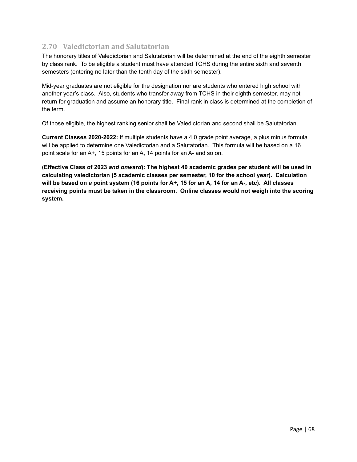## **2.70 Valedictorian and Salutatorian**

The honorary titles of Valedictorian and Salutatorian will be determined at the end of the eighth semester by class rank. To be eligible a student must have attended TCHS during the entire sixth and seventh semesters (entering no later than the tenth day of the sixth semester).

Mid-year graduates are not eligible for the designation nor are students who entered high school with another year's class. Also, students who transfer away from TCHS in their eighth semester, may not return for graduation and assume an honorary title. Final rank in class is determined at the completion of the term.

Of those eligible, the highest ranking senior shall be Valedictorian and second shall be Salutatorian.

**Current Classes 2020-2022:** If multiple students have a 4.0 grade point average, a plus minus formula will be applied to determine one Valedictorian and a Salutatorian. This formula will be based on a 16 point scale for an A+, 15 points for an A, 14 points for an A- and so on.

**(Effective Class of 2023** *and onward***): The highest 40 academic grades per student will be used in calculating valedictorian (5 academic classes per semester, 10 for the school year). Calculation** will be based on a point system (16 points for A+, 15 for an A, 14 for an A-, etc). All classes **receiving points must be taken in the classroom. Online classes would not weigh into the scoring system.**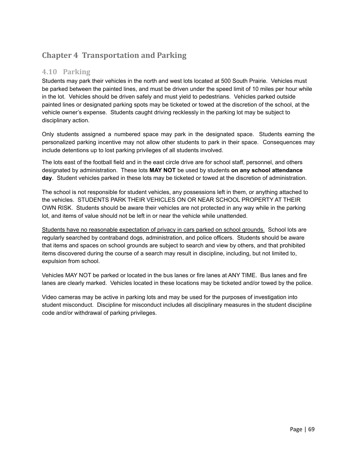# **Chapter 4 Transportation and Parking**

## **4.10 Parking**

Students may park their vehicles in the north and west lots located at 500 South Prairie. Vehicles must be parked between the painted lines, and must be driven under the speed limit of 10 miles per hour while in the lot. Vehicles should be driven safely and must yield to pedestrians. Vehicles parked outside painted lines or designated parking spots may be ticketed or towed at the discretion of the school, at the vehicle owner's expense. Students caught driving recklessly in the parking lot may be subject to disciplinary action.

Only students assigned a numbered space may park in the designated space. Students earning the personalized parking incentive may not allow other students to park in their space. Consequences may include detentions up to lost parking privileges of all students involved.

The lots east of the football field and in the east circle drive are for school staff, personnel, and others designated by administration. These lots **MAY NOT** be used by students **on any school attendance day**. Student vehicles parked in these lots may be ticketed or towed at the discretion of administration.

The school is not responsible for student vehicles, any possessions left in them, or anything attached to the vehicles. STUDENTS PARK THEIR VEHICLES ON OR NEAR SCHOOL PROPERTY AT THEIR OWN RISK. Students should be aware their vehicles are not protected in any way while in the parking lot, and items of value should not be left in or near the vehicle while unattended.

Students have no reasonable expectation of privacy in cars parked on school grounds. School lots are regularly searched by contraband dogs, administration, and police officers. Students should be aware that items and spaces on school grounds are subject to search and view by others, and that prohibited items discovered during the course of a search may result in discipline, including, but not limited to, expulsion from school.

Vehicles MAY NOT be parked or located in the bus lanes or fire lanes at ANY TIME. Bus lanes and fire lanes are clearly marked. Vehicles located in these locations may be ticketed and/or towed by the police.

Video cameras may be active in parking lots and may be used for the purposes of investigation into student misconduct. Discipline for misconduct includes all disciplinary measures in the student discipline code and/or withdrawal of parking privileges.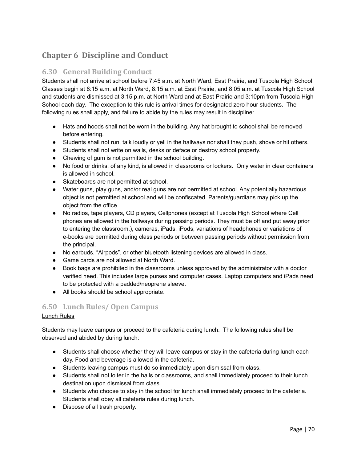# **Chapter 6 Discipline and Conduct**

# **6.30 General Building Conduct**

Students shall not arrive at school before 7:45 a.m. at North Ward, East Prairie, and Tuscola High School. Classes begin at 8:15 a.m. at North Ward, 8:15 a.m. at East Prairie, and 8:05 a.m. at Tuscola High School and students are dismissed at 3:15 p.m. at North Ward and at East Prairie and 3:10pm from Tuscola High School each day. The exception to this rule is arrival times for designated zero hour students. The following rules shall apply, and failure to abide by the rules may result in discipline:

- Hats and hoods shall not be worn in the building. Any hat brought to school shall be removed before entering.
- Students shall not run, talk loudly or yell in the hallways nor shall they push, shove or hit others.
- Students shall not write on walls, desks or deface or destroy school property.
- Chewing of gum is not permitted in the school building.
- No food or drinks, of any kind, is allowed in classrooms or lockers. Only water in clear containers is allowed in school.
- Skateboards are not permitted at school.
- Water guns, play guns, and/or real guns are not permitted at school. Any potentially hazardous object is not permitted at school and will be confiscated. Parents/guardians may pick up the object from the office.
- No radios, tape players, CD players, Cellphones (except at Tuscola High School where Cell phones are allowed in the hallways during passing periods. They must be off and put away prior to entering the classroom.), cameras, iPads, iPods, variations of headphones or variations of e-books are permitted during class periods or between passing periods without permission from the principal.
- No earbuds, "Airpods", or other bluetooth listening devices are allowed in class.
- Game cards are not allowed at North Ward.
- Book bags are prohibited in the classrooms unless approved by the administrator with a doctor verified need. This includes large purses and computer cases. Laptop computers and iPads need to be protected with a padded/neoprene sleeve.
- All books should be school appropriate.

# **6.50 Lunch Rules/ Open Campus**

### Lunch Rules

Students may leave campus or proceed to the cafeteria during lunch. The following rules shall be observed and abided by during lunch:

- Students shall choose whether they will leave campus or stay in the cafeteria during lunch each day. Food and beverage is allowed in the cafeteria.
- Students leaving campus must do so immediately upon dismissal from class.
- Students shall not loiter in the halls or classrooms, and shall immediately proceed to their lunch destination upon dismissal from class.
- Students who choose to stay in the school for lunch shall immediately proceed to the cafeteria. Students shall obey all cafeteria rules during lunch.
- Dispose of all trash properly.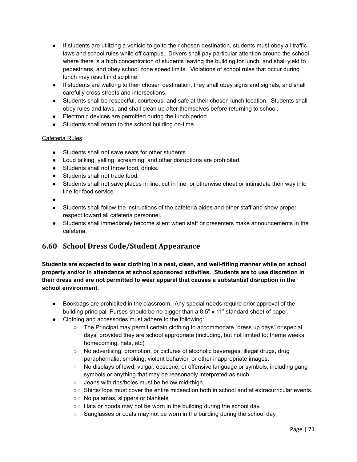- If students are utilizing a vehicle to go to their chosen destination, students must obey all traffic laws and school rules while off campus. Drivers shall pay particular attention around the school where there is a high concentration of students leaving the building for lunch, and shall yield to pedestrians, and obey school zone speed limits. Violations of school rules that occur during lunch may result in discipline.
- If students are walking to their chosen destination, they shall obey signs and signals, and shall carefully cross streets and intersections.
- Students shall be respectful, courteous, and safe at their chosen lunch location. Students shall obey rules and laws, and shall clean up after themselves before returning to school.
- Electronic devices are permitted during the lunch period.
- Students shall return to the school building on-time.

#### Cafeteria Rules

- Students shall not save seats for other students.
- Loud talking, yelling, screaming, and other disruptions are prohibited.
- Students shall not throw food, drinks.
- Students shall not trade food.
- Students shall not save places in line, cut in line, or otherwise cheat or intimidate their way into line for food service.
- ●
- Students shall follow the instructions of the cafeteria aides and other staff and show proper respect toward all cafeteria personnel.
- Students shall immediately become silent when staff or presenters make announcements in the cafeteria.

# **6.60 School Dress Code/Student Appearance**

**Students are expected to wear clothing in a neat, clean, and well-fitting manner while on school property and/or in attendance at school sponsored activities. Students are to use discretion in their dress and are not permitted to wear apparel that causes a substantial disruption in the school environment.**

- Bookbags are prohibited in the classroom. Any special needs require prior approval of the building principal. Purses should be no bigger than a 8.5" x 11" standard sheet of paper.
- Clothing and accessories must adhere to the following:
	- The Principal may permit certain clothing to accommodate "dress up days" or special days, provided they are school appropriate (including, but not limited to: theme weeks, homecoming, hats, etc)
	- No advertising, promotion, or pictures of alcoholic beverages, illegal drugs, drug paraphernalia, smoking, violent behavior, or other inappropriate images.
	- No displays of lewd, vulgar, obscene, or offensive language or symbols, including gang symbols or anything that may be reasonably interpreted as such.
	- Jeans with rips/holes must be below mid-thigh.
	- Shirts/Tops must cover the entire midsection both in school and at extracurricular events.
	- No pajamas, slippers or blankets
	- Hats or hoods may not be worn in the building during the school day.
	- Sunglasses or coats may not be worn in the building during the school day.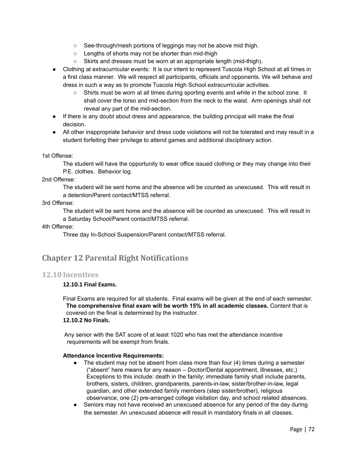- See-through/mesh portions of leggings may not be above mid thigh.
- Lengths of shorts may not be shorter than mid-thigh
- Skirts and dresses must be worn at an appropriate length (mid-thigh).
- Clothing at extracurricular events: It is our intent to represent Tuscola High School at all times in a first class manner. We will respect all participants, officials and opponents. We will behave and dress in such a way as to promote Tuscola High School extracurricular activities.
	- Shirts must be worn at all times during sporting events and while in the school zone. It shall cover the torso and mid-section from the neck to the waist. Arm openings shall not reveal any part of the mid-section.
- If there is any doubt about dress and appearance, the building principal will make the final decision.
- All other inappropriate behavior and dress code violations will not be tolerated and may result in a student forfeiting their privilege to attend games and additional disciplinary action.

### 1st Offense:

The student will have the opportunity to wear office issued clothing or they may change into their P.E. clothes. Behavior log.

### 2nd Offense:

The student will be sent home and the absence will be counted as unexcused. This will result in a detention/Parent contact/MTSS referral.

### 3rd Offense:

The student will be sent home and the absence will be counted as unexcused. This will result in a Saturday School/Parent contact/MTSS referral.

### 4th Offense:

Three day In-School Suspension/Parent contact/MTSS referral.

## **Chapter 12 Parental Right Notifications**

### **12.10 Incentives**

### **12.10.1 Final Exams.**

Final Exams are required for all students. Final exams will be given at the end of each semester. **The comprehensive final exam will be worth 15% in all academic classes.** Content that is covered on the final is determined by the instructor. **12.10.2 No Finals.**

Any senior with the SAT score of at least 1020 who has met the attendance incentive requirements will be exempt from finals.

### **Attendance Incentive Requirements:**

- The student may not be absent from class more than four  $(4)$  times during a semester ("absent" here means for any reason – Doctor/Dental appointment, illnesses, etc.) Exceptions to this include: death in the family; immediate family shall include parents, brothers, sisters, children, grandparents, parents-in-law, sister/brother-in-law, legal guardian, and other extended family members (step sister/brother), religious observance, one (2) pre-arranged college visitation day, and school related absences.
- Seniors may not have received an unexcused absence for any period of the day during the semester. An unexcused absence will result in mandatory finals in all classes.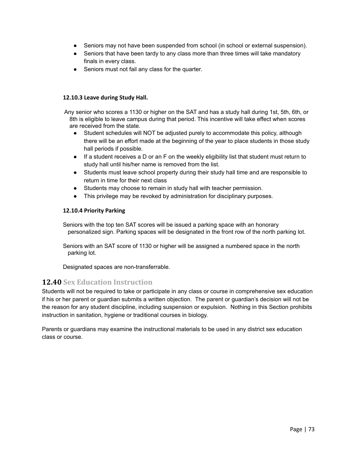- Seniors may not have been suspended from school (in school or external suspension).
- Seniors that have been tardy to any class more than three times will take mandatory finals in every class.
- Seniors must not fail any class for the quarter.

### **12.10.3 Leave during Study Hall.**

Any senior who scores a 1130 or higher on the SAT and has a study hall during 1st, 5th, 6th, or 8th is eligible to leave campus during that period. This incentive will take effect when scores are received from the state.

- Student schedules will NOT be adjusted purely to accommodate this policy, although there will be an effort made at the beginning of the year to place students in those study hall periods if possible.
- If a student receives a D or an F on the weekly eligibility list that student must return to study hall until his/her name is removed from the list.
- Students must leave school property during their study hall time and are responsible to return in time for their next class
- Students may choose to remain in study hall with teacher permission.
- This privilege may be revoked by administration for disciplinary purposes.

### **12.10.4 Priority Parking**

Seniors with the top ten SAT scores will be issued a parking space with an honorary personalized sign. Parking spaces will be designated in the front row of the north parking lot.

Seniors with an SAT score of 1130 or higher will be assigned a numbered space in the north parking lot.

Designated spaces are non-transferrable.

### **12.40 Sex Education Instruction**

Students will not be required to take or participate in any class or course in comprehensive sex education if his or her parent or guardian submits a written objection. The parent or guardian's decision will not be the reason for any student discipline, including suspension or expulsion. Nothing in this Section prohibits instruction in sanitation, hygiene or traditional courses in biology.

Parents or guardians may examine the instructional materials to be used in any district sex education class or course.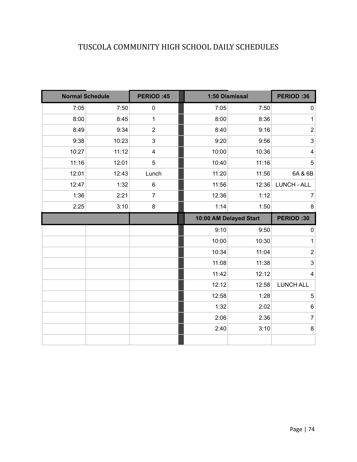# TUSCOLA COMMUNITY HIGH SCHOOL DAILY SCHEDULES

| <b>Normal Schedule</b> |       | <b>PERIOD:45</b> | 1:50 Dismissal         | <b>PERIOD:36</b> |                         |
|------------------------|-------|------------------|------------------------|------------------|-------------------------|
| 7:05                   | 7:50  | $\pmb{0}$        | 7:05                   | 7:50             | 0                       |
| 8:00                   | 8:45  | $\mathbf{1}$     | 8:00                   | 8:36             | 1                       |
| 8:49                   | 9:34  | $\mathbf{2}$     | 8:40                   | 9:16             | $\overline{\mathbf{c}}$ |
| 9:38                   | 10:23 | $\mathfrak{S}$   | 9:20                   | 9:56             | 3                       |
| 10:27                  | 11:12 | 4                | 10:00                  | 10:36            | $\overline{\mathbf{4}}$ |
| 11:16                  | 12:01 | 5                | 10:40                  | 11:16            | $\overline{5}$          |
| 12:01                  | 12:43 | Lunch            | 11:20                  | 11:56            | 6A & 6B                 |
| 12:47                  | 1:32  | $\,6$            | 11:56                  | 12:36            | <b>LUNCH - ALL</b>      |
| 1:36                   | 2:21  | $\overline{7}$   | 12:36                  | 1:12             | 7                       |
| 2:25                   | 3:10  | $\bf 8$          | 1:14                   | 1:50             | 8                       |
|                        |       |                  | 10:00 AM Delayed Start |                  | <b>PERIOD:30</b>        |
|                        |       |                  | 9:10                   | 9:50             | $\pmb{0}$               |
|                        |       |                  | 10:00                  | 10:30            | 1                       |
|                        |       |                  | 10:34                  | 11:04            | $\overline{\mathbf{c}}$ |
|                        |       |                  | 11:08                  | 11:38            | $\mathfrak{S}$          |
|                        |       |                  | 11:42                  | 12:12            | $\overline{\mathbf{4}}$ |
|                        |       |                  | 12:12                  | 12:58            | <b>LUNCH ALL</b>        |
|                        |       |                  | 12:58                  | 1:28             | 5                       |
|                        |       |                  | 1:32                   | 2:02             | $\,6$                   |
|                        |       |                  | 2:06                   | 2:36             | $\overline{7}$          |
|                        |       |                  |                        |                  |                         |
|                        |       |                  | 2:40                   | 3:10             | $\bf 8$                 |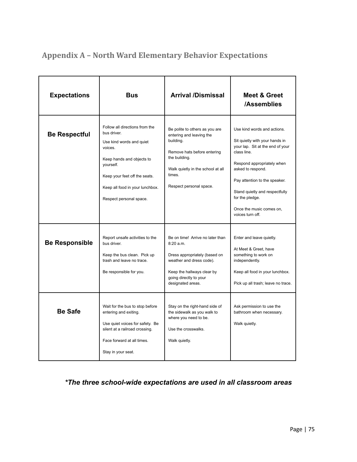| <b>Expectations</b>   | <b>Bus</b>                                                                                                                                                                                                                    | <b>Arrival /Dismissal</b>                                                                                                                                                                         | Meet & Greet<br>/Assemblies                                                                                                                                                                                                                                                                               |
|-----------------------|-------------------------------------------------------------------------------------------------------------------------------------------------------------------------------------------------------------------------------|---------------------------------------------------------------------------------------------------------------------------------------------------------------------------------------------------|-----------------------------------------------------------------------------------------------------------------------------------------------------------------------------------------------------------------------------------------------------------------------------------------------------------|
| <b>Be Respectful</b>  | Follow all directions from the<br>bus driver.<br>Use kind words and quiet<br>voices.<br>Keep hands and objects to<br>yourself.<br>Keep your feet off the seats.<br>Keep all food in your lunchbox.<br>Respect personal space. | Be polite to others as you are<br>entering and leaving the<br>building.<br>Remove hats before entering<br>the building.<br>Walk quietly in the school at all<br>times.<br>Respect personal space. | Use kind words and actions.<br>Sit quietly with your hands in<br>your lap. Sit at the end of your<br>class line.<br>Respond appropriately when<br>asked to respond.<br>Pay attention to the speaker.<br>Stand quietly and respectfully<br>for the pledge.<br>Once the music comes on,<br>voices turn off. |
| <b>Be Responsible</b> | Report unsafe activities to the<br>bus driver.<br>Keep the bus clean. Pick up<br>trash and leave no trace.<br>Be responsible for you.                                                                                         | Be on time! Arrive no later than<br>8:20 a.m.<br>Dress appropriately (based on<br>weather and dress code).<br>Keep the hallways clear by<br>going directly to your<br>designated areas.           | Enter and leave quietly.<br>At Meet & Greet, have<br>something to work on<br>independently.<br>Keep all food in your lunchbox.<br>Pick up all trash; leave no trace.                                                                                                                                      |
| <b>Be Safe</b>        | Wait for the bus to stop before<br>entering and exiting.<br>Use quiet voices for safety. Be<br>silent at a railroad crossing.<br>Face forward at all times.<br>Stay in your seat.                                             | Stay on the right-hand side of<br>the sidewalk as you walk to<br>where you need to be.<br>Use the crosswalks.<br>Walk quietly.                                                                    | Ask permission to use the<br>bathroom when necessary.<br>Walk quietly.                                                                                                                                                                                                                                    |

# **Appendix A – North Ward Elementary Behavior Expectations**

## *\*The three school-wide expectations are used in all classroom areas*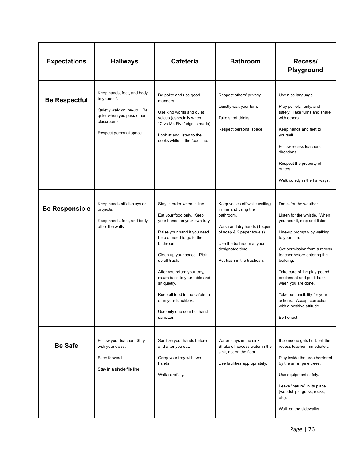| <b>Expectations</b>   | <b>Hallways</b>                                                                                                                                  | <b>Cafeteria</b>                                                                                                                                                                                                                                                                                                                                                                                      | <b>Bathroom</b>                                                                                                                                                                                                 | Recess/<br>Playground                                                                                                                                                                                                                                                                                                                                                                                          |
|-----------------------|--------------------------------------------------------------------------------------------------------------------------------------------------|-------------------------------------------------------------------------------------------------------------------------------------------------------------------------------------------------------------------------------------------------------------------------------------------------------------------------------------------------------------------------------------------------------|-----------------------------------------------------------------------------------------------------------------------------------------------------------------------------------------------------------------|----------------------------------------------------------------------------------------------------------------------------------------------------------------------------------------------------------------------------------------------------------------------------------------------------------------------------------------------------------------------------------------------------------------|
| <b>Be Respectful</b>  | Keep hands, feet, and body<br>to yourself.<br>Quietly walk or line-up. Be<br>quiet when you pass other<br>classrooms.<br>Respect personal space. | Be polite and use good<br>manners.<br>Use kind words and quiet<br>voices (especially when<br>"Give Me Five" sign is made).<br>Look at and listen to the<br>cooks while in the food line.                                                                                                                                                                                                              | Respect others' privacy.<br>Quietly wait your turn.<br>Take short drinks.<br>Respect personal space.                                                                                                            | Use nice language.<br>Play politely, fairly, and<br>safely. Take turns and share<br>with others.<br>Keep hands and feet to<br>yourself.<br>Follow recess teachers'<br>directions.<br>Respect the property of<br>others.<br>Walk quietly in the hallways.                                                                                                                                                       |
| <b>Be Responsible</b> | Keep hands off displays or<br>projects.<br>Keep hands, feet, and body<br>off of the walls                                                        | Stay in order when in line.<br>Eat your food only. Keep<br>your hands on your own tray.<br>Raise your hand if you need<br>help or need to go to the<br>bathroom.<br>Clean up your space. Pick<br>up all trash.<br>After you return your tray,<br>return back to your table and<br>sit quietly.<br>Keep all food in the cafeteria<br>or in your lunchbox.<br>Use only one squirt of hand<br>sanitizer. | Keep voices off while waiting<br>in line and using the<br>bathroom.<br>Wash and dry hands (1 squirt<br>of soap & 2 paper towels).<br>Use the bathroom at your<br>designated time.<br>Put trash in the trashcan. | Dress for the weather.<br>Listen for the whistle. When<br>you hear it, stop and listen.<br>Line-up promptly by walking<br>to your line.<br>Get permission from a recess<br>teacher before entering the<br>building.<br>Take care of the playground<br>equipment and put it back<br>when you are done.<br>Take responsibility for your<br>actions. Accept correction<br>with a positive attitude.<br>Be honest. |
| <b>Be Safe</b>        | Follow your teacher. Stay<br>with your class.<br>Face forward.<br>Stay in a single file line                                                     | Sanitize your hands before<br>and after you eat.<br>Carry your tray with two<br>hands.<br>Walk carefully.                                                                                                                                                                                                                                                                                             | Water stays in the sink.<br>Shake off excess water in the<br>sink, not on the floor.<br>Use facilities appropriately.                                                                                           | If someone gets hurt, tell the<br>recess teacher immediately.<br>Play inside the area bordered<br>by the small pine trees.<br>Use equipment safely.<br>Leave "nature" in its place<br>(woodchips, grass, rocks,<br>etc).<br>Walk on the sidewalks.                                                                                                                                                             |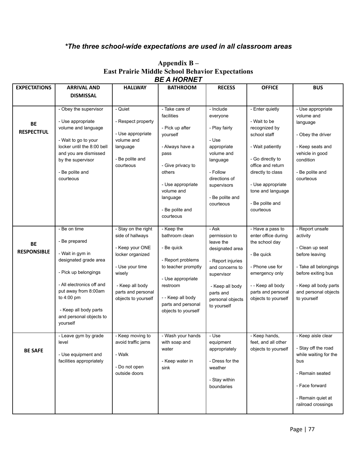## *\*The three school-wide expectations are used in all classroom areas*

|                     |                            |                                       | DL A HUNNLI                  |                                 |                                            |                                     |
|---------------------|----------------------------|---------------------------------------|------------------------------|---------------------------------|--------------------------------------------|-------------------------------------|
| <b>EXPECTATIONS</b> | <b>ARRIVAL AND</b>         | <b>HALLWAY</b>                        | <b>BATHROOM</b>              | <b>RECESS</b>                   | <b>OFFICE</b>                              | <b>BUS</b>                          |
|                     | <b>DISMISSAL</b>           |                                       |                              |                                 |                                            |                                     |
|                     |                            |                                       |                              |                                 |                                            |                                     |
|                     | - Obey the supervisor      | - Quiet                               | - Take care of<br>facilities | - Include                       | - Enter quietly                            | - Use appropriate                   |
|                     | - Use appropriate          | - Respect property                    |                              | everyone                        | - Wait to be                               | volume and<br>language              |
| BE                  | volume and language        |                                       | - Pick up after              | - Play fairly                   | recognized by                              |                                     |
| <b>RESPECTFUL</b>   |                            | - Use appropriate                     | yourself                     |                                 | school staff                               | - Obey the driver                   |
|                     | - Wait to go to your       | volume and                            |                              | - Use                           |                                            |                                     |
|                     | locker until the 8:00 bell | language                              | - Always have a              | appropriate                     | - Wait patiently                           | - Keep seats and                    |
|                     | and you are dismissed      |                                       | pass                         | volume and                      |                                            | vehicle in good                     |
|                     | by the supervisor          | - Be polite and                       |                              | language                        | - Go directly to                           | condition                           |
|                     |                            | courteous                             | - Give privacy to            |                                 | office and return                          |                                     |
|                     | - Be polite and            |                                       | others                       | - Follow                        | directly to class                          | - Be polite and                     |
|                     | courteous                  |                                       | - Use appropriate            | directions of                   | - Use appropriate                          | courteous                           |
|                     |                            |                                       | volume and                   | supervisors                     | tone and language                          |                                     |
|                     |                            |                                       | language                     | - Be polite and                 |                                            |                                     |
|                     |                            |                                       |                              | courteous                       | - Be polite and                            |                                     |
|                     |                            |                                       | - Be polite and              |                                 | courteous                                  |                                     |
|                     |                            |                                       | courteous                    |                                 |                                            |                                     |
|                     |                            |                                       |                              |                                 |                                            |                                     |
|                     | - Be on time               | - Stay on the right                   | - Keep the                   | - Ask                           | - Have a pass to                           | - Report unsafe                     |
|                     | - Be prepared              | side of hallways                      | bathroom clean               | permission to                   | enter office during                        | activity                            |
| BE                  |                            | - Keep your ONE                       | - Be quick                   | leave the<br>designated area    | the school day                             | - Clean up seat                     |
| <b>RESPONSIBLE</b>  | - Wait in gym in           | locker organized                      |                              |                                 | - Be quick                                 | before leaving                      |
|                     | designated grade area      |                                       | - Report problems            | - Report injuries               |                                            |                                     |
|                     |                            | - Use your time                       | to teacher promptly          | and concerns to                 | - Phone use for                            | - Take all belongings               |
|                     | - Pick up belongings       | wisely                                |                              | supervisor                      | emergency only                             | before exiting bus                  |
|                     | - All electronics off and  |                                       | - Use appropriate            |                                 |                                            |                                     |
|                     | put away from 8:00am       | - Keep all body<br>parts and personal | restroom                     | - Keep all body                 | - - Keep all body                          | - Keep all body parts               |
|                     | to 4:00 pm                 | objects to yourself                   | - - Keep all body            | parts and                       | parts and personal                         | and personal objects<br>to yourself |
|                     |                            |                                       | parts and personal           | personal objects<br>to yourself | objects to yourself                        |                                     |
|                     | - Keep all body parts      |                                       | objects to yourself          |                                 |                                            |                                     |
|                     | and personal objects to    |                                       |                              |                                 |                                            |                                     |
|                     | yourself                   |                                       |                              |                                 |                                            |                                     |
|                     |                            |                                       |                              |                                 |                                            |                                     |
|                     | - Leave gym by grade       | - Keep moving to                      | - Wash your hands            | - Use                           | - Keep hands,                              | - Keep aisle clear                  |
|                     | level                      | avoid traffic jams                    | with soap and                | equipment                       | feet, and all other<br>objects to yourself | - Stay off the road                 |
| <b>BE SAFE</b>      | - Use equipment and        | - Walk                                | water                        | appropriately                   |                                            | while waiting for the               |
|                     | facilities appropriately   |                                       | - Keep water in              | - Dress for the                 |                                            | bus                                 |
|                     |                            | - Do not open                         | sink                         | weather                         |                                            |                                     |
|                     |                            | outside doors                         |                              |                                 |                                            | - Remain seated                     |
|                     |                            |                                       |                              | - Stay within                   |                                            |                                     |
|                     |                            |                                       |                              | boundaries                      |                                            | - Face forward                      |
|                     |                            |                                       |                              |                                 |                                            | - Remain quiet at                   |
|                     |                            |                                       |                              |                                 |                                            | railroad crossings                  |
|                     |                            |                                       |                              |                                 |                                            |                                     |

### **Appendix B – East Prairie Middle School Behavior Expectations** *BE A HORNET*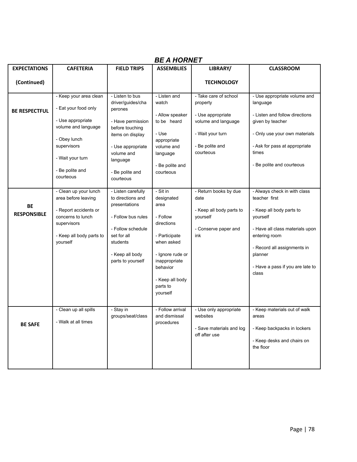| <b>BE A HORNET</b>              |                                                                                                                                                                               |                                                                                                                                                                                            |                                                                                                                                                                                      |                                                                                                                                   |                                                                                                                                                                                                                                  |  |  |
|---------------------------------|-------------------------------------------------------------------------------------------------------------------------------------------------------------------------------|--------------------------------------------------------------------------------------------------------------------------------------------------------------------------------------------|--------------------------------------------------------------------------------------------------------------------------------------------------------------------------------------|-----------------------------------------------------------------------------------------------------------------------------------|----------------------------------------------------------------------------------------------------------------------------------------------------------------------------------------------------------------------------------|--|--|
| <b>EXPECTATIONS</b>             | <b>CAFETERIA</b>                                                                                                                                                              | <b>FIELD TRIPS</b>                                                                                                                                                                         | <b>ASSEMBLIES</b>                                                                                                                                                                    | LIBRARY/                                                                                                                          | <b>CLASSROOM</b>                                                                                                                                                                                                                 |  |  |
| (Continued)                     |                                                                                                                                                                               |                                                                                                                                                                                            |                                                                                                                                                                                      | <b>TECHNOLOGY</b>                                                                                                                 |                                                                                                                                                                                                                                  |  |  |
| <b>BE RESPECTFUL</b>            | - Keep your area clean<br>- Eat your food only<br>- Use appropriate<br>volume and language<br>- Obey lunch<br>supervisors<br>- Wait your turn<br>- Be polite and<br>courteous | - Listen to bus<br>driver/guides/cha<br>perones<br>- Have permission<br>before touching<br>items on display<br>- Use appropriate<br>volume and<br>language<br>- Be polite and<br>courteous | - Listen and<br>watch<br>- Allow speaker<br>to be heard<br>- Use<br>appropriate<br>volume and<br>language<br>- Be polite and<br>courteous                                            | - Take care of school<br>property<br>- Use appropriate<br>volume and language<br>- Wait your turn<br>- Be polite and<br>courteous | - Use appropriate volume and<br>language<br>- Listen and follow directions<br>given by teacher<br>- Only use your own materials<br>- Ask for pass at appropriate<br>times<br>- Be polite and courteous                           |  |  |
| <b>BE</b><br><b>RESPONSIBLE</b> | - Clean up your lunch<br>area before leaving<br>- Report accidents or<br>concerns to lunch<br>supervisors<br>- Keep all body parts to<br>yourself                             | - Listen carefully<br>to directions and<br>presentations<br>- Follow bus rules<br>- Follow schedule<br>set for all<br>students<br>- Keep all body<br>parts to yourself                     | $-Sit$ in<br>designated<br>area<br>- Follow<br>directions<br>- Participate<br>when asked<br>- Ignore rude or<br>inappropriate<br>behavior<br>- Keep all body<br>parts to<br>yourself | - Return books by due<br>date<br>- Keep all body parts to<br>yourself<br>- Conserve paper and<br>ink                              | - Always check in with class<br>teacher first<br>- Keep all body parts to<br>yourself<br>- Have all class materials upon<br>entering room<br>- Record all assignments in<br>planner<br>- Have a pass if you are late to<br>class |  |  |
| <b>BE SAFE</b>                  | - Clean up all spills<br>- Walk at all times                                                                                                                                  | - Stay in<br>groups/seat/class                                                                                                                                                             | - Follow arrival<br>and dismissal<br>procedures                                                                                                                                      | - Use only appropriate<br>websites<br>- Save materials and log<br>off after use                                                   | - Keep materials out of walk<br>areas<br>- Keep backpacks in lockers<br>- Keep desks and chairs on<br>the floor                                                                                                                  |  |  |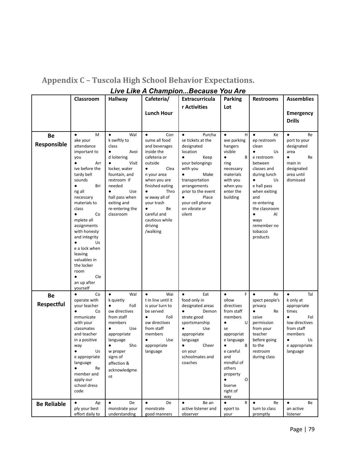|                    | <b>Classroom</b>                 | <b>Hallway</b>                     | Cafeteria/                            | Extracurricula                           | <b>Parking</b>             | <b>Restrooms</b>            | <b>Assemblies</b>                  |
|--------------------|----------------------------------|------------------------------------|---------------------------------------|------------------------------------------|----------------------------|-----------------------------|------------------------------------|
|                    |                                  |                                    |                                       | r Activities                             | Lot                        |                             |                                    |
|                    |                                  |                                    | <b>Lunch Hour</b>                     |                                          |                            |                             | <b>Emergency</b>                   |
|                    |                                  |                                    |                                       |                                          |                            |                             | <b>Drills</b>                      |
| Be                 | M<br>$\bullet$                   | Wal<br>$\bullet$                   | $\bullet$<br>Con                      | Purcha<br>$\bullet$                      | $\bullet$<br>H             | $\bullet$<br>Ke             | Re<br>$\bullet$                    |
| Responsible        | ake your                         | k swiftly to                       | sume all food                         | se tickets at the                        | ave parking                | ep restroom                 | port to your                       |
|                    | attendance<br>important to       | class<br>$\bullet$<br>Avoi         | and beverages<br>inside the           | designated<br>location                   | hangers<br>visible         | clean<br>$\bullet$<br>Us    | designated<br>area                 |
|                    | you                              | d loitering                        | cafeteria or                          | Keep<br>$\bullet$                        | В<br>$\bullet$             | e restroom                  | Re<br>$\bullet$                    |
|                    | $\bullet$<br>Arr                 | Visit<br>$\bullet$                 | outside                               | your belongings                          | ring                       | between                     | main in                            |
|                    | ive before the<br>tardy bell     | locker, water<br>fountain, and     | Clea<br>$\bullet$<br>n your area      | with you<br>Make<br>$\bullet$            | necessary<br>materials     | classes and<br>during lunch | designated<br>area until           |
|                    | sounds                           | restroom if                        | when you are                          | transportation                           | with you                   | $\bullet$<br>Us             | dismissed                          |
|                    | Bri<br>$\bullet$                 | needed                             | finished eating                       | arrangements                             | when you                   | e hall pass                 |                                    |
|                    | ng all<br>necessary              | Use<br>$\bullet$<br>hall pass when | Thro<br>$\bullet$<br>w away all of    | prior to the event<br>Place<br>$\bullet$ | enter the<br>building      | when exiting<br>and         |                                    |
|                    | materials to                     | exiting and                        | your trash                            | your cell phone                          |                            | re-entering                 |                                    |
|                    | class                            | re-entering the                    | $\bullet$<br>Be                       | on vibrate or<br>silent                  |                            | the classroom<br>AI         |                                    |
|                    | Co<br>$\bullet$<br>mplete all    | classroom                          | careful and<br>cautious while         |                                          |                            | $\bullet$<br>ways           |                                    |
|                    | assignments                      |                                    | driving                               |                                          |                            | remember no                 |                                    |
|                    | with honesty                     |                                    | /walking                              |                                          |                            | tobacco                     |                                    |
|                    | and integrity<br>$\bullet$<br>Us |                                    |                                       |                                          |                            | products                    |                                    |
|                    | e a lock when                    |                                    |                                       |                                          |                            |                             |                                    |
|                    | leaving<br>valuables in          |                                    |                                       |                                          |                            |                             |                                    |
|                    | the locker                       |                                    |                                       |                                          |                            |                             |                                    |
|                    | room                             |                                    |                                       |                                          |                            |                             |                                    |
|                    | Cle                              |                                    |                                       |                                          |                            |                             |                                    |
|                    | an up after<br>yourself          |                                    |                                       |                                          |                            |                             |                                    |
| Be                 | Co<br>$\bullet$                  | Wal<br>$\bullet$                   | $\bullet$<br>Wai                      | Eat<br>$\bullet$                         | $\bullet$<br>F             | $\bullet$<br>Re             | $\bullet$<br>Tal                   |
| Respectful         | operate with<br>your teacher     | k quietly<br>Foll<br>$\bullet$     | t in line until it<br>is your turn to | food only in<br>designated areas         | ollow<br>directives        | spect people's<br>privacy   | k only at<br>appropriate           |
|                    | $\bullet$<br>Co                  | ow directives                      | be served                             | $\bullet$<br>Demon                       | from staff                 | Re<br>$\bullet$             | times                              |
|                    | mmunicate                        | from staff                         | Foll<br>$\bullet$                     | strate good                              | members<br>$\cup$          | ceive                       | $\bullet$<br>Fol<br>low directives |
|                    | with your<br>classmates          | members<br>Use                     | ow directives<br>from staff           | sportsmanship<br>Use                     | $\bullet$<br>se            | permission<br>from your     | from staff                         |
|                    | and teacher                      | appropriate                        | members                               | appropriate                              | appropriat                 | teacher                     | members                            |
|                    | in a positive                    | language<br>Sho                    | Use<br>$\bullet$                      | language<br>Cheer<br>$\bullet$           | e language<br>$\mathsf{B}$ | before going<br>to the      | Us<br>٠<br>e appropriate           |
|                    | way<br>Us<br>$\bullet$           | w proper                           | appropriate<br>language               | on your                                  | e careful                  | restroom                    | language                           |
|                    | e appropriate                    | signs of                           |                                       | schoolmates and                          | and                        | during class                |                                    |
|                    | language<br>$\bullet$            | affection &                        |                                       | coaches                                  | mindful of                 |                             |                                    |
|                    | Re<br>member and                 | acknowledgme                       |                                       |                                          | others<br>property         |                             |                                    |
|                    | apply our                        | nt                                 |                                       |                                          | $\bullet$<br>O             |                             |                                    |
|                    | school dress                     |                                    |                                       |                                          | bserve                     |                             |                                    |
|                    | code                             |                                    |                                       |                                          | right of<br>way            |                             |                                    |
| <b>Be Reliable</b> | $\bullet$<br>Ap                  | $\bullet$<br>De                    | De<br>$\bullet$                       | $\bullet$<br>Be an                       | $\bullet$<br>R             | Re<br>$\bullet$             | $\bullet$<br>Be                    |
|                    | ply your best<br>effort daily to | monstrate your<br>understanding    | monstrate<br>good manners             | active listener and<br>observer          | eport to<br>your           | turn to class<br>promptly   | an active<br>listener              |
|                    |                                  |                                    |                                       |                                          |                            |                             |                                    |

# **Appendix C – Tuscola High School Behavior Expectations.** *Live Like A Champion...Because You Are*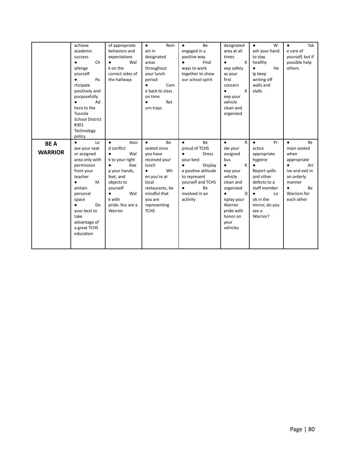|                              | achieve<br>academic<br>success<br>Ch<br>$\bullet$<br>allenge<br>yourself<br>Pa<br>$\bullet$                                                                                                                                                       | of appropriate<br>behaviors and<br>expectations<br>Wal<br>$\bullet$<br>k on the<br>correct sides of                                                                                 | Rem<br>$\bullet$<br>ain in<br>designated<br>areas<br>throughout<br>your lunch                                                                                                                        | Be<br>$\bullet$<br>engaged in a<br>positive way<br>Find<br>$\bullet$<br>ways to work<br>together to show                                                                                                               | designated<br>area at all<br>times<br>K<br>$\bullet$<br>eep safety<br>as your<br>first                                                                                                        | W<br>$\bullet$<br>ash your hand<br>to stay<br>healthy<br>He<br>$\bullet$<br>Ip keep                                                                                         | Tak<br>$\bullet$<br>e care of<br>yourself, but if<br>possible help<br>others                                                                                                |
|------------------------------|---------------------------------------------------------------------------------------------------------------------------------------------------------------------------------------------------------------------------------------------------|-------------------------------------------------------------------------------------------------------------------------------------------------------------------------------------|------------------------------------------------------------------------------------------------------------------------------------------------------------------------------------------------------|------------------------------------------------------------------------------------------------------------------------------------------------------------------------------------------------------------------------|-----------------------------------------------------------------------------------------------------------------------------------------------------------------------------------------------|-----------------------------------------------------------------------------------------------------------------------------------------------------------------------------|-----------------------------------------------------------------------------------------------------------------------------------------------------------------------------|
|                              | rticipate<br>positively and<br>purposefully<br>Ad<br>here to the<br>Tuscola<br><b>School District</b><br>#301<br>Technology<br>policy                                                                                                             | the hallways                                                                                                                                                                        | period<br>Com<br>$\bullet$<br>e back to class<br>on time<br>Ret<br>urn trays                                                                                                                         | our school spirit                                                                                                                                                                                                      | concern<br>К<br>$\bullet$<br>eep your<br>vehicle<br>clean and<br>organized                                                                                                                    | writing off<br>walls and<br>stalls                                                                                                                                          |                                                                                                                                                                             |
| <b>BEA</b><br><b>WARRIOR</b> | $\bullet$<br>Le<br>ave your seat<br>or assigned<br>area only with<br>permission<br>from your<br>teacher<br>M<br>$\bullet$<br>aintain<br>personal<br>space<br>Do<br>$\bullet$<br>your best to<br>take<br>advantage of<br>a great TCHS<br>education | Avoi<br>$\bullet$<br>d conflict<br>Wal<br>$\bullet$<br>k to your right<br>Kee<br>p your hands,<br>feet, and<br>objects to<br>vourself<br>Wal<br>k with<br>prideYou are a<br>Warrior | <b>Be</b><br>$\bullet$<br>seated once<br>you have<br>received your<br>lunch<br>Wh<br>$\bullet$<br>en you're at<br>local<br>restaurants, be<br>mindful that<br>you are<br>representing<br><b>TCHS</b> | <b>Be</b><br>$\bullet$<br>proud of TCHS<br><b>Dress</b><br>$\bullet$<br>your best<br>Display<br>$\bullet$<br>a positive attitude<br>to represent<br>vourself and TCHS<br>Be<br>$\bullet$<br>involved in an<br>activity | R<br>$\bullet$<br>ide your<br>assigned<br>bus<br>K<br>$\bullet$<br>eep your<br>vehicle<br>clean and<br>organized<br>D<br>isplay your<br>Warrior<br>pride with<br>honor on<br>your<br>vehicles | $\bullet$<br>Pr<br>actice<br>appropriate<br>hygiene<br>Report spills<br>and other<br>defects to a<br>staff member<br>Lo<br>ok in the<br>mirror, do you<br>see a<br>Warrior? | <b>Re</b><br>$\bullet$<br>main seated<br>when<br>appropriate<br>$\bullet$<br>Arr<br>ive and exit in<br>an orderly<br>manner<br><b>Be</b><br>٠<br>Warriors for<br>each other |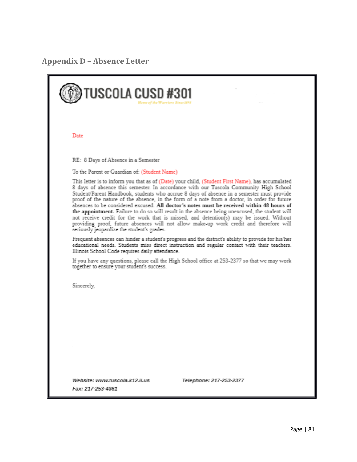**Appendix D – Absence Letter**

| TUSCOLA CUSD #301                                                                                                                                                                                                                                                                                                                                                                                                                                                                                                                                                                                                                                                                                                                                                                                                        |
|--------------------------------------------------------------------------------------------------------------------------------------------------------------------------------------------------------------------------------------------------------------------------------------------------------------------------------------------------------------------------------------------------------------------------------------------------------------------------------------------------------------------------------------------------------------------------------------------------------------------------------------------------------------------------------------------------------------------------------------------------------------------------------------------------------------------------|
| Date                                                                                                                                                                                                                                                                                                                                                                                                                                                                                                                                                                                                                                                                                                                                                                                                                     |
| RE: 8 Days of Absence in a Semester                                                                                                                                                                                                                                                                                                                                                                                                                                                                                                                                                                                                                                                                                                                                                                                      |
| To the Parent or Guardian of: (Student Name)                                                                                                                                                                                                                                                                                                                                                                                                                                                                                                                                                                                                                                                                                                                                                                             |
| This letter is to inform you that as of (Date) your child, (Student First Name), has accumulated<br>8 days of absence this semester. In accordance with our Tuscola Community High School<br>Student/Parent Handbook, students who accrue 8 days of absence in a semester must provide<br>proof of the nature of the absence, in the form of a note from a doctor, in order for future<br>absences to be considered excused. All doctor's notes must be received within 48 hours of<br>the appointment. Failure to do so will result in the absence being unexcused, the student will<br>not receive credit for the work that is missed, and detention(s) may be issued. Without<br>providing proof, future absences will not allow make-up work credit and therefore will<br>seriously jeopardize the student's grades. |
| Frequent absences can hinder a student's progress and the district's ability to provide for his/her<br>educational needs. Students miss direct instruction and regular contact with their teachers.<br>Illinois School Code requires daily attendance.                                                                                                                                                                                                                                                                                                                                                                                                                                                                                                                                                                   |
| If you have any questions, please call the High School office at 253-2377 so that we may work<br>together to ensure your student's success.                                                                                                                                                                                                                                                                                                                                                                                                                                                                                                                                                                                                                                                                              |
| Sincerely,                                                                                                                                                                                                                                                                                                                                                                                                                                                                                                                                                                                                                                                                                                                                                                                                               |
|                                                                                                                                                                                                                                                                                                                                                                                                                                                                                                                                                                                                                                                                                                                                                                                                                          |
|                                                                                                                                                                                                                                                                                                                                                                                                                                                                                                                                                                                                                                                                                                                                                                                                                          |
| Website: www.tuscola.k12.il.us<br>Telephone: 217-253-2377<br>Fax: 217-253-4861                                                                                                                                                                                                                                                                                                                                                                                                                                                                                                                                                                                                                                                                                                                                           |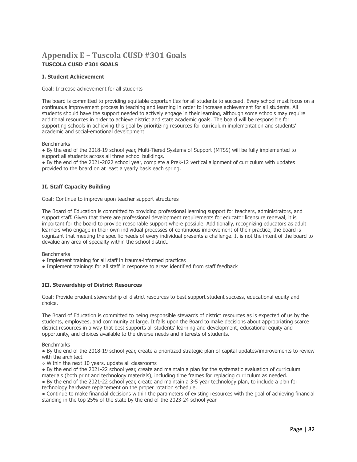## **Appendix E – Tuscola CUSD #301 Goals TUSCOLA CUSD #301 GOALS**

### **I. Student Achievement**

Goal: Increase achievement for all students

The board is committed to providing equitable opportunities for all students to succeed. Every school must focus on a continuous improvement process in teaching and learning in order to increase achievement for all students. All students should have the support needed to actively engage in their learning, although some schools may require additional resources in order to achieve district and state academic goals. The board will be responsible for supporting schools in achieving this goal by prioritizing resources for curriculum implementation and students' academic and social-emotional development.

**Benchmarks** 

● By the end of the 2018-19 school year, Multi-Tiered Systems of Support (MTSS) will be fully implemented to support all students across all three school buildings.

● By the end of the 2021-2022 school year, complete a PreK-12 vertical alignment of curriculum with updates provided to the board on at least a yearly basis each spring.

### **II. Staff Capacity Building**

Goal: Continue to improve upon teacher support structures

The Board of Education is committed to providing professional learning support for teachers, administrators, and support staff. Given that there are professional development requirements for educator licensure renewal, it is important for the board to provide reasonable support where possible. Additionally, recognizing educators as adult learners who engage in their own individual processes of continuous improvement of their practice, the board is cognizant that meeting the specific needs of every individual presents a challenge. It is not the intent of the board to devalue any area of specialty within the school district.

**Benchmarks** 

- Implement training for all staff in trauma-informed practices
- Implement trainings for all staff in response to areas identified from staff feedback

### **III. Stewardship of District Resources**

Goal: Provide prudent stewardship of district resources to best support student success, educational equity and choice.

The Board of Education is committed to being responsible stewards of district resources as is expected of us by the students, employees, and community at large. It falls upon the Board to make decisions about appropriating scarce district resources in a way that best supports all students' learning and development, educational equity and opportunity, and choices available to the diverse needs and interests of students.

**Benchmarks** 

● By the end of the 2018-19 school year, create a prioritized strategic plan of capital updates/improvements to review with the architect

○ Within the next 10 years, update all classrooms

● By the end of the 2021-22 school year, create and maintain a plan for the systematic evaluation of curriculum materials (both print and technology materials), including time frames for replacing curriculum as needed.

● By the end of the 2021-22 school year, create and maintain a 3-5 year technology plan, to include a plan for technology hardware replacement on the proper rotation schedule.

● Continue to make financial decisions within the parameters of existing resources with the goal of achieving financial standing in the top 25% of the state by the end of the 2023-24 school year